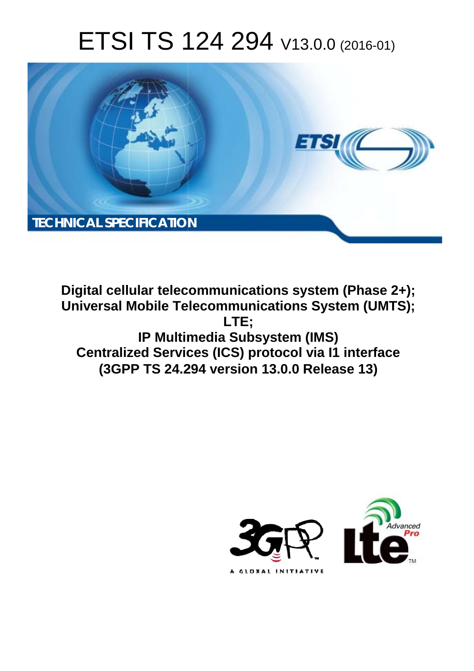# ETSI TS 124 294 V13.0.0 (2016-01)



**Digital cellular telecommunications system (Phase 2+); Universal Mobile Tel elecommunications System ( (UMTS); IP Multim timedia Subsystem (IMS) Centralized Services (ICS) protocol via I1 interface (3GPP TS 24.2 .294 version 13.0.0 Release 13 13) LTE;** 

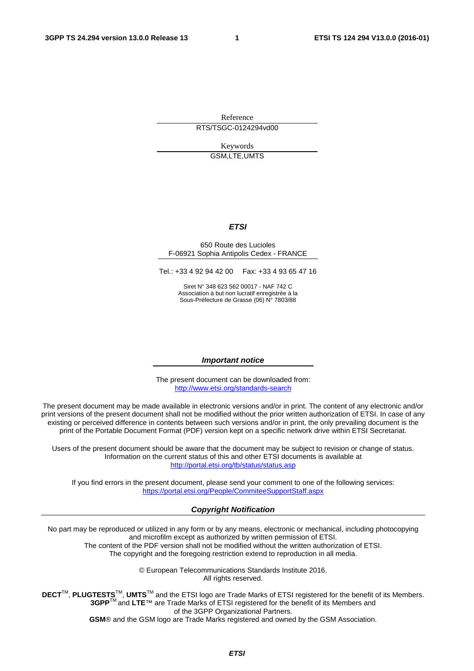Reference RTS/TSGC-0124294vd00

> Keywords GSM,LTE,UMTS

#### *ETSI*

#### 650 Route des Lucioles F-06921 Sophia Antipolis Cedex - FRANCE

Tel.: +33 4 92 94 42 00 Fax: +33 4 93 65 47 16

Siret N° 348 623 562 00017 - NAF 742 C Association à but non lucratif enregistrée à la Sous-Préfecture de Grasse (06) N° 7803/88

#### *Important notice*

The present document can be downloaded from: <http://www.etsi.org/standards-search>

The present document may be made available in electronic versions and/or in print. The content of any electronic and/or print versions of the present document shall not be modified without the prior written authorization of ETSI. In case of any existing or perceived difference in contents between such versions and/or in print, the only prevailing document is the print of the Portable Document Format (PDF) version kept on a specific network drive within ETSI Secretariat.

Users of the present document should be aware that the document may be subject to revision or change of status. Information on the current status of this and other ETSI documents is available at <http://portal.etsi.org/tb/status/status.asp>

If you find errors in the present document, please send your comment to one of the following services: <https://portal.etsi.org/People/CommiteeSupportStaff.aspx>

#### *Copyright Notification*

No part may be reproduced or utilized in any form or by any means, electronic or mechanical, including photocopying and microfilm except as authorized by written permission of ETSI.

The content of the PDF version shall not be modified without the written authorization of ETSI. The copyright and the foregoing restriction extend to reproduction in all media.

> © European Telecommunications Standards Institute 2016. All rights reserved.

**DECT**TM, **PLUGTESTS**TM, **UMTS**TM and the ETSI logo are Trade Marks of ETSI registered for the benefit of its Members. **3GPP**TM and **LTE**™ are Trade Marks of ETSI registered for the benefit of its Members and of the 3GPP Organizational Partners.

**GSM**® and the GSM logo are Trade Marks registered and owned by the GSM Association.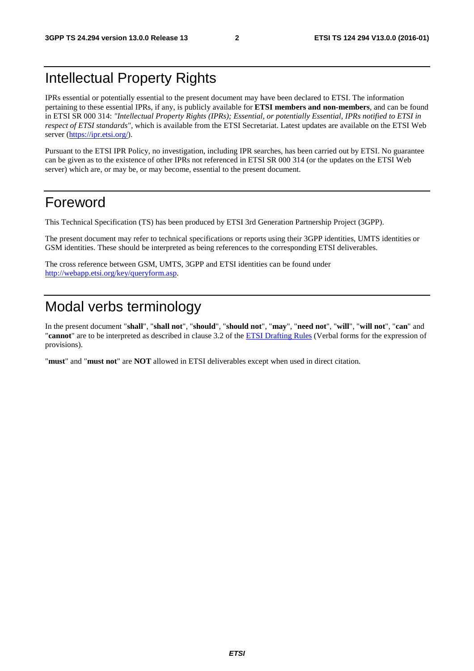# Intellectual Property Rights

IPRs essential or potentially essential to the present document may have been declared to ETSI. The information pertaining to these essential IPRs, if any, is publicly available for **ETSI members and non-members**, and can be found in ETSI SR 000 314: *"Intellectual Property Rights (IPRs); Essential, or potentially Essential, IPRs notified to ETSI in respect of ETSI standards"*, which is available from the ETSI Secretariat. Latest updates are available on the ETSI Web server [\(https://ipr.etsi.org/](https://ipr.etsi.org/)).

Pursuant to the ETSI IPR Policy, no investigation, including IPR searches, has been carried out by ETSI. No guarantee can be given as to the existence of other IPRs not referenced in ETSI SR 000 314 (or the updates on the ETSI Web server) which are, or may be, or may become, essential to the present document.

# Foreword

This Technical Specification (TS) has been produced by ETSI 3rd Generation Partnership Project (3GPP).

The present document may refer to technical specifications or reports using their 3GPP identities, UMTS identities or GSM identities. These should be interpreted as being references to the corresponding ETSI deliverables.

The cross reference between GSM, UMTS, 3GPP and ETSI identities can be found under [http://webapp.etsi.org/key/queryform.asp.](http://webapp.etsi.org/key/queryform.asp)

# Modal verbs terminology

In the present document "**shall**", "**shall not**", "**should**", "**should not**", "**may**", "**need not**", "**will**", "**will not**", "**can**" and "**cannot**" are to be interpreted as described in clause 3.2 of the [ETSI Drafting Rules](http://portal.etsi.org/Help/editHelp!/Howtostart/ETSIDraftingRules.aspx) (Verbal forms for the expression of provisions).

"**must**" and "**must not**" are **NOT** allowed in ETSI deliverables except when used in direct citation.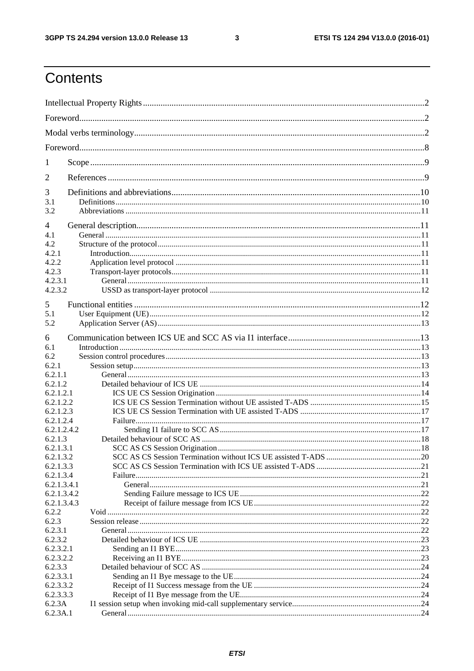$\mathbf{3}$ 

# Contents

| 1                        |  |  |  |
|--------------------------|--|--|--|
| 2                        |  |  |  |
| 3                        |  |  |  |
| 3.1<br>3.2               |  |  |  |
|                          |  |  |  |
| 4                        |  |  |  |
| 4.1                      |  |  |  |
| 4.2<br>4.2.1             |  |  |  |
| 4.2.2                    |  |  |  |
| 4.2.3                    |  |  |  |
| 4.2.3.1                  |  |  |  |
| 4.2.3.2                  |  |  |  |
| 5                        |  |  |  |
| 5.1                      |  |  |  |
| 5.2                      |  |  |  |
| 6                        |  |  |  |
| 6.1                      |  |  |  |
| 6.2                      |  |  |  |
| 6.2.1                    |  |  |  |
| 6.2.1.1                  |  |  |  |
| 6.2.1.2                  |  |  |  |
| 6.2.1.2.1                |  |  |  |
| 6.2.1.2.2                |  |  |  |
| 6.2.1.2.3                |  |  |  |
| 6.2.1.2.4<br>6.2.1.2.4.2 |  |  |  |
| 6.2.1.3                  |  |  |  |
| 6.2.1.3.1                |  |  |  |
| 6.2.1.3.2                |  |  |  |
| 6.2.1.3.3                |  |  |  |
| 6.2.1.3.4                |  |  |  |
| 6.2.1.3.4.1              |  |  |  |
| 6.2.1.3.4.2              |  |  |  |
| 6.2.1.3.4.3              |  |  |  |
| 6.2.2                    |  |  |  |
| 6.2.3<br>6.2.3.1         |  |  |  |
| 6.2.3.2                  |  |  |  |
| 6.2.3.2.1                |  |  |  |
| 6.2.3.2.2                |  |  |  |
| 6.2.3.3                  |  |  |  |
| 6.2.3.3.1                |  |  |  |
| 6.2.3.3.2                |  |  |  |
| 6.2.3.3.3                |  |  |  |
| 6.2.3A                   |  |  |  |
| 6.2.3A.1                 |  |  |  |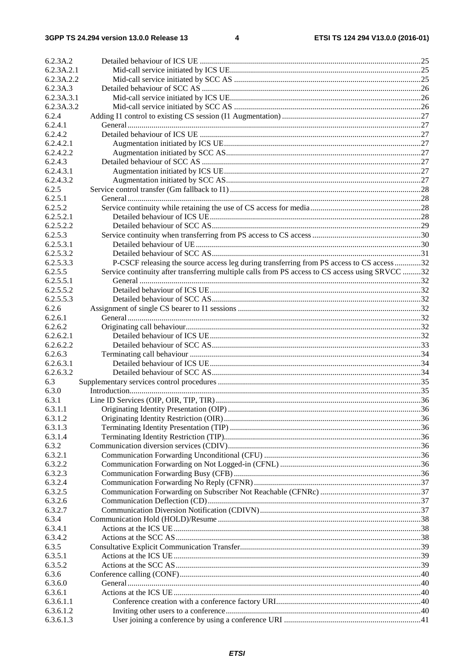| 6.2.3A.2   |                                                                                                 |    |
|------------|-------------------------------------------------------------------------------------------------|----|
| 6.2.3A.2.1 |                                                                                                 |    |
| 6.2.3A.2.2 |                                                                                                 |    |
| 6.2.3A.3   |                                                                                                 |    |
| 6.2.3A.3.1 |                                                                                                 |    |
| 6.2.3A.3.2 |                                                                                                 |    |
|            |                                                                                                 |    |
| 6.2.4      |                                                                                                 |    |
| 6.2.4.1    |                                                                                                 |    |
| 6.2.4.2    |                                                                                                 |    |
| 6.2.4.2.1  |                                                                                                 |    |
| 6.2.4.2.2  |                                                                                                 |    |
| 6.2.4.3    |                                                                                                 |    |
| 6.2.4.3.1  |                                                                                                 |    |
| 6.2.4.3.2  |                                                                                                 |    |
| 6.2.5      |                                                                                                 |    |
|            |                                                                                                 |    |
| 6.2.5.1    |                                                                                                 |    |
| 6.2.5.2    |                                                                                                 |    |
| 6.2.5.2.1  |                                                                                                 |    |
| 6.2.5.2.2  |                                                                                                 |    |
| 6.2.5.3    |                                                                                                 |    |
| 6.2.5.3.1  |                                                                                                 |    |
| 6.2.5.3.2  |                                                                                                 |    |
| 6.2.5.3.3  | P-CSCF releasing the source access leg during transferring from PS access to CS access 32       |    |
| 6.2.5.5    | Service continuity after transferring multiple calls from PS access to CS access using SRVCC 32 |    |
|            |                                                                                                 |    |
| 6.2.5.5.1  |                                                                                                 |    |
| 6.2.5.5.2  |                                                                                                 |    |
| 6.2.5.5.3  |                                                                                                 |    |
| 6.2.6      |                                                                                                 |    |
| 6.2.6.1    |                                                                                                 |    |
| 6.2.6.2    |                                                                                                 |    |
| 6.2.6.2.1  |                                                                                                 |    |
| 6.2.6.2.2  |                                                                                                 |    |
| 6.2.6.3    |                                                                                                 |    |
| 6.2.6.3.1  |                                                                                                 |    |
| 6.2.6.3.2  |                                                                                                 |    |
|            |                                                                                                 |    |
| 6.3        |                                                                                                 |    |
| 6.3.0      |                                                                                                 |    |
| 6.3.1      |                                                                                                 |    |
| 6.3.1.1    |                                                                                                 | 36 |
| 6.3.1.2    |                                                                                                 |    |
| 6.3.1.3    |                                                                                                 |    |
| 6.3.1.4    |                                                                                                 |    |
| 6.3.2      |                                                                                                 |    |
| 6.3.2.1    |                                                                                                 |    |
| 6.3.2.2    |                                                                                                 |    |
|            |                                                                                                 |    |
| 6.3.2.3    |                                                                                                 |    |
| 6.3.2.4    |                                                                                                 |    |
| 6.3.2.5    |                                                                                                 |    |
| 6.3.2.6    |                                                                                                 |    |
| 6.3.2.7    |                                                                                                 |    |
| 6.3.4      |                                                                                                 |    |
| 6.3.4.1    |                                                                                                 |    |
| 6.3.4.2    |                                                                                                 |    |
| 6.3.5      |                                                                                                 |    |
| 6.3.5.1    |                                                                                                 |    |
| 6.3.5.2    |                                                                                                 |    |
|            |                                                                                                 |    |
| 6.3.6      |                                                                                                 |    |
| 6.3.6.0    |                                                                                                 |    |
| 6.3.6.1    |                                                                                                 |    |
| 6.3.6.1.1  |                                                                                                 |    |
| 6.3.6.1.2  |                                                                                                 |    |
| 6.3.6.1.3  |                                                                                                 |    |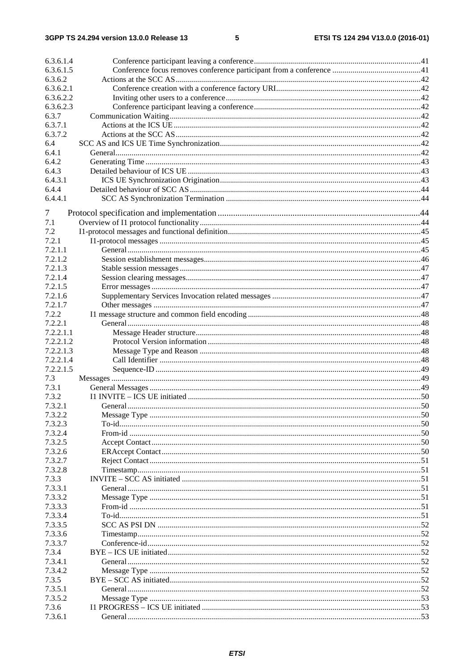| 6.3.6.1.4 |  |
|-----------|--|
| 6.3.6.1.5 |  |
| 6.3.6.2   |  |
| 6.3.6.2.1 |  |
|           |  |
| 6.3.6.2.2 |  |
| 6.3.6.2.3 |  |
| 6.3.7     |  |
| 6.3.7.1   |  |
| 6.3.7.2   |  |
|           |  |
| 6.4       |  |
| 6.4.1     |  |
| 6.4.2     |  |
| 6.4.3     |  |
| 6.4.3.1   |  |
|           |  |
| 6.4.4     |  |
| 6.4.4.1   |  |
|           |  |
| 7         |  |
| 7.1       |  |
| 7.2       |  |
| 7.2.1     |  |
| 7.2.1.1   |  |
|           |  |
| 7.2.1.2   |  |
| 7.2.1.3   |  |
| 7.2.1.4   |  |
| 7.2.1.5   |  |
| 7.2.1.6   |  |
| 7.2.1.7   |  |
|           |  |
| 7.2.2     |  |
| 7.2.2.1   |  |
| 7.2.2.1.1 |  |
| 7.2.2.1.2 |  |
| 7.2.2.1.3 |  |
| 7.2.2.1.4 |  |
|           |  |
| 7.2.2.1.5 |  |
| 7.3       |  |
| 7.3.1     |  |
| 7.3.2     |  |
| 7.3.2.1   |  |
|           |  |
| 7.3.2.2   |  |
| 7.3.2.3   |  |
| 7.3.2.4   |  |
| 7.3.2.5   |  |
| 7.3.2.6   |  |
| 7.3.2.7   |  |
| 7.3.2.8   |  |
|           |  |
| 7.3.3     |  |
| 7.3.3.1   |  |
| 7.3.3.2   |  |
| 7.3.3.3   |  |
| 7.3.3.4   |  |
| 7.3.3.5   |  |
|           |  |
| 7.3.3.6   |  |
| 7.3.3.7   |  |
| 7.3.4     |  |
| 7.3.4.1   |  |
| 7.3.4.2   |  |
| 7.3.5     |  |
|           |  |
| 7.3.5.1   |  |
| 7.3.5.2   |  |
| 7.3.6     |  |
| 7.3.6.1   |  |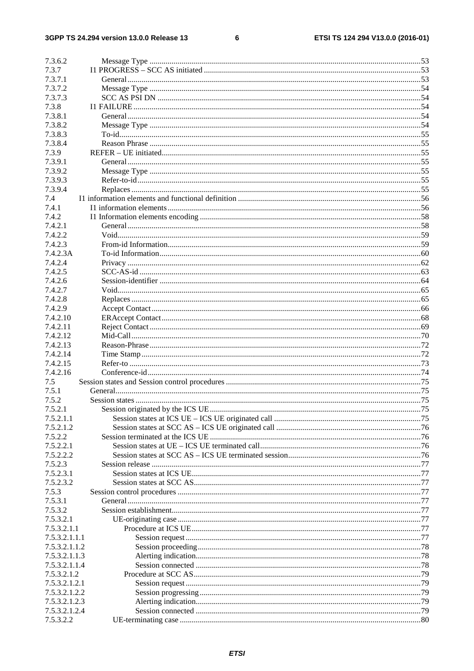#### $\bf 6$

| 7.3.6.2        |  |
|----------------|--|
| 7.3.7          |  |
| 7.3.7.1        |  |
| 7.3.7.2        |  |
| 7.3.7.3        |  |
| 7.3.8          |  |
| 7.3.8.1        |  |
| 7.3.8.2        |  |
| 7.3.8.3        |  |
| 7.3.8.4        |  |
| 7.3.9          |  |
| 7.3.9.1        |  |
| 7.3.9.2        |  |
| 7.3.9.3        |  |
| 7.3.9.4        |  |
|                |  |
| 7.4            |  |
| 7.4.1<br>7.4.2 |  |
|                |  |
| 7.4.2.1        |  |
| 7.4.2.2        |  |
| 7.4.2.3        |  |
| 7.4.2.3A       |  |
| 7.4.2.4        |  |
| 7.4.2.5        |  |
| 7.4.2.6        |  |
| 7.4.2.7        |  |
| 7.4.2.8        |  |
| 7.4.2.9        |  |
| 7.4.2.10       |  |
| 7.4.2.11       |  |
| 7.4.2.12       |  |
| 7.4.2.13       |  |
| 7.4.2.14       |  |
| 7.4.2.15       |  |
| 7.4.2.16       |  |
| 7.5            |  |
| 7.5.1          |  |
| 7.5.2          |  |
| 7.5.2.1        |  |
| 7.5.2.1.1      |  |
| 7.5.2.1.2      |  |
| 7.5.2.2        |  |
| 7.5.2.2.1      |  |
| 7.5.2.2.2      |  |
| 7.5.2.3        |  |
| 7.5.2.3.1      |  |
| 7.5.2.3.2      |  |
| 7.5.3          |  |
| 7.5.3.1        |  |
| 7.5.3.2        |  |
| 7.5.3.2.1      |  |
| 7.5.3.2.1.1    |  |
| 7.5.3.2.1.1.1  |  |
| 7.5.3.2.1.1.2  |  |
| 7.5.3.2.1.1.3  |  |
| 7.5.3.2.1.1.4  |  |
|                |  |
| 7.5.3.2.1.2    |  |
| 7.5.3.2.1.2.1  |  |
| 7.5.3.2.1.2.2  |  |
| 7.5.3.2.1.2.3  |  |
| 7.5.3.2.1.2.4  |  |
| 7.5.3.2.2      |  |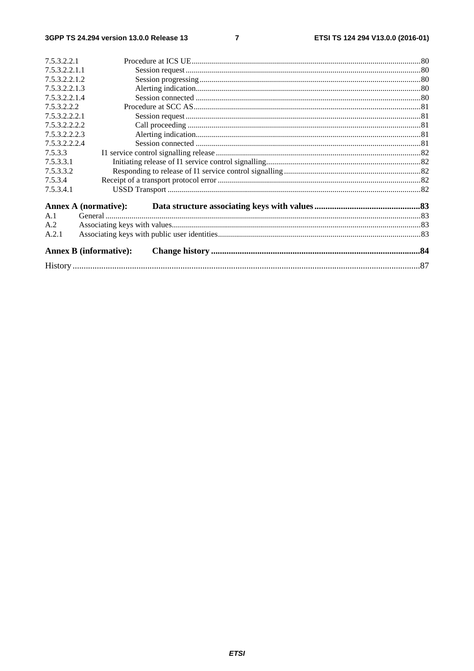$\overline{7}$ 

| 7.5.3.2.2.1   |                               |  |
|---------------|-------------------------------|--|
| 7.5.3.2.2.1.1 |                               |  |
| 7.5.3.2.2.1.2 |                               |  |
| 7.5.3.2.2.1.3 |                               |  |
| 7.5.3.2.2.1.4 |                               |  |
| 7.5.3.2.2.2   |                               |  |
| 7.5.3.2.2.2.1 |                               |  |
| 7.5.3.2.2.2.2 |                               |  |
| 7.5.3.2.2.2.3 |                               |  |
| 7.5.3.2.2.2.4 |                               |  |
| 7.5.3.3       |                               |  |
| 7.5.3.3.1     |                               |  |
| 7.5.3.3.2     |                               |  |
| 7.5.3.4       |                               |  |
| 7.5.3.4.1     |                               |  |
|               | <b>Annex A (normative):</b>   |  |
| A.1           |                               |  |
| A.2           |                               |  |
| A.2.1         |                               |  |
|               | <b>Annex B</b> (informative): |  |
|               |                               |  |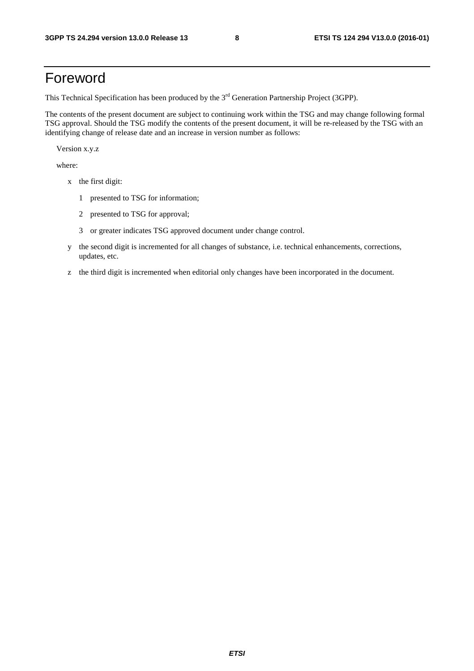# Foreword

This Technical Specification has been produced by the 3<sup>rd</sup> Generation Partnership Project (3GPP).

The contents of the present document are subject to continuing work within the TSG and may change following formal TSG approval. Should the TSG modify the contents of the present document, it will be re-released by the TSG with an identifying change of release date and an increase in version number as follows:

Version x.y.z

where:

- x the first digit:
	- 1 presented to TSG for information;
	- 2 presented to TSG for approval;
	- 3 or greater indicates TSG approved document under change control.
- y the second digit is incremented for all changes of substance, i.e. technical enhancements, corrections, updates, etc.
- z the third digit is incremented when editorial only changes have been incorporated in the document.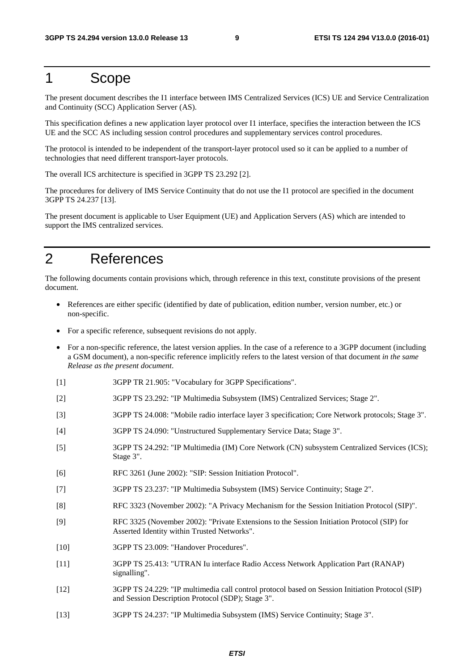# 1 Scope

The present document describes the I1 interface between IMS Centralized Services (ICS) UE and Service Centralization and Continuity (SCC) Application Server (AS).

This specification defines a new application layer protocol over I1 interface, specifies the interaction between the ICS UE and the SCC AS including session control procedures and supplementary services control procedures.

The protocol is intended to be independent of the transport-layer protocol used so it can be applied to a number of technologies that need different transport-layer protocols.

The overall ICS architecture is specified in 3GPP TS 23.292 [2].

The procedures for delivery of IMS Service Continuity that do not use the I1 protocol are specified in the document 3GPP TS 24.237 [13].

The present document is applicable to User Equipment (UE) and Application Servers (AS) which are intended to support the IMS centralized services.

# 2 References

The following documents contain provisions which, through reference in this text, constitute provisions of the present document.

- References are either specific (identified by date of publication, edition number, version number, etc.) or non-specific.
- For a specific reference, subsequent revisions do not apply.
- For a non-specific reference, the latest version applies. In the case of a reference to a 3GPP document (including a GSM document), a non-specific reference implicitly refers to the latest version of that document *in the same Release as the present document*.
- [1] 3GPP TR 21.905: "Vocabulary for 3GPP Specifications".
- [2] 3GPP TS 23.292: "IP Multimedia Subsystem (IMS) Centralized Services; Stage 2".
- [3] 3GPP TS 24.008: "Mobile radio interface layer 3 specification; Core Network protocols; Stage 3".
- [4] 3GPP TS 24.090: "Unstructured Supplementary Service Data; Stage 3".
- [5] 3GPP TS 24.292: "IP Multimedia (IM) Core Network (CN) subsystem Centralized Services (ICS); Stage 3".
- [6] RFC 3261 (June 2002): "SIP: Session Initiation Protocol".
- [7] 3GPP TS 23.237: "IP Multimedia Subsystem (IMS) Service Continuity; Stage 2".
- [8] RFC 3323 (November 2002): "A Privacy Mechanism for the Session Initiation Protocol (SIP)".
- [9] RFC 3325 (November 2002): "Private Extensions to the Session Initiation Protocol (SIP) for Asserted Identity within Trusted Networks".
- [10] 3GPP TS 23.009: "Handover Procedures".
- [11] 3GPP TS 25.413: "UTRAN Iu interface Radio Access Network Application Part (RANAP) signalling".
- [12] 3GPP TS 24.229: "IP multimedia call control protocol based on Session Initiation Protocol (SIP) and Session Description Protocol (SDP); Stage 3".
- [13] 3GPP TS 24.237: "IP Multimedia Subsystem (IMS) Service Continuity; Stage 3".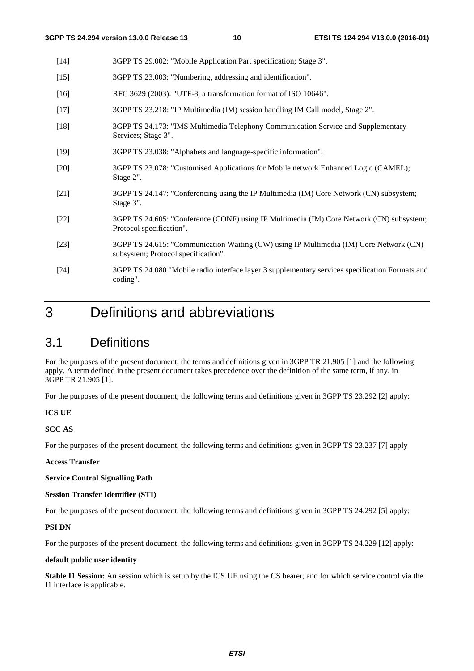- [14] 3GPP TS 29.002: "Mobile Application Part specification; Stage 3".
- [15] 3GPP TS 23.003: "Numbering, addressing and identification".
- [16] RFC 3629 (2003): "UTF-8, a transformation format of ISO 10646".
- [17] 3GPP TS 23.218: "IP Multimedia (IM) session handling IM Call model, Stage 2".
- [18] 3GPP TS 24.173: "IMS Multimedia Telephony Communication Service and Supplementary Services; Stage 3".
- [19] 3GPP TS 23.038: "Alphabets and language-specific information".
- [20] 3GPP TS 23.078: "Customised Applications for Mobile network Enhanced Logic (CAMEL); Stage 2".
- [21] 3GPP TS 24.147: "Conferencing using the IP Multimedia (IM) Core Network (CN) subsystem; Stage 3".
- [22] 3GPP TS 24.605: "Conference (CONF) using IP Multimedia (IM) Core Network (CN) subsystem; Protocol specification".
- [23] 3GPP TS 24.615: "Communication Waiting (CW) using IP Multimedia (IM) Core Network (CN) subsystem; Protocol specification".
- [24] 3GPP TS 24.080 "Mobile radio interface layer 3 supplementary services specification Formats and coding".

# 3 Definitions and abbreviations

# 3.1 Definitions

For the purposes of the present document, the terms and definitions given in 3GPP TR 21.905 [1] and the following apply. A term defined in the present document takes precedence over the definition of the same term, if any, in 3GPP TR 21.905 [1].

For the purposes of the present document, the following terms and definitions given in 3GPP TS 23.292 [2] apply:

#### **ICS UE**

**SCC AS** 

For the purposes of the present document, the following terms and definitions given in 3GPP TS 23.237 [7] apply

**Access Transfer** 

**Service Control Signalling Path** 

#### **Session Transfer Identifier (STI)**

For the purposes of the present document, the following terms and definitions given in 3GPP TS 24.292 [5] apply:

#### **PSI DN**

For the purposes of the present document, the following terms and definitions given in 3GPP TS 24.229 [12] apply:

#### **default public user identity**

**Stable I1 Session:** An session which is setup by the ICS UE using the CS bearer, and for which service control via the I1 interface is applicable.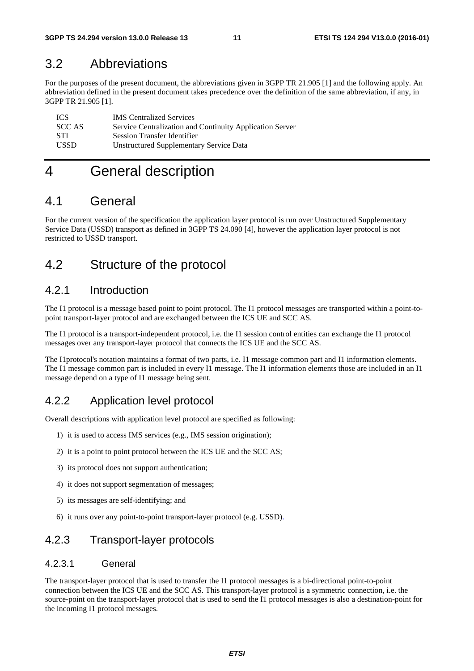# 3.2 Abbreviations

For the purposes of the present document, the abbreviations given in 3GPP TR 21.905 [1] and the following apply. An abbreviation defined in the present document takes precedence over the definition of the same abbreviation, if any, in 3GPP TR 21.905 [1].

| <b>ICS</b>    | <b>IMS</b> Centralized Services                          |
|---------------|----------------------------------------------------------|
| <b>SCC AS</b> | Service Centralization and Continuity Application Server |
| <b>STI</b>    | <b>Session Transfer Identifier</b>                       |
| USSD          | <b>Unstructured Supplementary Service Data</b>           |

# 4 General description

# 4.1 General

For the current version of the specification the application layer protocol is run over Unstructured Supplementary Service Data (USSD) transport as defined in 3GPP TS 24.090 [4], however the application layer protocol is not restricted to USSD transport.

# 4.2 Structure of the protocol

# 4.2.1 Introduction

The I1 protocol is a message based point to point protocol. The I1 protocol messages are transported within a point-topoint transport-layer protocol and are exchanged between the ICS UE and SCC AS.

The I1 protocol is a transport-independent protocol, i.e. the I1 session control entities can exchange the I1 protocol messages over any transport-layer protocol that connects the ICS UE and the SCC AS.

The I1protocol's notation maintains a format of two parts, i.e. I1 message common part and I1 information elements. The I1 message common part is included in every I1 message. The I1 information elements those are included in an I1 message depend on a type of I1 message being sent.

# 4.2.2 Application level protocol

Overall descriptions with application level protocol are specified as following:

- 1) it is used to access IMS services (e.g., IMS session origination);
- 2) it is a point to point protocol between the ICS UE and the SCC AS;
- 3) its protocol does not support authentication;
- 4) it does not support segmentation of messages;
- 5) its messages are self-identifying; and
- 6) it runs over any point-to-point transport-layer protocol (e.g. USSD).

# 4.2.3 Transport-layer protocols

### 4.2.3.1 General

The transport-layer protocol that is used to transfer the I1 protocol messages is a bi-directional point-to-point connection between the ICS UE and the SCC AS. This transport-layer protocol is a symmetric connection, i.e. the source-point on the transport-layer protocol that is used to send the I1 protocol messages is also a destination-point for the incoming I1 protocol messages.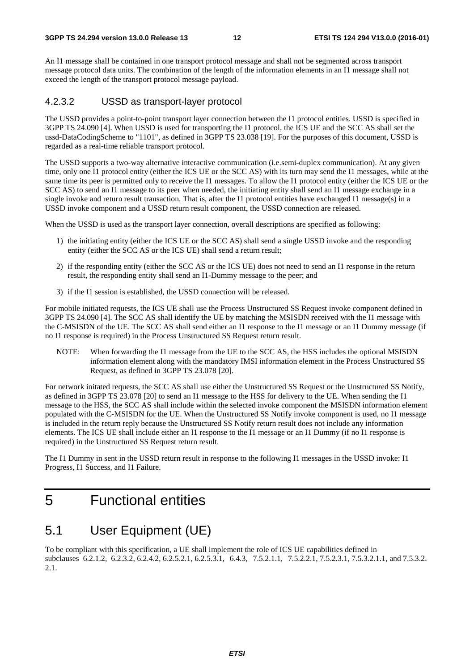An I1 message shall be contained in one transport protocol message and shall not be segmented across transport message protocol data units. The combination of the length of the information elements in an I1 message shall not exceed the length of the transport protocol message payload.

# 4.2.3.2 USSD as transport-layer protocol

The USSD provides a point-to-point transport layer connection between the I1 protocol entities. USSD is specified in 3GPP TS 24.090 [4]. When USSD is used for transporting the I1 protocol, the ICS UE and the SCC AS shall set the ussd-DataCodingScheme to "1101", as defined in 3GPP TS 23.038 [19]. For the purposes of this document, USSD is regarded as a real-time reliable transport protocol.

The USSD supports a two-way alternative interactive communication (i.e.semi-duplex communication). At any given time, only one I1 protocol entity (either the ICS UE or the SCC AS) with its turn may send the I1 messages, while at the same time its peer is permitted only to receive the I1 messages. To allow the I1 protocol entity (either the ICS UE or the SCC AS) to send an I1 message to its peer when needed, the initiating entity shall send an I1 message exchange in a single invoke and return result transaction. That is, after the I1 protocol entities have exchanged I1 message(s) in a USSD invoke component and a USSD return result component, the USSD connection are released.

When the USSD is used as the transport layer connection, overall descriptions are specified as following:

- 1) the initiating entity (either the ICS UE or the SCC AS) shall send a single USSD invoke and the responding entity (either the SCC AS or the ICS UE) shall send a return result;
- 2) if the responding entity (either the SCC AS or the ICS UE) does not need to send an I1 response in the return result, the responding entity shall send an I1-Dummy message to the peer; and
- 3) if the I1 session is established, the USSD connection will be released.

For mobile initiated requests, the ICS UE shall use the Process Unstructured SS Request invoke component defined in 3GPP TS 24.090 [4]. The SCC AS shall identify the UE by matching the MSISDN received with the I1 message with the C-MSISDN of the UE. The SCC AS shall send either an I1 response to the I1 message or an I1 Dummy message (if no I1 response is required) in the Process Unstructured SS Request return result.

NOTE: When forwarding the I1 message from the UE to the SCC AS, the HSS includes the optional MSISDN information element along with the mandatory IMSI information element in the Process Unstructured SS Request, as defined in 3GPP TS 23.078 [20].

For network initated requests, the SCC AS shall use either the Unstructured SS Request or the Unstructured SS Notify, as defined in 3GPP TS 23.078 [20] to send an I1 message to the HSS for delivery to the UE. When sending the I1 message to the HSS, the SCC AS shall include within the selected invoke component the MSISDN information element populated with the C-MSISDN for the UE. When the Unstructured SS Notify invoke component is used, no I1 message is included in the return reply because the Unstructured SS Notify return result does not include any information elements. The ICS UE shall include either an I1 response to the I1 message or an I1 Dummy (if no I1 response is required) in the Unstructured SS Request return result.

The I1 Dummy in sent in the USSD return result in response to the following I1 messages in the USSD invoke: I1 Progress, I1 Success, and I1 Failure.

# 5 Functional entities

# 5.1 User Equipment (UE)

To be compliant with this specification, a UE shall implement the role of ICS UE capabilities defined in subclauses 6.2.1.2, 6.2.3.2, 6.2.4.2, 6.2.5.2.1, 6.2.5.3.1, 6.4.3, 7.5.2.1.1, 7.5.2.2.1, 7.5.2.3.1, 7.5.3.2.1.1, and 7.5.3.2. 2.1.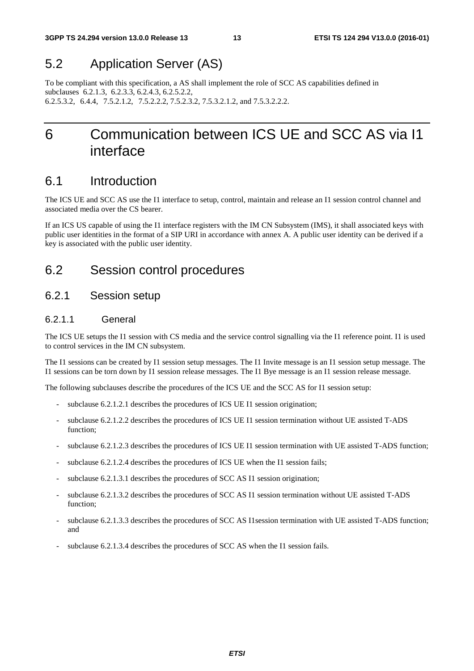# 5.2 Application Server (AS)

To be compliant with this specification, a AS shall implement the role of SCC AS capabilities defined in subclauses 6.2.1.3, 6.2.3.3, 6.2.4.3, 6.2.5.2.2, 6.2.5.3.2, 6.4.4, 7.5.2.1.2, 7.5.2.2.2, 7.5.2.3.2, 7.5.3.2.1.2, and 7.5.3.2.2.2.

# 6 Communication between ICS UE and SCC AS via I1 interface

# 6.1 Introduction

The ICS UE and SCC AS use the I1 interface to setup, control, maintain and release an I1 session control channel and associated media over the CS bearer.

If an ICS US capable of using the I1 interface registers with the IM CN Subsystem (IMS), it shall associated keys with public user identities in the format of a SIP URI in accordance with annex A. A public user identity can be derived if a key is associated with the public user identity.

# 6.2 Session control procedures

# 6.2.1 Session setup

### 6.2.1.1 General

The ICS UE setups the I1 session with CS media and the service control signalling via the I1 reference point. I1 is used to control services in the IM CN subsystem.

The I1 sessions can be created by I1 session setup messages. The I1 Invite message is an I1 session setup message. The I1 sessions can be torn down by I1 session release messages. The I1 Bye message is an I1 session release message.

The following subclauses describe the procedures of the ICS UE and the SCC AS for I1 session setup:

- subclause 6.2.1.2.1 describes the procedures of ICS UE I1 session origination;
- subclause 6.2.1.2.2 describes the procedures of ICS UE I1 session termination without UE assisted T-ADS function;
- subclause 6.2.1.2.3 describes the procedures of ICS UE I1 session termination with UE assisted T-ADS function;
- subclause 6.2.1.2.4 describes the procedures of ICS UE when the I1 session fails;
- subclause 6.2.1.3.1 describes the procedures of SCC AS I1 session origination;
- subclause 6.2.1.3.2 describes the procedures of SCC AS I1 session termination without UE assisted T-ADS function;
- subclause 6.2.1.3.3 describes the procedures of SCC AS I1session termination with UE assisted T-ADS function; and
- subclause 6.2.1.3.4 describes the procedures of SCC AS when the I1 session fails.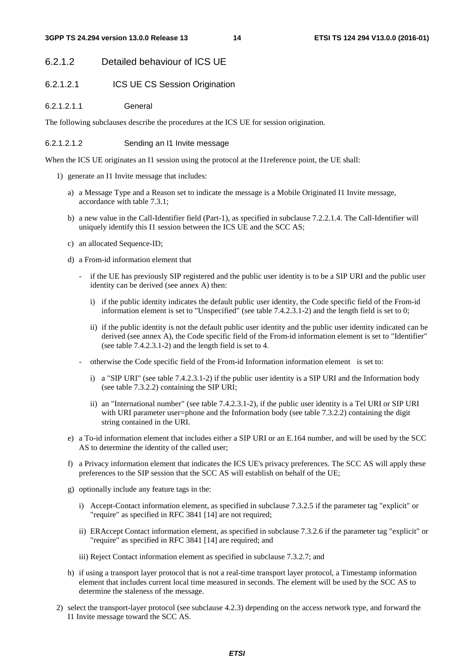# 6.2.1.2 Detailed behaviour of ICS UE

# 6.2.1.2.1 ICS UE CS Session Origination

#### 6.2.1.2.1.1 General

The following subclauses describe the procedures at the ICS UE for session origination.

#### 6.2.1.2.1.2 Sending an I1 Invite message

When the ICS UE originates an I1 session using the protocol at the I1 reference point, the UE shall:

- 1) generate an I1 Invite message that includes:
	- a) a Message Type and a Reason set to indicate the message is a Mobile Originated I1 Invite message, accordance with table 7.3.1;
	- b) a new value in the Call-Identifier field (Part-1), as specified in subclause 7.2.2.1.4. The Call-Identifier will uniquely identify this I1 session between the ICS UE and the SCC AS;
	- c) an allocated Sequence-ID;
	- d) a From-id information element that
		- if the UE has previously SIP registered and the public user identity is to be a SIP URI and the public user identity can be derived (see annex A) then:
			- i) if the public identity indicates the default public user identity, the Code specific field of the From-id information element is set to "Unspecified" (see table 7.4.2.3.1-2) and the length field is set to 0;
			- ii) if the public identity is not the default public user identity and the public user identity indicated can be derived (see annex A), the Code specific field of the From-id information element is set to "Identifier" (see table 7.4.2.3.1-2) and the length field is set to 4.
		- otherwise the Code specific field of the From-id Information information element is set to:
			- i) a "SIP URI" (see table 7.4.2.3.1-2) if the public user identity is a SIP URI and the Information body (see table 7.3.2.2) containing the SIP URI;
			- ii) an "International number" (see table 7.4.2.3.1-2), if the public user identity is a Tel URI or SIP URI with URI parameter user=phone and the Information body (see table 7.3.2.2) containing the digit string contained in the URI.
	- e) a To-id information element that includes either a SIP URI or an E.164 number, and will be used by the SCC AS to determine the identity of the called user;
	- f) a Privacy information element that indicates the ICS UE's privacy preferences. The SCC AS will apply these preferences to the SIP session that the SCC AS will establish on behalf of the UE;
	- g) optionally include any feature tags in the:
		- i) Accept-Contact information element, as specified in subclause 7.3.2.5 if the parameter tag "explicit" or "require" as specified in RFC 3841 [14] are not required;
		- ii) ERAccept Contact information element, as specified in subclause 7.3.2.6 if the parameter tag "explicit" or "require" as specified in RFC 3841 [14] are required; and
		- iii) Reject Contact information element as specified in subclause 7.3.2.7; and
	- h) if using a transport layer protocol that is not a real-time transport layer protocol, a Timestamp information element that includes current local time measured in seconds. The element will be used by the SCC AS to determine the staleness of the message.
- 2) select the transport-layer protocol (see subclause 4.2.3) depending on the access network type, and forward the I1 Invite message toward the SCC AS.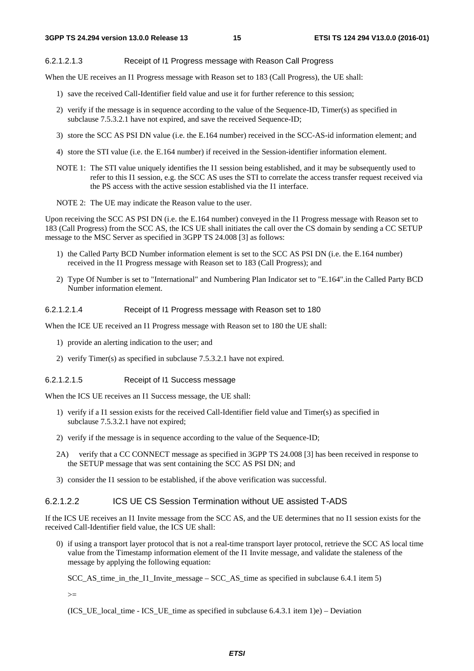#### 6.2.1.2.1.3 Receipt of I1 Progress message with Reason Call Progress

When the UE receives an I1 Progress message with Reason set to 183 (Call Progress), the UE shall:

- 1) save the received Call-Identifier field value and use it for further reference to this session;
- 2) verify if the message is in sequence according to the value of the Sequence-ID, Timer(s) as specified in subclause 7.5.3.2.1 have not expired, and save the received Sequence-ID;
- 3) store the SCC AS PSI DN value (i.e. the E.164 number) received in the SCC-AS-id information element; and
- 4) store the STI value (i.e. the E.164 number) if received in the Session-identifier information element.
- NOTE 1: The STI value uniquely identifies the I1 session being established, and it may be subsequently used to refer to this I1 session, e.g. the SCC AS uses the STI to correlate the access transfer request received via the PS access with the active session established via the I1 interface.
- NOTE 2: The UE may indicate the Reason value to the user.

Upon receiving the SCC AS PSI DN (i.e. the E.164 number) conveyed in the I1 Progress message with Reason set to 183 (Call Progress) from the SCC AS, the ICS UE shall initiates the call over the CS domain by sending a CC SETUP message to the MSC Server as specified in 3GPP TS 24.008 [3] as follows:

- 1) the Called Party BCD Number information element is set to the SCC AS PSI DN (i.e. the E.164 number) received in the I1 Progress message with Reason set to 183 (Call Progress); and
- 2) Type Of Number is set to "International" and Numbering Plan Indicator set to "E.164".in the Called Party BCD Number information element.

### 6.2.1.2.1.4 Receipt of I1 Progress message with Reason set to 180

When the ICE UE received an I1 Progress message with Reason set to 180 the UE shall:

- 1) provide an alerting indication to the user; and
- 2) verify Timer(s) as specified in subclause 7.5.3.2.1 have not expired.

#### 6.2.1.2.1.5 Receipt of I1 Success message

When the ICS UE receives an I1 Success message, the UE shall:

- 1) verify if a I1 session exists for the received Call-Identifier field value and Timer(s) as specified in subclause 7.5.3.2.1 have not expired;
- 2) verify if the message is in sequence according to the value of the Sequence-ID;
- 2A) verify that a CC CONNECT message as specified in 3GPP TS 24.008 [3] has been received in response to the SETUP message that was sent containing the SCC AS PSI DN; and
- 3) consider the I1 session to be established, if the above verification was successful.

#### 6.2.1.2.2 ICS UE CS Session Termination without UE assisted T-ADS

If the ICS UE receives an I1 Invite message from the SCC AS, and the UE determines that no I1 session exists for the received Call-Identifier field value, the ICS UE shall:

0) if using a transport layer protocol that is not a real-time transport layer protocol, retrieve the SCC AS local time value from the Timestamp information element of the I1 Invite message, and validate the staleness of the message by applying the following equation:

SCC\_AS\_time\_in\_the\_I1\_Invite\_message – SCC\_AS\_time as specified in subclause 6.4.1 item 5)

 $>=$ 

 $(ICS_UE_{local_time} - ICS_UE_{time}$  as specified in subclause 6.4.3.1 item 1)e) – Deviation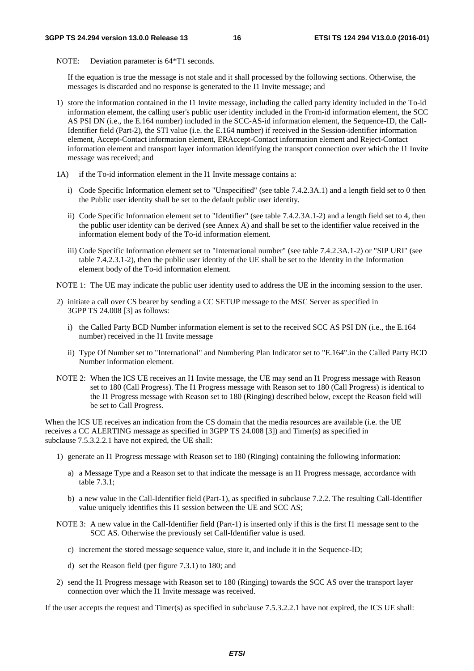NOTE: Deviation parameter is  $64*T1$  seconds.

 If the equation is true the message is not stale and it shall processed by the following sections. Otherwise, the messages is discarded and no response is generated to the I1 Invite message; and

- 1) store the information contained in the I1 Invite message, including the called party identity included in the To-id information element, the calling user's public user identity included in the From-id information element, the SCC AS PSI DN (i.e., the E.164 number) included in the SCC-AS-id information element, the Sequence-ID, the Call-Identifier field (Part-2), the STI value (i.e. the E.164 number) if received in the Session-identifier information element, Accept-Contact information element, ERAccept-Contact information element and Reject-Contact information element and transport layer information identifying the transport connection over which the I1 Invite message was received; and
- 1A) if the To-id information element in the I1 Invite message contains a:
	- i) Code Specific Information element set to "Unspecified" (see table 7.4.2.3A.1) and a length field set to 0 then the Public user identity shall be set to the default public user identity.
	- ii) Code Specific Information element set to "Identifier" (see table 7.4.2.3A.1-2) and a length field set to 4, then the public user identity can be derived (see Annex A) and shall be set to the identifier value received in the information element body of the To-id information element.
	- iii) Code Specific Information element set to "International number" (see table 7.4.2.3A.1-2) or "SIP URI" (see table 7.4.2.3.1-2), then the public user identity of the UE shall be set to the Identity in the Information element body of the To-id information element.

NOTE 1: The UE may indicate the public user identity used to address the UE in the incoming session to the user.

- 2) initiate a call over CS bearer by sending a CC SETUP message to the MSC Server as specified in 3GPP TS 24.008 [3] as follows:
	- i) the Called Party BCD Number information element is set to the received SCC AS PSI DN (i.e., the E.164 number) received in the I1 Invite message
	- ii) Type Of Number set to "International" and Numbering Plan Indicator set to "E.164".in the Called Party BCD Number information element.
- NOTE 2: When the ICS UE receives an I1 Invite message, the UE may send an I1 Progress message with Reason set to 180 (Call Progress). The I1 Progress message with Reason set to 180 (Call Progress) is identical to the I1 Progress message with Reason set to 180 (Ringing) described below, except the Reason field will be set to Call Progress.

When the ICS UE receives an indication from the CS domain that the media resources are available (i.e. the UE receives a CC ALERTING message as specified in 3GPP TS 24.008 [3]) and Timer(s) as specified in subclause 7.5.3.2.2.1 have not expired, the UE shall:

- 1) generate an I1 Progress message with Reason set to 180 (Ringing) containing the following information:
	- a) a Message Type and a Reason set to that indicate the message is an I1 Progress message, accordance with table 7.3.1;
	- b) a new value in the Call-Identifier field (Part-1), as specified in subclause 7.2.2. The resulting Call-Identifier value uniquely identifies this I1 session between the UE and SCC AS;
- NOTE 3: A new value in the Call-Identifier field (Part-1) is inserted only if this is the first I1 message sent to the SCC AS. Otherwise the previously set Call-Identifier value is used.
	- c) increment the stored message sequence value, store it, and include it in the Sequence-ID;
	- d) set the Reason field (per figure 7.3.1) to 180; and
- 2) send the I1 Progress message with Reason set to 180 (Ringing) towards the SCC AS over the transport layer connection over which the I1 Invite message was received.

If the user accepts the request and Timer(s) as specified in subclause 7.5.3.2.2.1 have not expired, the ICS UE shall: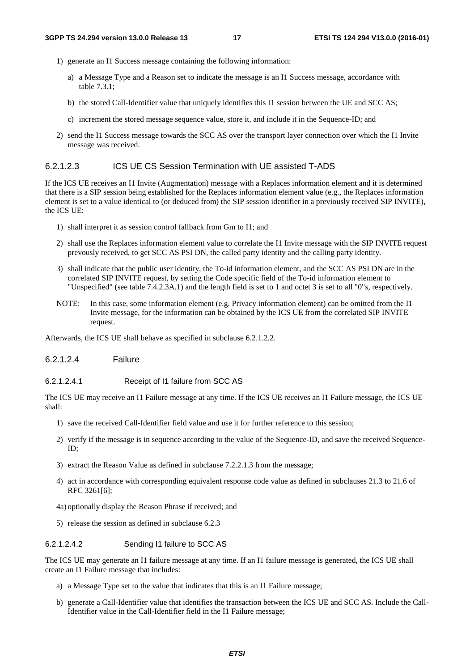- 1) generate an I1 Success message containing the following information:
	- a) a Message Type and a Reason set to indicate the message is an I1 Success message, accordance with table 7.3.1;
	- b) the stored Call-Identifier value that uniquely identifies this I1 session between the UE and SCC AS;
	- c) increment the stored message sequence value, store it, and include it in the Sequence-ID; and
- 2) send the I1 Success message towards the SCC AS over the transport layer connection over which the I1 Invite message was received.

### 6.2.1.2.3 ICS UE CS Session Termination with UE assisted T-ADS

If the ICS UE receives an I1 Invite (Augmentation) message with a Replaces information element and it is determined that there is a SIP session being established for the Replaces information element value (e.g., the Replaces information element is set to a value identical to (or deduced from) the SIP session identifier in a previously received SIP INVITE), the ICS UE:

- 1) shall interpret it as session control fallback from Gm to I1; and
- 2) shall use the Replaces information element value to correlate the I1 Invite message with the SIP INVITE request prevously received, to get SCC AS PSI DN, the called party identity and the calling party identity.
- 3) shall indicate that the public user identity, the To-id information element, and the SCC AS PSI DN are in the correlated SIP INVITE request, by setting the Code specific field of the To-id information element to "Unspecified" (see table 7.4.2.3A.1) and the length field is set to 1 and octet 3 is set to all "0"s, respectively.
- NOTE: In this case, some information element (e.g. Privacy information element) can be omitted from the I1 Invite message, for the information can be obtained by the ICS UE from the correlated SIP INVITE request.

Afterwards, the ICS UE shall behave as specified in subclause 6.2.1.2.2.

#### 6.2.1.2.4 Failure

#### 6.2.1.2.4.1 Receipt of I1 failure from SCC AS

The ICS UE may receive an I1 Failure message at any time. If the ICS UE receives an I1 Failure message, the ICS UE shall:

- 1) save the received Call-Identifier field value and use it for further reference to this session;
- 2) verify if the message is in sequence according to the value of the Sequence-ID, and save the received Sequence-ID;
- 3) extract the Reason Value as defined in subclause 7.2.2.1.3 from the message;
- 4) act in accordance with corresponding equivalent response code value as defined in subclauses 21.3 to 21.6 of RFC 3261[6];
- 4a) optionally display the Reason Phrase if received; and
- 5) release the session as defined in subclause 6.2.3

# 6.2.1.2.4.2 Sending I1 failure to SCC AS

The ICS UE may generate an I1 failure message at any time. If an I1 failure message is generated, the ICS UE shall create an I1 Failure message that includes:

- a) a Message Type set to the value that indicates that this is an I1 Failure message;
- b) generate a Call-Identifier value that identifies the transaction between the ICS UE and SCC AS. Include the Call-Identifier value in the Call-Identifier field in the I1 Failure message;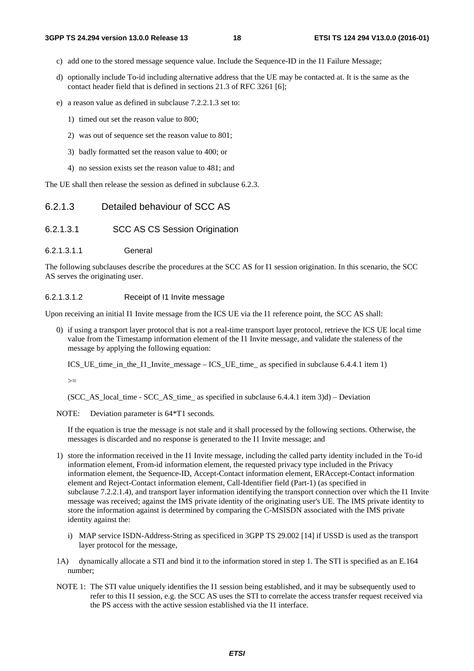- c) add one to the stored message sequence value. Include the Sequence-ID in the I1 Failure Message;
- d) optionally include To-id including alternative address that the UE may be contacted at. It is the same as the contact header field that is defined in sections 21.3 of RFC 3261 [6];
- e) a reason value as defined in subclause 7.2.2.1.3 set to:
	- 1) timed out set the reason value to 800;
	- 2) was out of sequence set the reason value to 801;
	- 3) badly formatted set the reason value to 400; or
	- 4) no session exists set the reason value to 481; and

The UE shall then release the session as defined in subclause 6.2.3.

### 6.2.1.3 Detailed behaviour of SCC AS

#### 6.2.1.3.1 SCC AS CS Session Origination

#### 6.2.1.3.1.1 General

The following subclauses describe the procedures at the SCC AS for I1 session origination. In this scenario, the SCC AS serves the originating user.

#### 6.2.1.3.1.2 Receipt of I1 Invite message

Upon receiving an initial I1 Invite message from the ICS UE via the I1 reference point, the SCC AS shall:

0) if using a transport layer protocol that is not a real-time transport layer protocol, retrieve the ICS UE local time value from the Timestamp information element of the I1 Invite message, and validate the staleness of the message by applying the following equation:

ICS\_UE\_time\_in\_the\_I1\_Invite\_message – ICS\_UE\_time\_ as specified in subclause 6.4.4.1 item 1)

 $\geq$ 

(SCC\_AS\_local\_time - SCC\_AS\_time\_ as specified in subclause 6.4.4.1 item 3)d) – Deviation

NOTE: Deviation parameter is  $64*T1$  seconds.

 If the equation is true the message is not stale and it shall processed by the following sections. Otherwise, the messages is discarded and no response is generated to the I1 Invite message; and

- 1) store the information received in the I1 Invite message, including the called party identity included in the To-id information element, From-id information element, the requested privacy type included in the Privacy information element, the Sequence-ID, Accept-Contact information element, ERAccept-Contact information element and Reject-Contact information element, Call-Identifier field (Part-1) (as specified in subclause 7.2.2.1.4), and transport layer information identifying the transport connection over which the I1 Invite message was received; against the IMS private identity of the originating user's UE. The IMS private identity to store the information against is determined by comparing the C-MSISDN associated with the IMS private identity against the:
	- i) MAP service ISDN-Address-String as specificed in 3GPP TS 29.002 [14] if USSD is used as the transport layer protocol for the message,
- 1A) dynamically allocate a STI and bind it to the information stored in step 1. The STI is specified as an E.164 number;
- NOTE 1: The STI value uniquely identifies the I1 session being established, and it may be subsequently used to refer to this I1 session, e.g. the SCC AS uses the STI to correlate the access transfer request received via the PS access with the active session established via the I1 interface.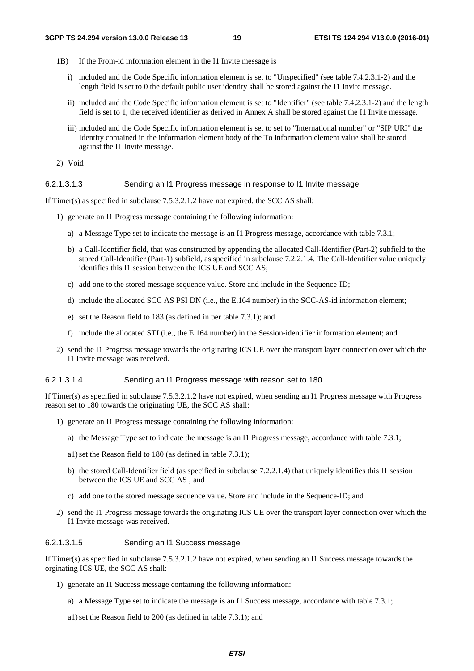- 1B) If the From-id information element in the I1 Invite message is
	- i) included and the Code Specific information element is set to "Unspecified" (see table 7.4.2.3.1-2) and the length field is set to 0 the default public user identity shall be stored against the I1 Invite message.
	- ii) included and the Code Specific information element is set to "Identifier" (see table 7.4.2.3.1-2) and the length field is set to 1, the received identifier as derived in Annex A shall be stored against the I1 Invite message.
	- iii) included and the Code Specific information element is set to set to "International number" or "SIP URI" the Identity contained in the information element body of the To information element value shall be stored against the I1 Invite message.
- 2) Void

#### 6.2.1.3.1.3 Sending an I1 Progress message in response to I1 Invite message

If Timer(s) as specified in subclause 7.5.3.2.1.2 have not expired, the SCC AS shall:

- 1) generate an I1 Progress message containing the following information:
	- a) a Message Type set to indicate the message is an I1 Progress message, accordance with table 7.3.1;
	- b) a Call-Identifier field, that was constructed by appending the allocated Call-Identifier (Part-2) subfield to the stored Call-Identifier (Part-1) subfield, as specified in subclause 7.2.2.1.4. The Call-Identifier value uniquely identifies this I1 session between the ICS UE and SCC AS;
	- c) add one to the stored message sequence value. Store and include in the Sequence-ID;
	- d) include the allocated SCC AS PSI DN (i.e., the E.164 number) in the SCC-AS-id information element;
	- e) set the Reason field to 183 (as defined in per table 7.3.1); and
	- f) include the allocated STI (i.e., the E.164 number) in the Session-identifier information element; and
- 2) send the I1 Progress message towards the originating ICS UE over the transport layer connection over which the I1 Invite message was received.

#### 6.2.1.3.1.4 Sending an I1 Progress message with reason set to 180

If Timer(s) as specified in subclause 7.5.3.2.1.2 have not expired, when sending an I1 Progress message with Progress reason set to 180 towards the originating UE, the SCC AS shall:

- 1) generate an I1 Progress message containing the following information:
	- a) the Message Type set to indicate the message is an I1 Progress message, accordance with table 7.3.1;
	- a1) set the Reason field to 180 (as defined in table 7.3.1);
	- b) the stored Call-Identifier field (as specified in subclause 7.2.2.1.4) that uniquely identifies this I1 session between the ICS UE and SCC AS ; and
	- c) add one to the stored message sequence value. Store and include in the Sequence-ID; and
- 2) send the I1 Progress message towards the originating ICS UE over the transport layer connection over which the I1 Invite message was received.

#### 6.2.1.3.1.5 Sending an I1 Success message

If Timer(s) as specified in subclause 7.5.3.2.1.2 have not expired, when sending an I1 Success message towards the orginating ICS UE, the SCC AS shall:

- 1) generate an I1 Success message containing the following information:
	- a) a Message Type set to indicate the message is an I1 Success message, accordance with table 7.3.1;
	- a1) set the Reason field to 200 (as defined in table 7.3.1); and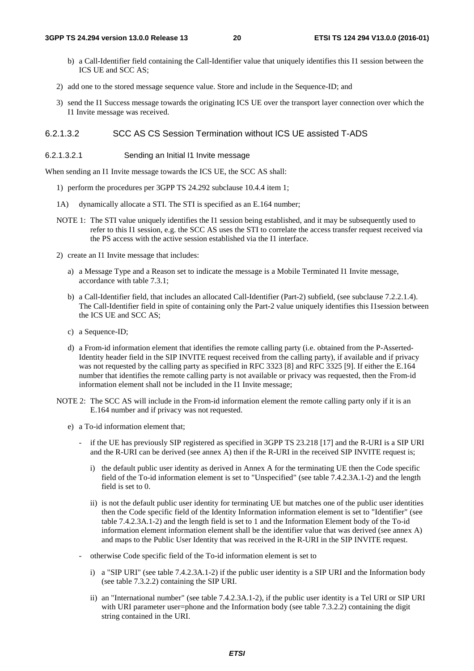- b) a Call-Identifier field containing the Call-Identifier value that uniquely identifies this I1 session between the ICS UE and SCC AS;
- 2) add one to the stored message sequence value. Store and include in the Sequence-ID; and
- 3) send the I1 Success message towards the originating ICS UE over the transport layer connection over which the I1 Invite message was received.

### 6.2.1.3.2 SCC AS CS Session Termination without ICS UE assisted T-ADS

6.2.1.3.2.1 Sending an Initial I1 Invite message

When sending an I1 Invite message towards the ICS UE, the SCC AS shall:

- 1) perform the procedures per 3GPP TS 24.292 subclause 10.4.4 item 1;
- 1A) dynamically allocate a STI. The STI is specified as an E.164 number;
- NOTE 1: The STI value uniquely identifies the I1 session being established, and it may be subsequently used to refer to this I1 session, e.g. the SCC AS uses the STI to correlate the access transfer request received via the PS access with the active session established via the I1 interface.
- 2) create an I1 Invite message that includes:
	- a) a Message Type and a Reason set to indicate the message is a Mobile Terminated I1 Invite message, accordance with table 7.3.1;
	- b) a Call-Identifier field, that includes an allocated Call-Identifier (Part-2) subfield, (see subclause 7.2.2.1.4). The Call-Identifier field in spite of containing only the Part-2 value uniquely identifies this I1session between the ICS UE and SCC AS;
	- c) a Sequence-ID;
	- d) a From-id information element that identifies the remote calling party (i.e. obtained from the P-Asserted-Identity header field in the SIP INVITE request received from the calling party), if available and if privacy was not requested by the calling party as specified in RFC 3323 [8] and RFC 3325 [9]. If either the E.164 number that identifies the remote calling party is not available or privacy was requested, then the From-id information element shall not be included in the I1 Invite message;
- NOTE 2: The SCC AS will include in the From-id information element the remote calling party only if it is an E.164 number and if privacy was not requested.
	- e) a To-id information element that;
		- if the UE has previously SIP registered as specified in 3GPP TS 23.218 [17] and the R-URI is a SIP URI and the R-URI can be derived (see annex A) then if the R-URI in the received SIP INVITE request is;
			- i) the default public user identity as derived in Annex A for the terminating UE then the Code specific field of the To-id information element is set to "Unspecified" (see table 7.4.2.3A.1-2) and the length field is set to 0.
			- ii) is not the default public user identity for terminating UE but matches one of the public user identities then the Code specific field of the Identity Information information element is set to "Identifier" (see table 7.4.2.3A.1-2) and the length field is set to 1 and the Information Element body of the To-id information element information element shall be the identifier value that was derived (see annex A) and maps to the Public User Identity that was received in the R-URI in the SIP INVITE request.
		- otherwise Code specific field of the To-id information element is set to
			- i) a "SIP URI" (see table 7.4.2.3A.1-2) if the public user identity is a SIP URI and the Information body (see table 7.3.2.2) containing the SIP URI.
			- ii) an "International number" (see table 7.4.2.3A.1-2), if the public user identity is a Tel URI or SIP URI with URI parameter user=phone and the Information body (see table 7.3.2.2) containing the digit string contained in the URI.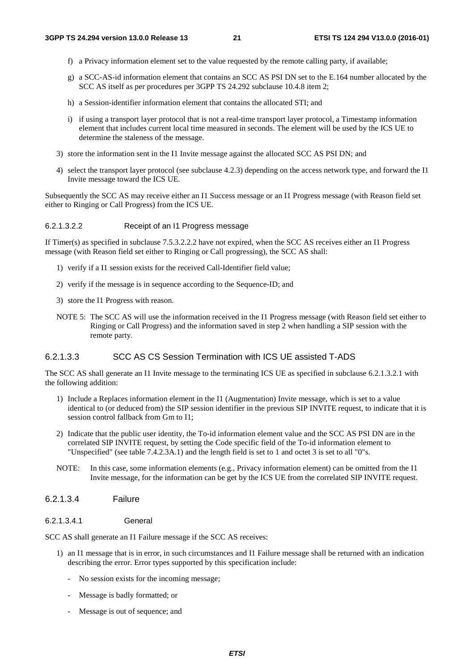- f) a Privacy information element set to the value requested by the remote calling party, if available;
- g) a SCC-AS-id information element that contains an SCC AS PSI DN set to the E.164 number allocated by the SCC AS itself as per procedures per 3GPP TS 24.292 subclause 10.4.8 item 2;
- h) a Session-identifier information element that contains the allocated STI; and
- i) if using a transport layer protocol that is not a real-time transport layer protocol, a Timestamp information element that includes current local time measured in seconds. The element will be used by the ICS UE to determine the staleness of the message.
- 3) store the information sent in the I1 Invite message against the allocated SCC AS PSI DN; and
- 4) select the transport layer protocol (see subclause 4.2.3) depending on the access network type, and forward the I1 Invite message toward the ICS UE.

Subsequently the SCC AS may receive either an I1 Success message or an I1 Progress message (with Reason field set either to Ringing or Call Progress) from the ICS UE.

#### 6.2.1.3.2.2 Receipt of an I1 Progress message

If Timer(s) as specified in subclause 7.5.3.2.2.2 have not expired, when the SCC AS receives either an I1 Progress message (with Reason field set either to Ringing or Call progressing), the SCC AS shall:

- 1) verify if a I1 session exists for the received Call-Identifier field value;
- 2) verify if the message is in sequence according to the Sequence-ID; and
- 3) store the I1 Progress with reason.
- NOTE 5: The SCC AS will use the information received in the I1 Progress message (with Reason field set either to Ringing or Call Progress) and the information saved in step 2 when handling a SIP session with the remote party.

#### 6.2.1.3.3 SCC AS CS Session Termination with ICS UE assisted T-ADS

The SCC AS shall generate an I1 Invite message to the terminating ICS UE as specified in subclause 6.2.1.3.2.1 with the following addition:

- 1) Include a Replaces information element in the I1 (Augmentation) Invite message, which is set to a value identical to (or deduced from) the SIP session identifier in the previous SIP INVITE request, to indicate that it is session control fallback from Gm to I1;
- 2) Indicate that the public user identity, the To-id information element value and the SCC AS PSI DN are in the correlated SIP INVITE request, by setting the Code specific field of the To-id information element to "Unspecified" (see table 7.4.2.3A.1) and the length field is set to 1 and octet 3 is set to all "0"s.
- NOTE: In this case, some information elements (e.g., Privacy information element) can be omitted from the I1 Invite message, for the information can be get by the ICS UE from the correlated SIP INVITE request.
- 6.2.1.3.4 Failure
- 6.2.1.3.4.1 General

SCC AS shall generate an I1 Failure message if the SCC AS receives:

- 1) an I1 message that is in error, in such circumstances and I1 Failure message shall be returned with an indication describing the error. Error types supported by this specification include:
	- No session exists for the incoming message;
	- Message is badly formatted; or
	- Message is out of sequence; and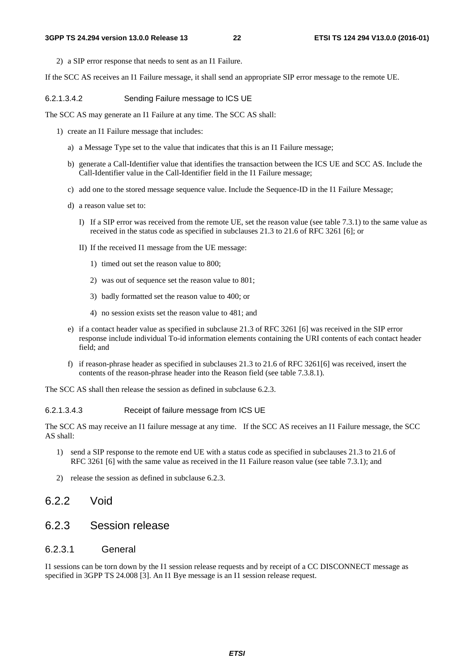2) a SIP error response that needs to sent as an I1 Failure.

If the SCC AS receives an I1 Failure message, it shall send an appropriate SIP error message to the remote UE.

### 6.2.1.3.4.2 Sending Failure message to ICS UE

The SCC AS may generate an I1 Failure at any time. The SCC AS shall:

- 1) create an I1 Failure message that includes:
	- a) a Message Type set to the value that indicates that this is an I1 Failure message;
	- b) generate a Call-Identifier value that identifies the transaction between the ICS UE and SCC AS. Include the Call-Identifier value in the Call-Identifier field in the I1 Failure message;
	- c) add one to the stored message sequence value. Include the Sequence-ID in the I1 Failure Message;
	- d) a reason value set to:
		- I) If a SIP error was received from the remote UE, set the reason value (see table 7.3.1) to the same value as received in the status code as specified in subclauses 21.3 to 21.6 of RFC 3261 [6]; or
		- II) If the received I1 message from the UE message:
			- 1) timed out set the reason value to 800;
			- 2) was out of sequence set the reason value to 801;
			- 3) badly formatted set the reason value to 400; or
			- 4) no session exists set the reason value to 481; and
	- e) if a contact header value as specified in subclause 21.3 of RFC 3261 [6] was received in the SIP error response include individual To-id information elements containing the URI contents of each contact header field; and
	- f) if reason-phrase header as specified in subclauses 21.3 to 21.6 of RFC 3261[6] was received, insert the contents of the reason-phrase header into the Reason field (see table 7.3.8.1).

The SCC AS shall then release the session as defined in subclause 6.2.3.

# 6.2.1.3.4.3 Receipt of failure message from ICS UE

The SCC AS may receive an I1 failure message at any time. If the SCC AS receives an I1 Failure message, the SCC AS shall:

- 1) send a SIP response to the remote end UE with a status code as specified in subclauses 21.3 to 21.6 of RFC 3261 [6] with the same value as received in the I1 Failure reason value (see table 7.3.1); and
- 2) release the session as defined in subclause 6.2.3.

# 6.2.2 Void

# 6.2.3 Session release

# 6.2.3.1 General

I1 sessions can be torn down by the I1 session release requests and by receipt of a CC DISCONNECT message as specified in 3GPP TS 24.008 [3]. An I1 Bye message is an I1 session release request.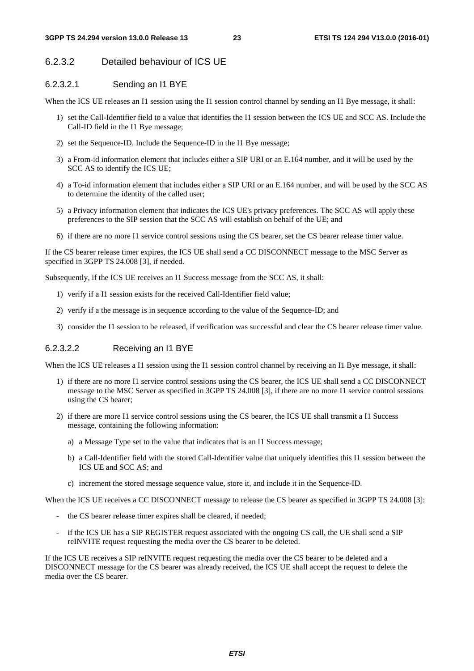# 6.2.3.2 Detailed behaviour of ICS UE

### 6.2.3.2.1 Sending an I1 BYE

When the ICS UE releases an I1 session using the I1 session control channel by sending an I1 Bye message, it shall:

- 1) set the Call-Identifier field to a value that identifies the I1 session between the ICS UE and SCC AS. Include the Call-ID field in the I1 Bye message;
- 2) set the Sequence-ID. Include the Sequence-ID in the I1 Bye message;
- 3) a From-id information element that includes either a SIP URI or an E.164 number, and it will be used by the SCC AS to identify the ICS UE;
- 4) a To-id information element that includes either a SIP URI or an E.164 number, and will be used by the SCC AS to determine the identity of the called user;
- 5) a Privacy information element that indicates the ICS UE's privacy preferences. The SCC AS will apply these preferences to the SIP session that the SCC AS will establish on behalf of the UE; and
- 6) if there are no more I1 service control sessions using the CS bearer, set the CS bearer release timer value.

If the CS bearer release timer expires, the ICS UE shall send a CC DISCONNECT message to the MSC Server as specified in 3GPP TS 24.008 [3], if needed.

Subsequently, if the ICS UE receives an I1 Success message from the SCC AS, it shall:

- 1) verify if a I1 session exists for the received Call-Identifier field value;
- 2) verify if a the message is in sequence according to the value of the Sequence-ID; and
- 3) consider the I1 session to be released, if verification was successful and clear the CS bearer release timer value.

#### 6.2.3.2.2 Receiving an I1 BYE

When the ICS UE releases a I1 session using the I1 session control channel by receiving an I1 Bye message, it shall:

- 1) if there are no more I1 service control sessions using the CS bearer, the ICS UE shall send a CC DISCONNECT message to the MSC Server as specified in 3GPP TS 24.008 [3], if there are no more I1 service control sessions using the CS bearer;
- 2) if there are more I1 service control sessions using the CS bearer, the ICS UE shall transmit a I1 Success message, containing the following information:
	- a) a Message Type set to the value that indicates that is an I1 Success message;
	- b) a Call-Identifier field with the stored Call-Identifier value that uniquely identifies this I1 session between the ICS UE and SCC AS; and
	- c) increment the stored message sequence value, store it, and include it in the Sequence-ID.

When the ICS UE receives a CC DISCONNECT message to release the CS bearer as specified in 3GPP TS 24.008 [3]:

- the CS bearer release timer expires shall be cleared, if needed;
- if the ICS UE has a SIP REGISTER request associated with the ongoing CS call, the UE shall send a SIP reINVITE request requesting the media over the CS bearer to be deleted.

If the ICS UE receives a SIP reINVITE request requesting the media over the CS bearer to be deleted and a DISCONNECT message for the CS bearer was already received, the ICS UE shall accept the request to delete the media over the CS bearer.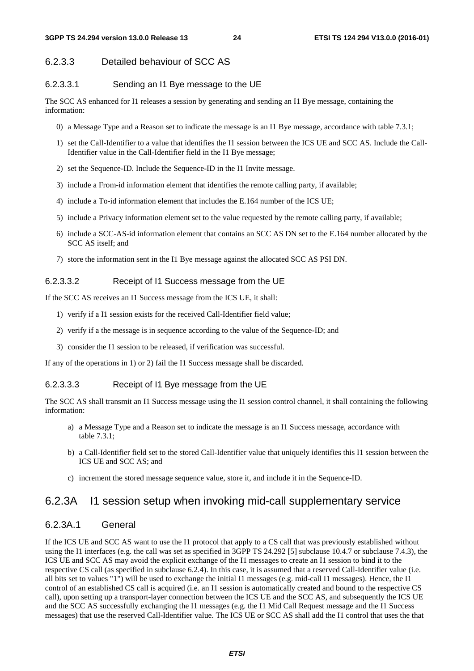### 6.2.3.3 Detailed behaviour of SCC AS

#### 6.2.3.3.1 Sending an I1 Bye message to the UE

The SCC AS enhanced for I1 releases a session by generating and sending an I1 Bye message, containing the information:

- 0) a Message Type and a Reason set to indicate the message is an I1 Bye message, accordance with table 7.3.1;
- 1) set the Call-Identifier to a value that identifies the I1 session between the ICS UE and SCC AS. Include the Call-Identifier value in the Call-Identifier field in the I1 Bye message;
- 2) set the Sequence-ID. Include the Sequence-ID in the I1 Invite message.
- 3) include a From-id information element that identifies the remote calling party, if available;
- 4) include a To-id information element that includes the E.164 number of the ICS UE;
- 5) include a Privacy information element set to the value requested by the remote calling party, if available;
- 6) include a SCC-AS-id information element that contains an SCC AS DN set to the E.164 number allocated by the SCC AS itself; and
- 7) store the information sent in the I1 Bye message against the allocated SCC AS PSI DN.

#### 6.2.3.3.2 Receipt of I1 Success message from the UE

If the SCC AS receives an I1 Success message from the ICS UE, it shall:

- 1) verify if a I1 session exists for the received Call-Identifier field value;
- 2) verify if a the message is in sequence according to the value of the Sequence-ID; and
- 3) consider the I1 session to be released, if verification was successful.

If any of the operations in 1) or 2) fail the I1 Success message shall be discarded.

#### 6.2.3.3.3 Receipt of I1 Bye message from the UE

The SCC AS shall transmit an I1 Success message using the I1 session control channel, it shall containing the following information:

- a) a Message Type and a Reason set to indicate the message is an I1 Success message, accordance with table 7.3.1;
- b) a Call-Identifier field set to the stored Call-Identifier value that uniquely identifies this I1 session between the ICS UE and SCC AS; and
- c) increment the stored message sequence value, store it, and include it in the Sequence-ID.

# 6.2.3A I1 session setup when invoking mid-call supplementary service

# 6.2.3A.1 General

If the ICS UE and SCC AS want to use the I1 protocol that apply to a CS call that was previously established without using the I1 interfaces (e.g. the call was set as specified in 3GPP TS 24.292 [5] subclause 10.4.7 or subclause 7.4.3), the ICS UE and SCC AS may avoid the explicit exchange of the I1 messages to create an I1 session to bind it to the respective CS call (as specified in subclause 6.2.4). In this case, it is assumed that a reserved Call-Identifier value (i.e. all bits set to values "1") will be used to exchange the initial I1 messages (e.g. mid-call I1 messages). Hence, the I1 control of an established CS call is acquired (i.e. an I1 session is automatically created and bound to the respective CS call), upon setting up a transport-layer connection between the ICS UE and the SCC AS, and subsequently the ICS UE and the SCC AS successfully exchanging the I1 messages (e.g. the I1 Mid Call Request message and the I1 Success messages) that use the reserved Call-Identifier value. The ICS UE or SCC AS shall add the I1 control that uses the that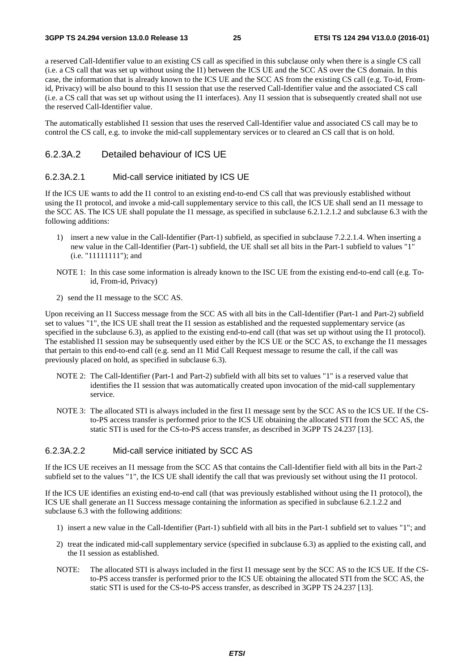a reserved Call-Identifier value to an existing CS call as specified in this subclause only when there is a single CS call (i.e. a CS call that was set up without using the I1) between the ICS UE and the SCC AS over the CS domain. In this case, the information that is already known to the ICS UE and the SCC AS from the existing CS call (e.g. To-id, Fromid, Privacy) will be also bound to this I1 session that use the reserved Call-Identifier value and the associated CS call (i.e. a CS call that was set up without using the I1 interfaces). Any I1 session that is subsequently created shall not use the reserved Call-Identifier value.

The automatically established I1 session that uses the reserved Call-Identifier value and associated CS call may be to control the CS call, e.g. to invoke the mid-call supplementary services or to cleared an CS call that is on hold.

# 6.2.3A.2 Detailed behaviour of ICS UE

#### 6.2.3A.2.1 Mid-call service initiated by ICS UE

If the ICS UE wants to add the I1 control to an existing end-to-end CS call that was previously established without using the I1 protocol, and invoke a mid-call supplementary service to this call, the ICS UE shall send an I1 message to the SCC AS. The ICS UE shall populate the I1 message, as specified in subclause 6.2.1.2.1.2 and subclause 6.3 with the following additions:

- 1) insert a new value in the Call-Identifier (Part-1) subfield, as specified in subclause 7.2.2.1.4. When inserting a new value in the Call-Identifier (Part-1) subfield, the UE shall set all bits in the Part-1 subfield to values "1" (i.e. "11111111"); and
- NOTE 1: In this case some information is already known to the ISC UE from the existing end-to-end call (e.g. Toid, From-id, Privacy)
- 2) send the I1 message to the SCC AS.

Upon receiving an I1 Success message from the SCC AS with all bits in the Call-Identifier (Part-1 and Part-2) subfield set to values "1", the ICS UE shall treat the I1 session as established and the requested supplementary service (as specified in the subclause 6.3), as applied to the existing end-to-end call (that was set up without using the I1 protocol). The established I1 session may be subsequently used either by the ICS UE or the SCC AS, to exchange the I1 messages that pertain to this end-to-end call (e.g. send an I1 Mid Call Request message to resume the call, if the call was previously placed on hold, as specified in subclause 6.3).

- NOTE 2: The Call-Identifier (Part-1 and Part-2) subfield with all bits set to values "1" is a reserved value that identifies the I1 session that was automatically created upon invocation of the mid-call supplementary service.
- NOTE 3: The allocated STI is always included in the first I1 message sent by the SCC AS to the ICS UE. If the CSto-PS access transfer is performed prior to the ICS UE obtaining the allocated STI from the SCC AS, the static STI is used for the CS-to-PS access transfer, as described in 3GPP TS 24.237 [13].

### 6.2.3A.2.2 Mid-call service initiated by SCC AS

If the ICS UE receives an I1 message from the SCC AS that contains the Call-Identifier field with all bits in the Part-2 subfield set to the values "1", the ICS UE shall identify the call that was previously set without using the I1 protocol.

If the ICS UE identifies an existing end-to-end call (that was previously established without using the I1 protocol), the ICS UE shall generate an I1 Success message containing the information as specified in subclause 6.2.1.2.2 and subclause 6.3 with the following additions:

- 1) insert a new value in the Call-Identifier (Part-1) subfield with all bits in the Part-1 subfield set to values "1"; and
- 2) treat the indicated mid-call supplementary service (specified in subclause 6.3) as applied to the existing call, and the I1 session as established.
- NOTE: The allocated STI is always included in the first I1 message sent by the SCC AS to the ICS UE. If the CSto-PS access transfer is performed prior to the ICS UE obtaining the allocated STI from the SCC AS, the static STI is used for the CS-to-PS access transfer, as described in 3GPP TS 24.237 [13].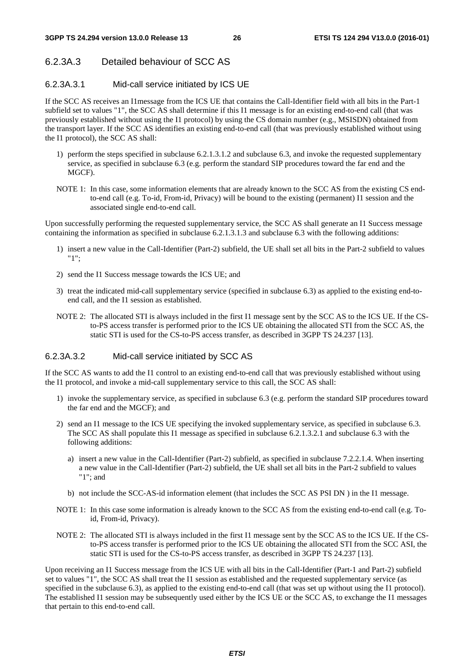# 6.2.3A.3 Detailed behaviour of SCC AS

# 6.2.3A.3.1 Mid-call service initiated by ICS UE

If the SCC AS receives an I1message from the ICS UE that contains the Call-Identifier field with all bits in the Part-1 subfield set to values "1", the SCC AS shall determine if this I1 message is for an existing end-to-end call (that was previously established without using the I1 protocol) by using the CS domain number (e.g., MSISDN) obtained from the transport layer. If the SCC AS identifies an existing end-to-end call (that was previously established without using the I1 protocol), the SCC AS shall:

- 1) perform the steps specified in subclause 6.2.1.3.1.2 and subclause 6.3, and invoke the requested supplementary service, as specified in subclause 6.3 (e.g. perform the standard SIP procedures toward the far end and the MGCF).
- NOTE 1: In this case, some information elements that are already known to the SCC AS from the existing CS endto-end call (e.g. To-id, From-id, Privacy) will be bound to the existing (permanent) I1 session and the associated single end-to-end call.

Upon successfully performing the requested supplementary service, the SCC AS shall generate an I1 Success message containing the information as specified in subclause 6.2.1.3.1.3 and subclause 6.3 with the following additions:

- 1) insert a new value in the Call-Identifier (Part-2) subfield, the UE shall set all bits in the Part-2 subfield to values "1";
- 2) send the I1 Success message towards the ICS UE; and
- 3) treat the indicated mid-call supplementary service (specified in subclause 6.3) as applied to the existing end-toend call, and the I1 session as established.
- NOTE 2: The allocated STI is always included in the first I1 message sent by the SCC AS to the ICS UE. If the CSto-PS access transfer is performed prior to the ICS UE obtaining the allocated STI from the SCC AS, the static STI is used for the CS-to-PS access transfer, as described in 3GPP TS 24.237 [13].

### 6.2.3A.3.2 Mid-call service initiated by SCC AS

If the SCC AS wants to add the I1 control to an existing end-to-end call that was previously established without using the I1 protocol, and invoke a mid-call supplementary service to this call, the SCC AS shall:

- 1) invoke the supplementary service, as specified in subclause 6.3 (e.g. perform the standard SIP procedures toward the far end and the MGCF); and
- 2) send an I1 message to the ICS UE specifying the invoked supplementary service, as specified in subclause 6.3. The SCC AS shall populate this I1 message as specified in subclause 6.2.1.3.2.1 and subclause 6.3 with the following additions:
	- a) insert a new value in the Call-Identifier (Part-2) subfield, as specified in subclause 7.2.2.1.4. When inserting a new value in the Call-Identifier (Part-2) subfield, the UE shall set all bits in the Part-2 subfield to values "1"; and
	- b) not include the SCC-AS-id information element (that includes the SCC AS PSI DN ) in the I1 message.
- NOTE 1: In this case some information is already known to the SCC AS from the existing end-to-end call (e.g. Toid, From-id, Privacy).
- NOTE 2: The allocated STI is always included in the first I1 message sent by the SCC AS to the ICS UE. If the CSto-PS access transfer is performed prior to the ICS UE obtaining the allocated STI from the SCC ASI, the static STI is used for the CS-to-PS access transfer, as described in 3GPP TS 24.237 [13].

Upon receiving an I1 Success message from the ICS UE with all bits in the Call-Identifier (Part-1 and Part-2) subfield set to values "1", the SCC AS shall treat the I1 session as established and the requested supplementary service (as specified in the subclause 6.3), as applied to the existing end-to-end call (that was set up without using the I1 protocol). The established I1 session may be subsequently used either by the ICS UE or the SCC AS, to exchange the I1 messages that pertain to this end-to-end call.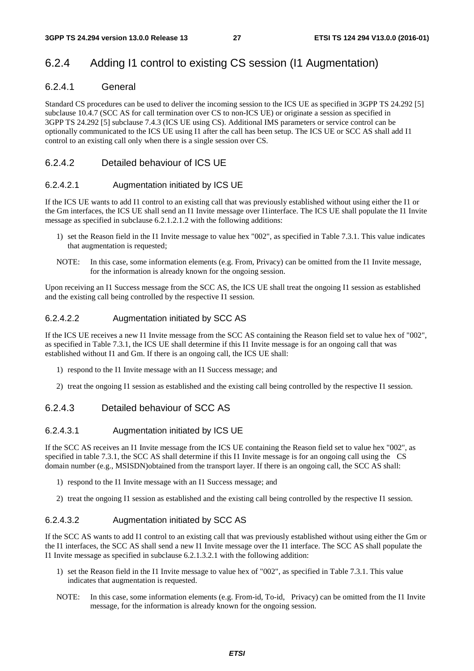# 6.2.4 Adding I1 control to existing CS session (I1 Augmentation)

# 6.2.4.1 General

Standard CS procedures can be used to deliver the incoming session to the ICS UE as specified in 3GPP TS 24.292 [5] subclause 10.4.7 (SCC AS for call termination over CS to non-ICS UE) or originate a session as specified in 3GPP TS 24.292 [5] subclause 7.4.3 (ICS UE using CS). Additional IMS parameters or service control can be optionally communicated to the ICS UE using I1 after the call has been setup. The ICS UE or SCC AS shall add I1 control to an existing call only when there is a single session over CS.

# 6.2.4.2 Detailed behaviour of ICS UE

#### 6.2.4.2.1 Augmentation initiated by ICS UE

If the ICS UE wants to add I1 control to an existing call that was previously established without using either the I1 or the Gm interfaces, the ICS UE shall send an I1 Invite message over I1interface. The ICS UE shall populate the I1 Invite message as specified in subclause 6.2.1.2.1.2 with the following additions:

- 1) set the Reason field in the I1 Invite message to value hex "002", as specified in Table 7.3.1. This value indicates that augmentation is requested;
- NOTE: In this case, some information elements (e.g. From, Privacy) can be omitted from the I1 Invite message, for the information is already known for the ongoing session.

Upon receiving an I1 Success message from the SCC AS, the ICS UE shall treat the ongoing I1 session as established and the existing call being controlled by the respective I1 session.

### 6.2.4.2.2 Augmentation initiated by SCC AS

If the ICS UE receives a new I1 Invite message from the SCC AS containing the Reason field set to value hex of "002", as specified in Table 7.3.1, the ICS UE shall determine if this I1 Invite message is for an ongoing call that was established without I1 and Gm. If there is an ongoing call, the ICS UE shall:

- 1) respond to the I1 Invite message with an I1 Success message; and
- 2) treat the ongoing I1 session as established and the existing call being controlled by the respective I1 session.

# 6.2.4.3 Detailed behaviour of SCC AS

### 6.2.4.3.1 Augmentation initiated by ICS UE

If the SCC AS receives an I1 Invite message from the ICS UE containing the Reason field set to value hex "002", as specified in table 7.3.1, the SCC AS shall determine if this I1 Invite message is for an ongoing call using the CS domain number (e.g., MSISDN)obtained from the transport layer. If there is an ongoing call, the SCC AS shall:

- 1) respond to the I1 Invite message with an I1 Success message; and
- 2) treat the ongoing I1 session as established and the existing call being controlled by the respective I1 session.

### 6.2.4.3.2 Augmentation initiated by SCC AS

If the SCC AS wants to add I1 control to an existing call that was previously established without using either the Gm or the I1 interfaces, the SCC AS shall send a new I1 Invite message over the I1 interface. The SCC AS shall populate the I1 Invite message as specified in subclause 6.2.1.3.2.1 with the following addition:

- 1) set the Reason field in the I1 Invite message to value hex of "002", as specified in Table 7.3.1. This value indicates that augmentation is requested.
- NOTE: In this case, some information elements (e.g. From-id, To-id, Privacy) can be omitted from the I1 Invite message, for the information is already known for the ongoing session.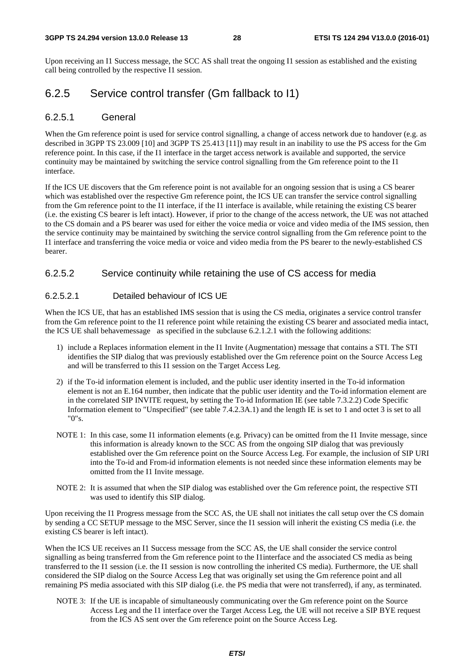Upon receiving an I1 Success message, the SCC AS shall treat the ongoing I1 session as established and the existing call being controlled by the respective I1 session.

# 6.2.5 Service control transfer (Gm fallback to I1)

#### 6.2.5.1 General

When the Gm reference point is used for service control signalling, a change of access network due to handover (e.g. as described in 3GPP TS 23.009 [10] and 3GPP TS 25.413 [11]) may result in an inability to use the PS access for the Gm reference point. In this case, if the I1 interface in the target access network is available and supported, the service continuity may be maintained by switching the service control signalling from the Gm reference point to the I1 interface.

If the ICS UE discovers that the Gm reference point is not available for an ongoing session that is using a CS bearer which was established over the respective Gm reference point, the ICS UE can transfer the service control signalling from the Gm reference point to the I1 interface, if the I1 interface is available, while retaining the existing CS bearer (i.e. the existing CS bearer is left intact). However, if prior to the change of the access network, the UE was not attached to the CS domain and a PS bearer was used for either the voice media or voice and video media of the IMS session, then the service continuity may be maintained by switching the service control signalling from the Gm reference point to the I1 interface and transferring the voice media or voice and video media from the PS bearer to the newly-established CS bearer.

#### 6.2.5.2 Service continuity while retaining the use of CS access for media

# 6.2.5.2.1 Detailed behaviour of ICS UE

When the ICS UE, that has an established IMS session that is using the CS media, originates a service control transfer from the Gm reference point to the I1 reference point while retaining the existing CS bearer and associated media intact, the ICS UE shall behavemessage as specified in the subclause 6.2.1.2.1 with the following additions:

- 1) include a Replaces information element in the I1 Invite (Augmentation) message that contains a STI. The STI identifies the SIP dialog that was previously established over the Gm reference point on the Source Access Leg and will be transferred to this I1 session on the Target Access Leg.
- 2) if the To-id information element is included, and the public user identity inserted in the To-id information element is not an E.164 number, then indicate that the public user identity and the To-id information element are in the correlated SIP INVITE request, by setting the To-id Information IE (see table 7.3.2.2) Code Specific Information element to "Unspecified" (see table 7.4.2.3A.1) and the length IE is set to 1 and octet 3 is set to all "0"s.
- NOTE 1: In this case, some I1 information elements (e.g. Privacy) can be omitted from the I1 Invite message, since this information is already known to the SCC AS from the ongoing SIP dialog that was previously established over the Gm reference point on the Source Access Leg. For example, the inclusion of SIP URI into the To-id and From-id information elements is not needed since these information elements may be omitted from the I1 Invite message.
- NOTE 2: It is assumed that when the SIP dialog was established over the Gm reference point, the respective STI was used to identify this SIP dialog.

Upon receiving the I1 Progress message from the SCC AS, the UE shall not initiates the call setup over the CS domain by sending a CC SETUP message to the MSC Server, since the I1 session will inherit the existing CS media (i.e. the existing CS bearer is left intact).

When the ICS UE receives an I1 Success message from the SCC AS, the UE shall consider the service control signalling as being transferred from the Gm reference point to the I1interface and the associated CS media as being transferred to the I1 session (i.e. the I1 session is now controlling the inherited CS media). Furthermore, the UE shall considered the SIP dialog on the Source Access Leg that was originally set using the Gm reference point and all remaining PS media associated with this SIP dialog (i.e. the PS media that were not transferred), if any, as terminated.

NOTE 3: If the UE is incapable of simultaneously communicating over the Gm reference point on the Source Access Leg and the I1 interface over the Target Access Leg, the UE will not receive a SIP BYE request from the ICS AS sent over the Gm reference point on the Source Access Leg.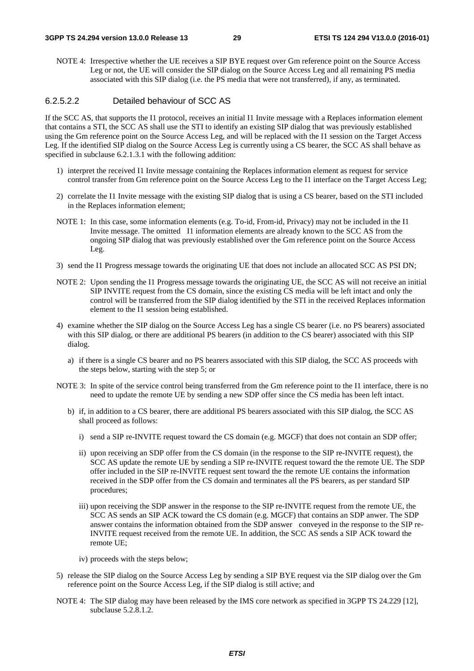NOTE 4: Irrespective whether the UE receives a SIP BYE request over Gm reference point on the Source Access Leg or not, the UE will consider the SIP dialog on the Source Access Leg and all remaining PS media associated with this SIP dialog (i.e. the PS media that were not transferred), if any, as terminated.

### 6.2.5.2.2 Detailed behaviour of SCC AS

If the SCC AS, that supports the I1 protocol, receives an initial I1 Invite message with a Replaces information element that contains a STI, the SCC AS shall use the STI to identify an existing SIP dialog that was previously established using the Gm reference point on the Source Access Leg, and will be replaced with the I1 session on the Target Access Leg. If the identified SIP dialog on the Source Access Leg is currently using a CS bearer, the SCC AS shall behave as specified in subclause 6.2.1.3.1 with the following addition:

- 1) interpret the received I1 Invite message containing the Replaces information element as request for service control transfer from Gm reference point on the Source Access Leg to the I1 interface on the Target Access Leg;
- 2) correlate the I1 Invite message with the existing SIP dialog that is using a CS bearer, based on the STI included in the Replaces information element;
- NOTE 1: In this case, some information elements (e.g. To-id, From-id, Privacy) may not be included in the I1 Invite message. The omitted I1 information elements are already known to the SCC AS from the ongoing SIP dialog that was previously established over the Gm reference point on the Source Access Leg.
- 3) send the I1 Progress message towards the originating UE that does not include an allocated SCC AS PSI DN;
- NOTE 2: Upon sending the I1 Progress message towards the originating UE, the SCC AS will not receive an initial SIP INVITE request from the CS domain, since the existing CS media will be left intact and only the control will be transferred from the SIP dialog identified by the STI in the received Replaces information element to the I1 session being established.
- 4) examine whether the SIP dialog on the Source Access Leg has a single CS bearer (i.e. no PS bearers) associated with this SIP dialog, or there are additional PS bearers (in addition to the CS bearer) associated with this SIP dialog.
	- a) if there is a single CS bearer and no PS bearers associated with this SIP dialog, the SCC AS proceeds with the steps below, starting with the step 5; or
- NOTE 3: In spite of the service control being transferred from the Gm reference point to the I1 interface, there is no need to update the remote UE by sending a new SDP offer since the CS media has been left intact.
	- b) if, in addition to a CS bearer, there are additional PS bearers associated with this SIP dialog, the SCC AS shall proceed as follows:
		- i) send a SIP re-INVITE request toward the CS domain (e.g. MGCF) that does not contain an SDP offer;
		- ii) upon receiving an SDP offer from the CS domain (in the response to the SIP re-INVITE request), the SCC AS update the remote UE by sending a SIP re-INVITE request toward the the remote UE. The SDP offer included in the SIP re-INVITE request sent toward the the remote UE contains the information received in the SDP offer from the CS domain and terminates all the PS bearers, as per standard SIP procedures;
		- iii) upon receiving the SDP answer in the response to the SIP re-INVITE request from the remote UE, the SCC AS sends an SIP ACK toward the CS domain (e.g. MGCF) that contains an SDP anwer. The SDP answer contains the information obtained from the SDP answer conveyed in the response to the SIP re-INVITE request received from the remote UE. In addition, the SCC AS sends a SIP ACK toward the remote UE;
		- iv) proceeds with the steps below;
- 5) release the SIP dialog on the Source Access Leg by sending a SIP BYE request via the SIP dialog over the Gm reference point on the Source Access Leg, if the SIP dialog is still active; and
- NOTE 4: The SIP dialog may have been released by the IMS core network as specified in 3GPP TS 24.229 [12], subclause 5.2.8.1.2.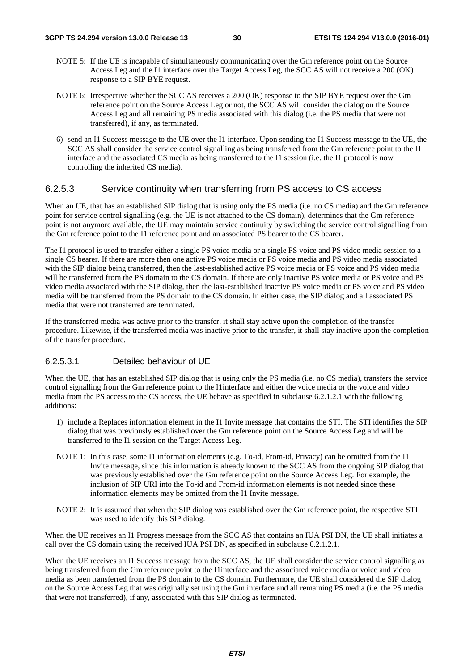- NOTE 5: If the UE is incapable of simultaneously communicating over the Gm reference point on the Source Access Leg and the I1 interface over the Target Access Leg, the SCC AS will not receive a 200 (OK) response to a SIP BYE request.
- NOTE 6: Irrespective whether the SCC AS receives a 200 (OK) response to the SIP BYE request over the Gm reference point on the Source Access Leg or not, the SCC AS will consider the dialog on the Source Access Leg and all remaining PS media associated with this dialog (i.e. the PS media that were not transferred), if any, as terminated.
- 6) send an I1 Success message to the UE over the I1 interface. Upon sending the I1 Success message to the UE, the SCC AS shall consider the service control signalling as being transferred from the Gm reference point to the I1 interface and the associated CS media as being transferred to the I1 session (i.e. the I1 protocol is now controlling the inherited CS media).

#### 6.2.5.3 Service continuity when transferring from PS access to CS access

When an UE, that has an established SIP dialog that is using only the PS media (i.e. no CS media) and the Gm reference point for service control signalling (e.g. the UE is not attached to the CS domain), determines that the Gm reference point is not anymore available, the UE may maintain service continuity by switching the service control signalling from the Gm reference point to the I1 reference point and an associated PS bearer to the CS bearer.

The I1 protocol is used to transfer either a single PS voice media or a single PS voice and PS video media session to a single CS bearer. If there are more then one active PS voice media or PS voice media and PS video media associated with the SIP dialog being transferred, then the last-established active PS voice media or PS voice and PS video media will be transferred from the PS domain to the CS domain. If there are only inactive PS voice media or PS voice and PS video media associated with the SIP dialog, then the last-established inactive PS voice media or PS voice and PS video media will be transferred from the PS domain to the CS domain. In either case, the SIP dialog and all associated PS media that were not transferred are terminated.

If the transferred media was active prior to the transfer, it shall stay active upon the completion of the transfer procedure. Likewise, if the transferred media was inactive prior to the transfer, it shall stay inactive upon the completion of the transfer procedure.

### 6.2.5.3.1 Detailed behaviour of UE

When the UE, that has an established SIP dialog that is using only the PS media (i.e. no CS media), transfers the service control signalling from the Gm reference point to the I1interface and either the voice media or the voice and video media from the PS access to the CS access, the UE behave as specified in subclause 6.2.1.2.1 with the following additions:

- 1) include a Replaces information element in the I1 Invite message that contains the STI. The STI identifies the SIP dialog that was previously established over the Gm reference point on the Source Access Leg and will be transferred to the I1 session on the Target Access Leg.
- NOTE 1: In this case, some I1 information elements (e.g. To-id, From-id, Privacy) can be omitted from the I1 Invite message, since this information is already known to the SCC AS from the ongoing SIP dialog that was previously established over the Gm reference point on the Source Access Leg. For example, the inclusion of SIP URI into the To-id and From-id information elements is not needed since these information elements may be omitted from the I1 Invite message.
- NOTE 2: It is assumed that when the SIP dialog was established over the Gm reference point, the respective STI was used to identify this SIP dialog.

When the UE receives an I1 Progress message from the SCC AS that contains an IUA PSI DN, the UE shall initiates a call over the CS domain using the received IUA PSI DN, as specified in subclause 6.2.1.2.1.

When the UE receives an I1 Success message from the SCC AS, the UE shall consider the service control signalling as being transferred from the Gm reference point to the I1interface and the associated voice media or voice and video media as been transferred from the PS domain to the CS domain. Furthermore, the UE shall considered the SIP dialog on the Source Access Leg that was originally set using the Gm interface and all remaining PS media (i.e. the PS media that were not transferred), if any, associated with this SIP dialog as terminated.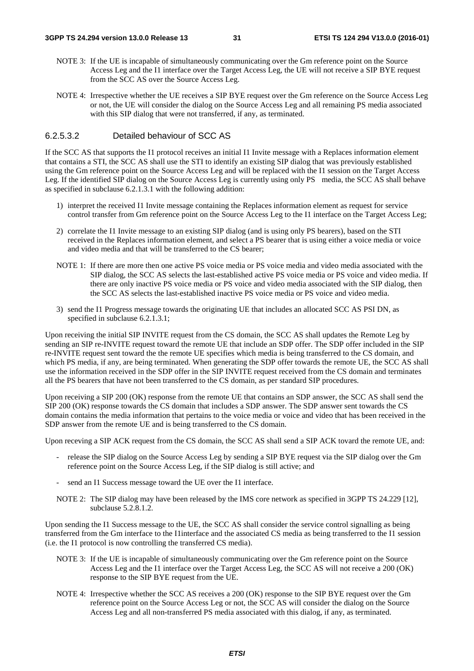- NOTE 3: If the UE is incapable of simultaneously communicating over the Gm reference point on the Source Access Leg and the I1 interface over the Target Access Leg, the UE will not receive a SIP BYE request from the SCC AS over the Source Access Leg.
- NOTE 4: Irrespective whether the UE receives a SIP BYE request over the Gm reference on the Source Access Leg or not, the UE will consider the dialog on the Source Access Leg and all remaining PS media associated with this SIP dialog that were not transferred, if any, as terminated.

# 6.2.5.3.2 Detailed behaviour of SCC AS

If the SCC AS that supports the I1 protocol receives an initial I1 Invite message with a Replaces information element that contains a STI, the SCC AS shall use the STI to identify an existing SIP dialog that was previously established using the Gm reference point on the Source Access Leg and will be replaced with the I1 session on the Target Access Leg. If the identified SIP dialog on the Source Access Leg is currently using only PS media, the SCC AS shall behave as specified in subclause 6.2.1.3.1 with the following addition:

- 1) interpret the received I1 Invite message containing the Replaces information element as request for service control transfer from Gm reference point on the Source Access Leg to the I1 interface on the Target Access Leg;
- 2) correlate the I1 Invite message to an existing SIP dialog (and is using only PS bearers), based on the STI received in the Replaces information element, and select a PS bearer that is using either a voice media or voice and video media and that will be transferred to the CS bearer;
- NOTE 1: If there are more then one active PS voice media or PS voice media and video media associated with the SIP dialog, the SCC AS selects the last-established active PS voice media or PS voice and video media. If there are only inactive PS voice media or PS voice and video media associated with the SIP dialog, then the SCC AS selects the last-established inactive PS voice media or PS voice and video media.
- 3) send the I1 Progress message towards the originating UE that includes an allocated SCC AS PSI DN, as specified in subclause 6.2.1.3.1;

Upon receiving the initial SIP INVITE request from the CS domain, the SCC AS shall updates the Remote Leg by sending an SIP re-INVITE request toward the remote UE that include an SDP offer. The SDP offer included in the SIP re-INVITE request sent toward the the remote UE specifies which media is being transferred to the CS domain, and which PS media, if any, are being terminated. When generating the SDP offer towards the remote UE, the SCC AS shall use the information received in the SDP offer in the SIP INVITE request received from the CS domain and terminates all the PS bearers that have not been transferred to the CS domain, as per standard SIP procedures.

Upon receiving a SIP 200 (OK) response from the remote UE that contains an SDP answer, the SCC AS shall send the SIP 200 (OK) response towards the CS domain that includes a SDP answer. The SDP answer sent towards the CS domain contains the media information that pertains to the voice media or voice and video that has been received in the SDP answer from the remote UE and is being transferred to the CS domain.

Upon receving a SIP ACK request from the CS domain, the SCC AS shall send a SIP ACK tovard the remote UE, and:

- release the SIP dialog on the Source Access Leg by sending a SIP BYE request via the SIP dialog over the Gm reference point on the Source Access Leg, if the SIP dialog is still active; and
- send an I1 Success message toward the UE over the I1 interface.
- NOTE 2: The SIP dialog may have been released by the IMS core network as specified in 3GPP TS 24.229 [12], subclause 5.2.8.1.2.

Upon sending the I1 Success message to the UE, the SCC AS shall consider the service control signalling as being transferred from the Gm interface to the I1interface and the associated CS media as being transferred to the I1 session (i.e. the I1 protocol is now controlling the transferred CS media).

- NOTE 3: If the UE is incapable of simultaneously communicating over the Gm reference point on the Source Access Leg and the I1 interface over the Target Access Leg, the SCC AS will not receive a 200 (OK) response to the SIP BYE request from the UE.
- NOTE 4: Irrespective whether the SCC AS receives a 200 (OK) response to the SIP BYE request over the Gm reference point on the Source Access Leg or not, the SCC AS will consider the dialog on the Source Access Leg and all non-transferred PS media associated with this dialog, if any, as terminated.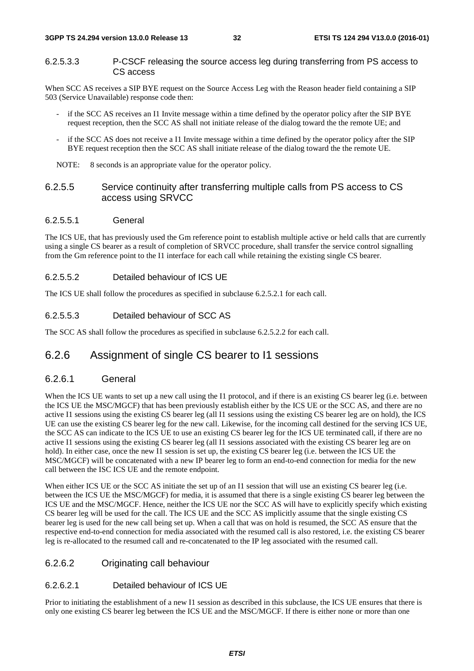#### 6.2.5.3.3 P-CSCF releasing the source access leg during transferring from PS access to CS access

When SCC AS receives a SIP BYE request on the Source Access Leg with the Reason header field containing a SIP 503 (Service Unavailable) response code then:

- if the SCC AS receives an I1 Invite message within a time defined by the operator policy after the SIP BYE request reception, then the SCC AS shall not initiate release of the dialog toward the the remote UE; and
- if the SCC AS does not receive a I1 Invite message within a time defined by the operator policy after the SIP BYE request reception then the SCC AS shall initiate release of the dialog toward the the remote UE.
- NOTE: 8 seconds is an appropriate value for the operator policy.

# 6.2.5.5 Service continuity after transferring multiple calls from PS access to CS access using SRVCC

#### 6.2.5.5.1 General

The ICS UE, that has previously used the Gm reference point to establish multiple active or held calls that are currently using a single CS bearer as a result of completion of SRVCC procedure, shall transfer the service control signalling from the Gm reference point to the I1 interface for each call while retaining the existing single CS bearer.

### 6.2.5.5.2 Detailed behaviour of ICS UE

The ICS UE shall follow the procedures as specified in subclause 6.2.5.2.1 for each call.

# 6.2.5.5.3 Detailed behaviour of SCC AS

The SCC AS shall follow the procedures as specified in subclause 6.2.5.2.2 for each call.

# 6.2.6 Assignment of single CS bearer to I1 sessions

# 6.2.6.1 General

When the ICS UE wants to set up a new call using the I1 protocol, and if there is an existing CS bearer leg (i.e. between the ICS UE the MSC/MGCF) that has been previously establish either by the ICS UE or the SCC AS, and there are no active I1 sessions using the existing CS bearer leg (all I1 sessions using the existing CS bearer leg are on hold), the ICS UE can use the existing CS bearer leg for the new call. Likewise, for the incoming call destined for the serving ICS UE, the SCC AS can indicate to the ICS UE to use an existing CS bearer leg for the ICS UE terminated call, if there are no active I1 sessions using the existing CS bearer leg (all I1 sessions associated with the existing CS bearer leg are on hold). In either case, once the new I1 session is set up, the existing CS bearer leg (i.e. between the ICS UE the MSC/MGCF) will be concatenated with a new IP bearer leg to form an end-to-end connection for media for the new call between the ISC ICS UE and the remote endpoint.

When either ICS UE or the SCC AS initiate the set up of an I1 session that will use an existing CS bearer leg (i.e. between the ICS UE the MSC/MGCF) for media, it is assumed that there is a single existing CS bearer leg between the ICS UE and the MSC/MGCF. Hence, neither the ICS UE nor the SCC AS will have to explicitly specify which existing CS bearer leg will be used for the call. The ICS UE and the SCC AS implicitly assume that the single existing CS bearer leg is used for the new call being set up. When a call that was on hold is resumed, the SCC AS ensure that the respective end-to-end connection for media associated with the resumed call is also restored, i.e. the existing CS bearer leg is re-allocated to the resumed call and re-concatenated to the IP leg associated with the resumed call.

# 6.2.6.2 Originating call behaviour

### 6.2.6.2.1 Detailed behaviour of ICS UE

Prior to initiating the establishment of a new I1 session as described in this subclause, the ICS UE ensures that there is only one existing CS bearer leg between the ICS UE and the MSC/MGCF. If there is either none or more than one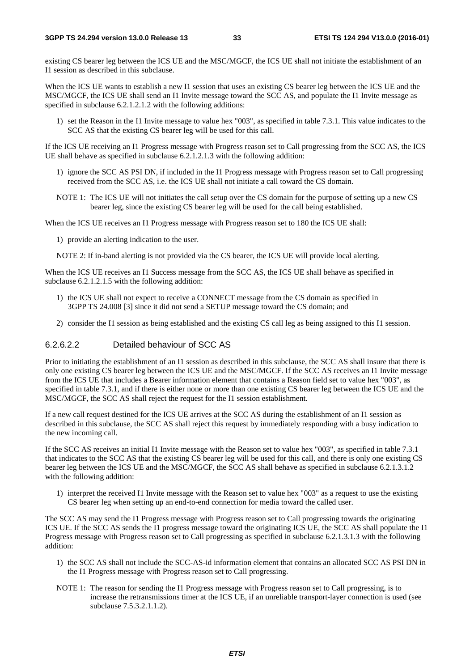existing CS bearer leg between the ICS UE and the MSC/MGCF, the ICS UE shall not initiate the establishment of an I1 session as described in this subclause.

When the ICS UE wants to establish a new I1 session that uses an existing CS bearer leg between the ICS UE and the MSC/MGCF, the ICS UE shall send an I1 Invite message toward the SCC AS, and populate the I1 Invite message as specified in subclause 6.2.1.2.1.2 with the following additions:

1) set the Reason in the I1 Invite message to value hex "003", as specified in table 7.3.1. This value indicates to the SCC AS that the existing CS bearer leg will be used for this call.

If the ICS UE receiving an I1 Progress message with Progress reason set to Call progressing from the SCC AS, the ICS UE shall behave as specified in subclause 6.2.1.2.1.3 with the following addition:

- 1) ignore the SCC AS PSI DN, if included in the I1 Progress message with Progress reason set to Call progressing received from the SCC AS, i.e. the ICS UE shall not initiate a call toward the CS domain.
- NOTE 1: The ICS UE will not initiates the call setup over the CS domain for the purpose of setting up a new CS bearer leg, since the existing CS bearer leg will be used for the call being established.

When the ICS UE receives an I1 Progress message with Progress reason set to 180 the ICS UE shall:

1) provide an alerting indication to the user.

NOTE 2: If in-band alerting is not provided via the CS bearer, the ICS UE will provide local alerting.

When the ICS UE receives an I1 Success message from the SCC AS, the ICS UE shall behave as specified in subclause 6.2.1.2.1.5 with the following addition:

- 1) the ICS UE shall not expect to receive a CONNECT message from the CS domain as specified in 3GPP TS 24.008 [3] since it did not send a SETUP message toward the CS domain; and
- 2) consider the I1 session as being established and the existing CS call leg as being assigned to this I1 session.

## 6.2.6.2.2 Detailed behaviour of SCC AS

Prior to initiating the establishment of an I1 session as described in this subclause, the SCC AS shall insure that there is only one existing CS bearer leg between the ICS UE and the MSC/MGCF. If the SCC AS receives an I1 Invite message from the ICS UE that includes a Bearer information element that contains a Reason field set to value hex "003", as specified in table 7.3.1, and if there is either none or more than one existing CS bearer leg between the ICS UE and the MSC/MGCF, the SCC AS shall reject the request for the I1 session establishment.

If a new call request destined for the ICS UE arrives at the SCC AS during the establishment of an I1 session as described in this subclause, the SCC AS shall reject this request by immediately responding with a busy indication to the new incoming call.

If the SCC AS receives an initial I1 Invite message with the Reason set to value hex "003", as specified in table 7.3.1 that indicates to the SCC AS that the existing CS bearer leg will be used for this call, and there is only one existing CS bearer leg between the ICS UE and the MSC/MGCF, the SCC AS shall behave as specified in subclause 6.2.1.3.1.2 with the following addition:

1) interpret the received I1 Invite message with the Reason set to value hex "003" as a request to use the existing CS bearer leg when setting up an end-to-end connection for media toward the called user.

The SCC AS may send the I1 Progress message with Progress reason set to Call progressing towards the originating ICS UE. If the SCC AS sends the I1 progress message toward the originating ICS UE, the SCC AS shall populate the I1 Progress message with Progress reason set to Call progressing as specified in subclause 6.2.1.3.1.3 with the following addition:

- 1) the SCC AS shall not include the SCC-AS-id information element that contains an allocated SCC AS PSI DN in the I1 Progress message with Progress reason set to Call progressing.
- NOTE 1: The reason for sending the I1 Progress message with Progress reason set to Call progressing, is to increase the retransmissions timer at the ICS UE, if an unreliable transport-layer connection is used (see subclause 7.5.3.2.1.1.2).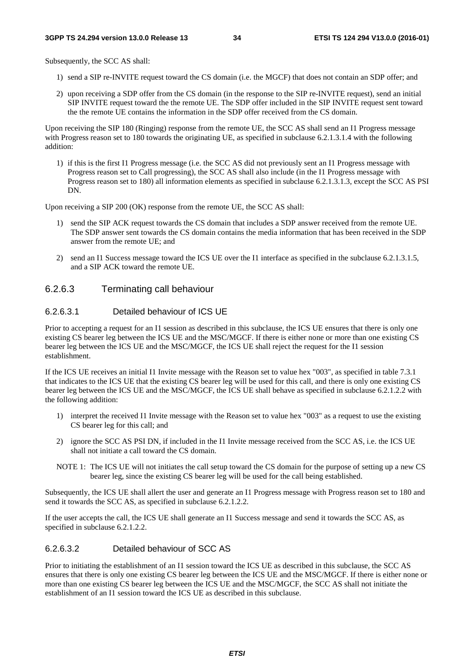Subsequently, the SCC AS shall:

- 1) send a SIP re-INVITE request toward the CS domain (i.e. the MGCF) that does not contain an SDP offer; and
- 2) upon receiving a SDP offer from the CS domain (in the response to the SIP re-INVITE request), send an initial SIP INVITE request toward the the remote UE. The SDP offer included in the SIP INVITE request sent toward the the remote UE contains the information in the SDP offer received from the CS domain.

Upon receiving the SIP 180 (Ringing) response from the remote UE, the SCC AS shall send an I1 Progress message with Progress reason set to 180 towards the originating UE, as specified in subclause 6.2.1.3.1.4 with the following addition:

1) if this is the first I1 Progress message (i.e. the SCC AS did not previously sent an I1 Progress message with Progress reason set to Call progressing), the SCC AS shall also include (in the I1 Progress message with Progress reason set to 180) all information elements as specified in subclause 6.2.1.3.1.3, except the SCC AS PSI DN.

Upon receiving a SIP 200 (OK) response from the remote UE, the SCC AS shall:

- 1) send the SIP ACK request towards the CS domain that includes a SDP answer received from the remote UE. The SDP answer sent towards the CS domain contains the media information that has been received in the SDP answer from the remote UE; and
- 2) send an I1 Success message toward the ICS UE over the I1 interface as specified in the subclause 6.2.1.3.1.5, and a SIP ACK toward the remote UE.

#### 6.2.6.3 Terminating call behaviour

# 6.2.6.3.1 Detailed behaviour of ICS UE

Prior to accepting a request for an I1 session as described in this subclause, the ICS UE ensures that there is only one existing CS bearer leg between the ICS UE and the MSC/MGCF. If there is either none or more than one existing CS bearer leg between the ICS UE and the MSC/MGCF, the ICS UE shall reject the request for the I1 session establishment.

If the ICS UE receives an initial I1 Invite message with the Reason set to value hex "003", as specified in table 7.3.1 that indicates to the ICS UE that the existing CS bearer leg will be used for this call, and there is only one existing CS bearer leg between the ICS UE and the MSC/MGCF, the ICS UE shall behave as specified in subclause 6.2.1.2.2 with the following addition:

- 1) interpret the received I1 Invite message with the Reason set to value hex "003" as a request to use the existing CS bearer leg for this call; and
- 2) ignore the SCC AS PSI DN, if included in the I1 Invite message received from the SCC AS, i.e. the ICS UE shall not initiate a call toward the CS domain.
- NOTE 1: The ICS UE will not initiates the call setup toward the CS domain for the purpose of setting up a new CS bearer leg, since the existing CS bearer leg will be used for the call being established.

Subsequently, the ICS UE shall allert the user and generate an I1 Progress message with Progress reason set to 180 and send it towards the SCC AS, as specified in subclause 6.2.1.2.2.

If the user accepts the call, the ICS UE shall generate an I1 Success message and send it towards the SCC AS, as specified in subclause 6.2.1.2.2.

#### 6.2.6.3.2 Detailed behaviour of SCC AS

Prior to initiating the establishment of an I1 session toward the ICS UE as described in this subclause, the SCC AS ensures that there is only one existing CS bearer leg between the ICS UE and the MSC/MGCF. If there is either none or more than one existing CS bearer leg between the ICS UE and the MSC/MGCF, the SCC AS shall not initiate the establishment of an I1 session toward the ICS UE as described in this subclause.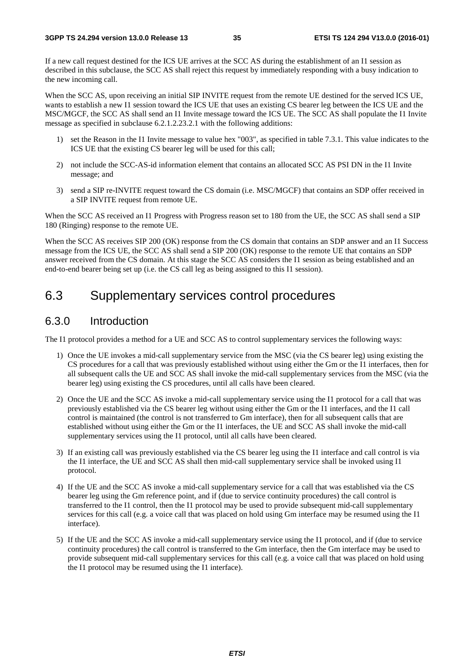If a new call request destined for the ICS UE arrives at the SCC AS during the establishment of an I1 session as described in this subclause, the SCC AS shall reject this request by immediately responding with a busy indication to the new incoming call.

When the SCC AS, upon receiving an initial SIP INVITE request from the remote UE destined for the served ICS UE, wants to establish a new I1 session toward the ICS UE that uses an existing CS bearer leg between the ICS UE and the MSC/MGCF, the SCC AS shall send an I1 Invite message toward the ICS UE. The SCC AS shall populate the I1 Invite message as specified in subclause 6.2.1.2.23.2.1 with the following additions:

- 1) set the Reason in the I1 Invite message to value hex "003", as specified in table 7.3.1. This value indicates to the ICS UE that the existing CS bearer leg will be used for this call;
- 2) not include the SCC-AS-id information element that contains an allocated SCC AS PSI DN in the I1 Invite message; and
- 3) send a SIP re-INVITE request toward the CS domain (i.e. MSC/MGCF) that contains an SDP offer received in a SIP INVITE request from remote UE.

When the SCC AS received an I1 Progress with Progress reason set to 180 from the UE, the SCC AS shall send a SIP 180 (Ringing) response to the remote UE.

When the SCC AS receives SIP 200 (OK) response from the CS domain that contains an SDP answer and an I1 Success message from the ICS UE, the SCC AS shall send a SIP 200 (OK) response to the remote UE that contains an SDP answer received from the CS domain. At this stage the SCC AS considers the I1 session as being established and an end-to-end bearer being set up (i.e. the CS call leg as being assigned to this I1 session).

# 6.3 Supplementary services control procedures

# 6.3.0 Introduction

The I1 protocol provides a method for a UE and SCC AS to control supplementary services the following ways:

- 1) Once the UE invokes a mid-call supplementary service from the MSC (via the CS bearer leg) using existing the CS procedures for a call that was previously established without using either the Gm or the I1 interfaces, then for all subsequent calls the UE and SCC AS shall invoke the mid-call supplementary services from the MSC (via the bearer leg) using existing the CS procedures, until all calls have been cleared.
- 2) Once the UE and the SCC AS invoke a mid-call supplementary service using the I1 protocol for a call that was previously established via the CS bearer leg without using either the Gm or the I1 interfaces, and the I1 call control is maintained (the control is not transferred to Gm interface), then for all subsequent calls that are established without using either the Gm or the I1 interfaces, the UE and SCC AS shall invoke the mid-call supplementary services using the I1 protocol, until all calls have been cleared.
- 3) If an existing call was previously established via the CS bearer leg using the I1 interface and call control is via the I1 interface, the UE and SCC AS shall then mid-call supplementary service shall be invoked using I1 protocol.
- 4) If the UE and the SCC AS invoke a mid-call supplementary service for a call that was established via the CS bearer leg using the Gm reference point, and if (due to service continuity procedures) the call control is transferred to the I1 control, then the I1 protocol may be used to provide subsequent mid-call supplementary services for this call (e.g. a voice call that was placed on hold using Gm interface may be resumed using the I1 interface).
- 5) If the UE and the SCC AS invoke a mid-call supplementary service using the I1 protocol, and if (due to service continuity procedures) the call control is transferred to the Gm interface, then the Gm interface may be used to provide subsequent mid-call supplementary services for this call (e.g. a voice call that was placed on hold using the I1 protocol may be resumed using the I1 interface).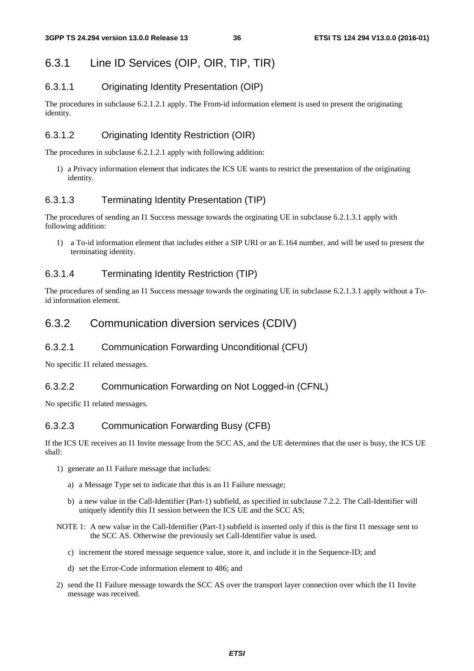# 6.3.1 Line ID Services (OIP, OIR, TIP, TIR)

# 6.3.1.1 Originating Identity Presentation (OIP)

The procedures in subclause 6.2.1.2.1 apply. The From-id information element is used to present the originating identity.

# 6.3.1.2 Originating Identity Restriction (OIR)

The procedures in subclause 6.2.1.2.1 apply with following addition:

1) a Privacy information element that indicates the ICS UE wants to restrict the presentation of the originating identity.

# 6.3.1.3 Terminating Identity Presentation (TIP)

The procedures of sending an I1 Success message towards the orginating UE in subclause 6.2.1.3.1 apply with following addition:

1) a To-id information element that includes either a SIP URI or an E.164 number, and will be used to present the terminating identity.

### 6.3.1.4 Terminating Identity Restriction (TIP)

The procedures of sending an I1 Success message towards the orginating UE in subclause 6.2.1.3.1 apply without a Toid information element.

# 6.3.2 Communication diversion services (CDIV)

# 6.3.2.1 Communication Forwarding Unconditional (CFU)

No specific I1 related messages.

# 6.3.2.2 Communication Forwarding on Not Logged-in (CFNL)

No specific I1 related messages.

# 6.3.2.3 Communication Forwarding Busy (CFB)

If the ICS UE receives an I1 Invite message from the SCC AS, and the UE determines that the user is busy, the ICS UE shall:

- 1) generate an I1 Failure message that includes:
	- a) a Message Type set to indicate that this is an I1 Failure message;
	- b) a new value in the Call-Identifier (Part-1) subfield, as specified in subclause 7.2.2. The Call-Identifier will uniquely identify this I1 session between the ICS UE and the SCC AS;
- NOTE 1: A new value in the Call-Identifier (Part-1) subfield is inserted only if this is the first I1 message sent to the SCC AS. Otherwise the previously set Call-Identifier value is used.
	- c) increment the stored message sequence value, store it, and include it in the Sequence-ID; and
	- d) set the Error-Code information element to 486; and
- 2) send the I1 Failure message towards the SCC AS over the transport layer connection over which the I1 Invite message was received.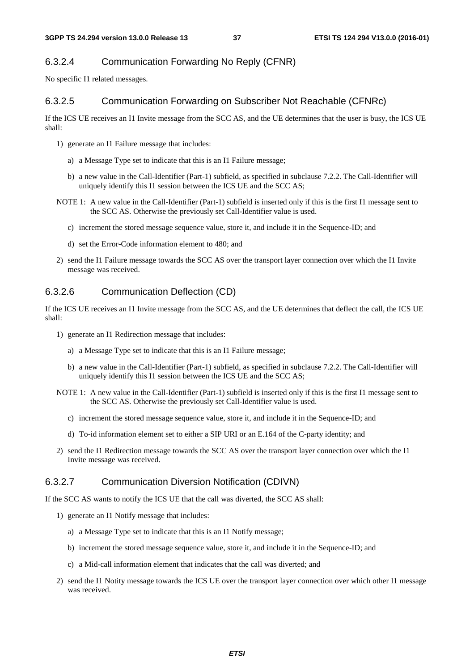## 6.3.2.4 Communication Forwarding No Reply (CFNR)

No specific I1 related messages.

## 6.3.2.5 Communication Forwarding on Subscriber Not Reachable (CFNRc)

If the ICS UE receives an I1 Invite message from the SCC AS, and the UE determines that the user is busy, the ICS UE shall:

- 1) generate an I1 Failure message that includes:
	- a) a Message Type set to indicate that this is an I1 Failure message;
	- b) a new value in the Call-Identifier (Part-1) subfield, as specified in subclause 7.2.2. The Call-Identifier will uniquely identify this I1 session between the ICS UE and the SCC AS;
- NOTE 1: A new value in the Call-Identifier (Part-1) subfield is inserted only if this is the first I1 message sent to the SCC AS. Otherwise the previously set Call-Identifier value is used.
	- c) increment the stored message sequence value, store it, and include it in the Sequence-ID; and
	- d) set the Error-Code information element to 480; and
- 2) send the I1 Failure message towards the SCC AS over the transport layer connection over which the I1 Invite message was received.

### 6.3.2.6 Communication Deflection (CD)

If the ICS UE receives an I1 Invite message from the SCC AS, and the UE determines that deflect the call, the ICS UE shall:

- 1) generate an I1 Redirection message that includes:
	- a) a Message Type set to indicate that this is an I1 Failure message;
	- b) a new value in the Call-Identifier (Part-1) subfield, as specified in subclause 7.2.2. The Call-Identifier will uniquely identify this I1 session between the ICS UE and the SCC AS;
- NOTE 1: A new value in the Call-Identifier (Part-1) subfield is inserted only if this is the first I1 message sent to the SCC AS. Otherwise the previously set Call-Identifier value is used.
	- c) increment the stored message sequence value, store it, and include it in the Sequence-ID; and
	- d) To-id information element set to either a SIP URI or an E.164 of the C-party identity; and
- 2) send the I1 Redirection message towards the SCC AS over the transport layer connection over which the I1 Invite message was received.

#### 6.3.2.7 Communication Diversion Notification (CDIVN)

If the SCC AS wants to notify the ICS UE that the call was diverted, the SCC AS shall:

- 1) generate an I1 Notify message that includes:
	- a) a Message Type set to indicate that this is an I1 Notify message;
	- b) increment the stored message sequence value, store it, and include it in the Sequence-ID; and
	- c) a Mid-call information element that indicates that the call was diverted; and
- 2) send the I1 Notity message towards the ICS UE over the transport layer connection over which other I1 message was received.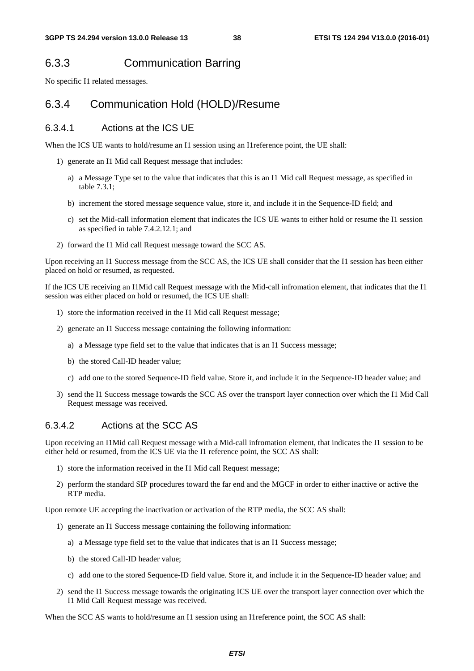# 6.3.3 Communication Barring

No specific I1 related messages.

# 6.3.4 Communication Hold (HOLD)/Resume

## 6.3.4.1 Actions at the ICS UE

When the ICS UE wants to hold/resume an I1 session using an I1 reference point, the UE shall:

- 1) generate an I1 Mid call Request message that includes:
	- a) a Message Type set to the value that indicates that this is an I1 Mid call Request message, as specified in table 7.3.1;
	- b) increment the stored message sequence value, store it, and include it in the Sequence-ID field; and
	- c) set the Mid-call information element that indicates the ICS UE wants to either hold or resume the I1 session as specified in table 7.4.2.12.1; and
- 2) forward the I1 Mid call Request message toward the SCC AS.

Upon receiving an I1 Success message from the SCC AS, the ICS UE shall consider that the I1 session has been either placed on hold or resumed, as requested.

If the ICS UE receiving an I1Mid call Request message with the Mid-call infromation element, that indicates that the I1 session was either placed on hold or resumed, the ICS UE shall:

- 1) store the information received in the I1 Mid call Request message;
- 2) generate an I1 Success message containing the following information:
	- a) a Message type field set to the value that indicates that is an I1 Success message;
	- b) the stored Call-ID header value;
	- c) add one to the stored Sequence-ID field value. Store it, and include it in the Sequence-ID header value; and
- 3) send the I1 Success message towards the SCC AS over the transport layer connection over which the I1 Mid Call Request message was received.

### 6.3.4.2 Actions at the SCC AS

Upon receiving an I1Mid call Request message with a Mid-call infromation element, that indicates the I1 session to be either held or resumed, from the ICS UE via the I1 reference point, the SCC AS shall:

- 1) store the information received in the I1 Mid call Request message;
- 2) perform the standard SIP procedures toward the far end and the MGCF in order to either inactive or active the RTP media.

Upon remote UE accepting the inactivation or activation of the RTP media, the SCC AS shall:

- 1) generate an I1 Success message containing the following information:
	- a) a Message type field set to the value that indicates that is an I1 Success message;
	- b) the stored Call-ID header value;
	- c) add one to the stored Sequence-ID field value. Store it, and include it in the Sequence-ID header value; and
- 2) send the I1 Success message towards the originating ICS UE over the transport layer connection over which the I1 Mid Call Request message was received.

When the SCC AS wants to hold/resume an I1 session using an I1 reference point, the SCC AS shall: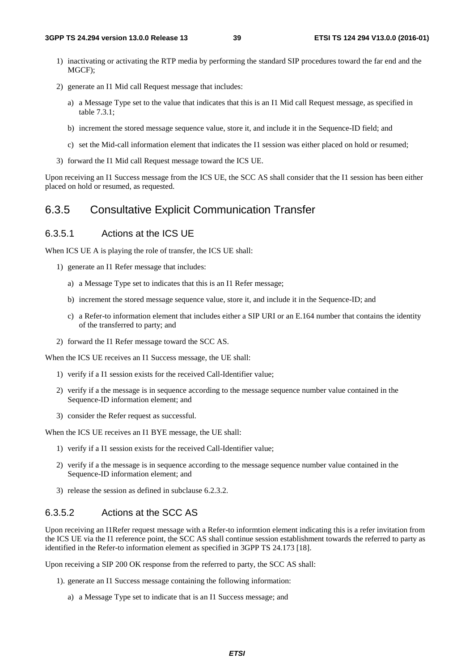- 1) inactivating or activating the RTP media by performing the standard SIP procedures toward the far end and the MGCF);
- 2) generate an I1 Mid call Request message that includes:
	- a) a Message Type set to the value that indicates that this is an I1 Mid call Request message, as specified in table 7.3.1;
	- b) increment the stored message sequence value, store it, and include it in the Sequence-ID field; and
	- c) set the Mid-call information element that indicates the I1 session was either placed on hold or resumed;
- 3) forward the I1 Mid call Request message toward the ICS UE.

Upon receiving an I1 Success message from the ICS UE, the SCC AS shall consider that the I1 session has been either placed on hold or resumed, as requested.

# 6.3.5 Consultative Explicit Communication Transfer

### 6.3.5.1 Actions at the ICS UE

When ICS UE A is playing the role of transfer, the ICS UE shall:

- 1) generate an I1 Refer message that includes:
	- a) a Message Type set to indicates that this is an I1 Refer message;
	- b) increment the stored message sequence value, store it, and include it in the Sequence-ID; and
	- c) a Refer-to information element that includes either a SIP URI or an E.164 number that contains the identity of the transferred to party; and
- 2) forward the I1 Refer message toward the SCC AS.

When the ICS UE receives an I1 Success message, the UE shall:

- 1) verify if a I1 session exists for the received Call-Identifier value;
- 2) verify if a the message is in sequence according to the message sequence number value contained in the Sequence-ID information element; and
- 3) consider the Refer request as successful.

When the ICS UE receives an I1 BYE message, the UE shall:

- 1) verify if a I1 session exists for the received Call-Identifier value;
- 2) verify if a the message is in sequence according to the message sequence number value contained in the Sequence-ID information element; and
- 3) release the session as defined in subclause 6.2.3.2.

### 6.3.5.2 Actions at the SCC AS

Upon receiving an I1Refer request message with a Refer-to informtion element indicating this is a refer invitation from the ICS UE via the I1 reference point, the SCC AS shall continue session establishment towards the referred to party as identified in the Refer-to information element as specified in 3GPP TS 24.173 [18].

Upon receiving a SIP 200 OK response from the referred to party, the SCC AS shall:

- 1). generate an I1 Success message containing the following information:
	- a) a Message Type set to indicate that is an I1 Success message; and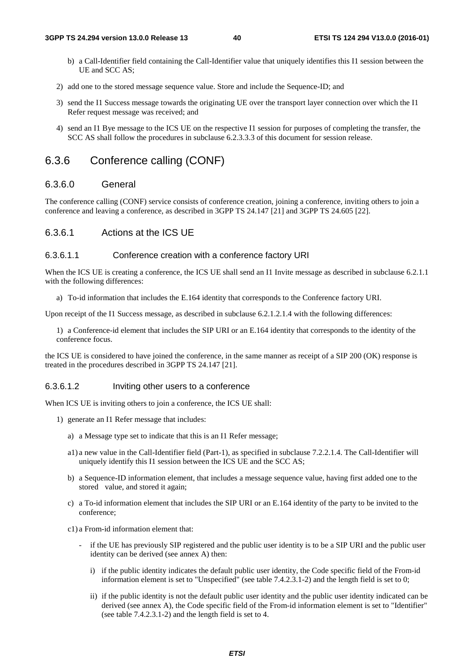- b) a Call-Identifier field containing the Call-Identifier value that uniquely identifies this I1 session between the UE and SCC AS;
- 2) add one to the stored message sequence value. Store and include the Sequence-ID; and
- 3) send the I1 Success message towards the originating UE over the transport layer connection over which the I1 Refer request message was received; and
- 4) send an I1 Bye message to the ICS UE on the respective I1 session for purposes of completing the transfer, the SCC AS shall follow the procedures in subclause 6.2.3.3.3 of this document for session release.

# 6.3.6 Conference calling (CONF)

# 6.3.6.0 General

The conference calling (CONF) service consists of conference creation, joining a conference, inviting others to join a conference and leaving a conference, as described in 3GPP TS 24.147 [21] and 3GPP TS 24.605 [22].

#### 6.3.6.1 Actions at the ICS UE

#### 6.3.6.1.1 Conference creation with a conference factory URI

When the ICS UE is creating a conference, the ICS UE shall send an I1 Invite message as described in subclause 6.2.1.1 with the following differences:

a) To-id information that includes the E.164 identity that corresponds to the Conference factory URI.

Upon receipt of the I1 Success message, as described in subclause 6.2.1.2.1.4 with the following differences:

1) a Conference-id element that includes the SIP URI or an E.164 identity that corresponds to the identity of the conference focus.

the ICS UE is considered to have joined the conference, in the same manner as receipt of a SIP 200 (OK) response is treated in the procedures described in 3GPP TS 24.147 [21].

#### 6.3.6.1.2 Inviting other users to a conference

When ICS UE is inviting others to join a conference, the ICS UE shall:

- 1) generate an I1 Refer message that includes:
	- a) a Message type set to indicate that this is an I1 Refer message;
	- a1) a new value in the Call-Identifier field (Part-1), as specified in subclause 7.2.2.1.4. The Call-Identifier will uniquely identify this I1 session between the ICS UE and the SCC AS;
	- b) a Sequence-ID information element, that includes a message sequence value, having first added one to the stored value, and stored it again;
	- c) a To-id information element that includes the SIP URI or an E.164 identity of the party to be invited to the conference;
	- c1) a From-id information element that:
		- if the UE has previously SIP registered and the public user identity is to be a SIP URI and the public user identity can be derived (see annex A) then:
			- i) if the public identity indicates the default public user identity, the Code specific field of the From-id information element is set to "Unspecified" (see table 7.4.2.3.1-2) and the length field is set to 0;
			- ii) if the public identity is not the default public user identity and the public user identity indicated can be derived (see annex A), the Code specific field of the From-id information element is set to "Identifier" (see table 7.4.2.3.1-2) and the length field is set to 4.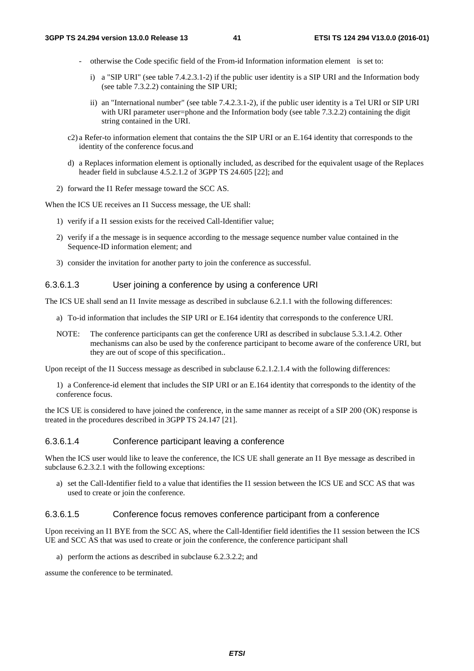- otherwise the Code specific field of the From-id Information information element is set to:
	- i) a "SIP URI" (see table 7.4.2.3.1-2) if the public user identity is a SIP URI and the Information body (see table 7.3.2.2) containing the SIP URI;
	- ii) an "International number" (see table 7.4.2.3.1-2), if the public user identity is a Tel URI or SIP URI with URI parameter user=phone and the Information body (see table 7.3.2.2) containing the digit string contained in the URI.
- c2) a Refer-to information element that contains the the SIP URI or an E.164 identity that corresponds to the identity of the conference focus.and
- d) a Replaces information element is optionally included, as described for the equivalent usage of the Replaces header field in subclause 4.5.2.1.2 of 3GPP TS 24.605 [22]; and
- 2) forward the I1 Refer message toward the SCC AS.

When the ICS UE receives an I1 Success message, the UE shall:

- 1) verify if a I1 session exists for the received Call-Identifier value;
- 2) verify if a the message is in sequence according to the message sequence number value contained in the Sequence-ID information element; and
- 3) consider the invitation for another party to join the conference as successful.

### 6.3.6.1.3 User joining a conference by using a conference URI

The ICS UE shall send an I1 Invite message as described in subclause 6.2.1.1 with the following differences:

- a) To-id information that includes the SIP URI or E.164 identity that corresponds to the conference URI.
- NOTE: The conference participants can get the conference URI as described in subclause 5.3.1.4.2. Other mechanisms can also be used by the conference participant to become aware of the conference URI, but they are out of scope of this specification..

Upon receipt of the I1 Success message as described in subclause 6.2.1.2.1.4 with the following differences:

1) a Conference-id element that includes the SIP URI or an E.164 identity that corresponds to the identity of the conference focus.

the ICS UE is considered to have joined the conference, in the same manner as receipt of a SIP 200 (OK) response is treated in the procedures described in 3GPP TS 24.147 [21].

# 6.3.6.1.4 Conference participant leaving a conference

When the ICS user would like to leave the conference, the ICS UE shall generate an I1 Bye message as described in subclause 6.2.3.2.1 with the following exceptions:

a) set the Call-Identifier field to a value that identifies the I1 session between the ICS UE and SCC AS that was used to create or join the conference.

### 6.3.6.1.5 Conference focus removes conference participant from a conference

Upon receiving an I1 BYE from the SCC AS, where the Call-Identifier field identifies the I1 session between the ICS UE and SCC AS that was used to create or join the conference, the conference participant shall

a) perform the actions as described in subclause 6.2.3.2.2; and

assume the conference to be terminated.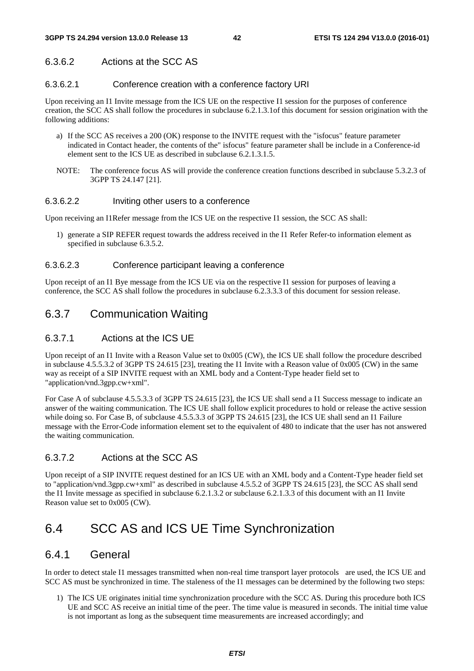# 6.3.6.2 Actions at the SCC AS

## 6.3.6.2.1 Conference creation with a conference factory URI

Upon receiving an I1 Invite message from the ICS UE on the respective I1 session for the purposes of conference creation, the SCC AS shall follow the procedures in subclause 6.2.1.3.1of this document for session origination with the following additions:

- a) If the SCC AS receives a 200 (OK) response to the INVITE request with the "isfocus" feature parameter indicated in Contact header, the contents of the" isfocus" feature parameter shall be include in a Conference-id element sent to the ICS UE as described in subclause 6.2.1.3.1.5.
- NOTE: The conference focus AS will provide the conference creation functions described in subclause 5.3.2.3 of 3GPP TS 24.147 [21].

### 6.3.6.2.2 Inviting other users to a conference

Upon receiving an I1Refer message from the ICS UE on the respective I1 session, the SCC AS shall:

1) generate a SIP REFER request towards the address received in the I1 Refer Refer-to information element as specified in subclause 6.3.5.2.

### 6.3.6.2.3 Conference participant leaving a conference

Upon receipt of an I1 Bye message from the ICS UE via on the respective I1 session for purposes of leaving a conference, the SCC AS shall follow the procedures in subclause 6.2.3.3.3 of this document for session release.

# 6.3.7 Communication Waiting

# 6.3.7.1 Actions at the ICS UE

Upon receipt of an I1 Invite with a Reason Value set to 0x005 (CW), the ICS UE shall follow the procedure described in subclause 4.5.5.3.2 of 3GPP TS 24.615 [23], treating the I1 Invite with a Reason value of 0x005 (CW) in the same way as receipt of a SIP INVITE request with an XML body and a Content-Type header field set to "application/vnd.3gpp.cw+xml".

For Case A of subclause 4.5.5.3.3 of 3GPP TS 24.615 [23], the ICS UE shall send a I1 Success message to indicate an answer of the waiting communication. The ICS UE shall follow explicit procedures to hold or release the active session while doing so. For Case B, of subclause 4.5.5.3.3 of 3GPP TS 24.615 [23], the ICS UE shall send an I1 Failure message with the Error-Code information element set to the equivalent of 480 to indicate that the user has not answered the waiting communication.

# 6.3.7.2 Actions at the SCC AS

Upon receipt of a SIP INVITE request destined for an ICS UE with an XML body and a Content-Type header field set to "application/vnd.3gpp.cw+xml" as described in subclause 4.5.5.2 of 3GPP TS 24.615 [23], the SCC AS shall send the I1 Invite message as specified in subclause 6.2.1.3.2 or subclause 6.2.1.3.3 of this document with an I1 Invite Reason value set to 0x005 (CW).

# 6.4 SCC AS and ICS UE Time Synchronization

# 6.4.1 General

In order to detect stale I1 messages transmitted when non-real time transport layer protocols are used, the ICS UE and SCC AS must be synchronized in time. The staleness of the I1 messages can be determined by the following two steps:

1) The ICS UE originates initial time synchronization procedure with the SCC AS. During this procedure both ICS UE and SCC AS receive an initial time of the peer. The time value is measured in seconds. The initial time value is not important as long as the subsequent time measurements are increased accordingly; and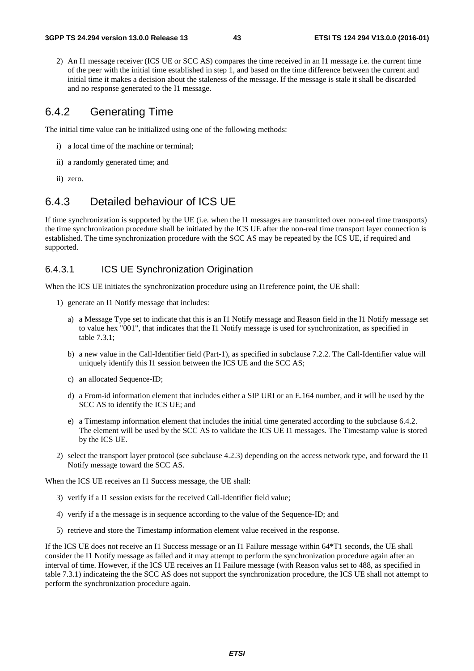2) An I1 message receiver (ICS UE or SCC AS) compares the time received in an I1 message i.e. the current time of the peer with the initial time established in step 1, and based on the time difference between the current and initial time it makes a decision about the staleness of the message. If the message is stale it shall be discarded and no response generated to the I1 message.

# 6.4.2 Generating Time

The initial time value can be initialized using one of the following methods:

- i) a local time of the machine or terminal;
- ii) a randomly generated time; and
- ii) zero.

# 6.4.3 Detailed behaviour of ICS UE

If time synchronization is supported by the UE (i.e. when the I1 messages are transmitted over non-real time transports) the time synchronization procedure shall be initiated by the ICS UE after the non-real time transport layer connection is established. The time synchronization procedure with the SCC AS may be repeated by the ICS UE, if required and supported.

# 6.4.3.1 ICS UE Synchronization Origination

When the ICS UE initiates the synchronization procedure using an I1 reference point, the UE shall:

- 1) generate an I1 Notify message that includes:
	- a) a Message Type set to indicate that this is an I1 Notify message and Reason field in the I1 Notify message set to value hex "001", that indicates that the I1 Notify message is used for synchronization, as specified in table 7.3.1;
	- b) a new value in the Call-Identifier field (Part-1), as specified in subclause 7.2.2. The Call-Identifier value will uniquely identify this I1 session between the ICS UE and the SCC AS;
	- c) an allocated Sequence-ID;
	- d) a From-id information element that includes either a SIP URI or an E.164 number, and it will be used by the SCC AS to identify the ICS UE; and
	- e) a Timestamp information element that includes the initial time generated according to the subclause 6.4.2. The element will be used by the SCC AS to validate the ICS UE I1 messages. The Timestamp value is stored by the ICS UE.
- 2) select the transport layer protocol (see subclause 4.2.3) depending on the access network type, and forward the I1 Notify message toward the SCC AS.

When the ICS UE receives an I1 Success message, the UE shall:

- 3) verify if a I1 session exists for the received Call-Identifier field value;
- 4) verify if a the message is in sequence according to the value of the Sequence-ID; and
- 5) retrieve and store the Timestamp information element value received in the response.

If the ICS UE does not receive an I1 Success message or an I1 Failure message within 64\*T1 seconds, the UE shall consider the I1 Notify message as failed and it may attempt to perform the synchronization procedure again after an interval of time. However, if the ICS UE receives an I1 Failure message (with Reason valus set to 488, as specified in table 7.3.1) indicateing the the SCC AS does not support the synchronization procedure, the ICS UE shall not attempt to perform the synchronization procedure again.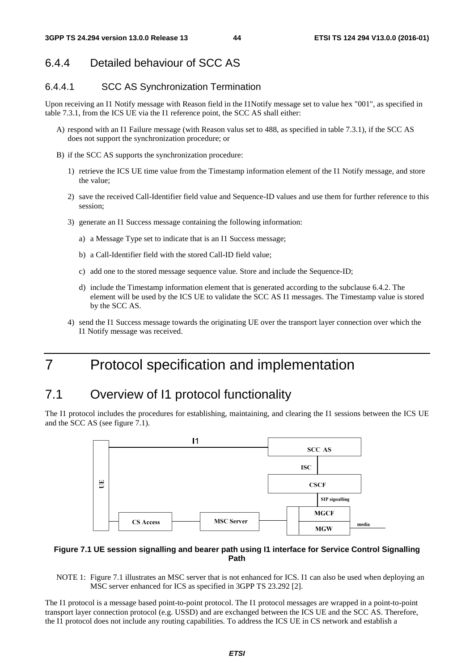# 6.4.4 Detailed behaviour of SCC AS

# 6.4.4.1 SCC AS Synchronization Termination

Upon receiving an I1 Notify message with Reason field in the I1Notify message set to value hex "001", as specified in table 7.3.1, from the ICS UE via the I1 reference point, the SCC AS shall either:

- A) respond with an I1 Failure message (with Reason valus set to 488, as specified in table 7.3.1), if the SCC AS does not support the synchronization procedure; or
- B) if the SCC AS supports the synchronization procedure:
	- 1) retrieve the ICS UE time value from the Timestamp information element of the I1 Notify message, and store the value;
	- 2) save the received Call-Identifier field value and Sequence-ID values and use them for further reference to this session;
	- 3) generate an I1 Success message containing the following information:
		- a) a Message Type set to indicate that is an I1 Success message;
		- b) a Call-Identifier field with the stored Call-ID field value;
		- c) add one to the stored message sequence value. Store and include the Sequence-ID;
		- d) include the Timestamp information element that is generated according to the subclause 6.4.2. The element will be used by the ICS UE to validate the SCC AS I1 messages. The Timestamp value is stored by the SCC AS.
	- 4) send the I1 Success message towards the originating UE over the transport layer connection over which the I1 Notify message was received.

# 7 Protocol specification and implementation

# 7.1 Overview of I1 protocol functionality

The I1 protocol includes the procedures for establishing, maintaining, and clearing the I1 sessions between the ICS UE and the SCC AS (see figure 7.1).



### **Figure 7.1 UE session signalling and bearer path using I1 interface for Service Control Signalling Path**

NOTE 1: Figure 7.1 illustrates an MSC server that is not enhanced for ICS. I1 can also be used when deploying an MSC server enhanced for ICS as specified in 3GPP TS 23.292 [2].

The I1 protocol is a message based point-to-point protocol. The I1 protocol messages are wrapped in a point-to-point transport layer connection protocol (e.g. USSD) and are exchanged between the ICS UE and the SCC AS. Therefore, the I1 protocol does not include any routing capabilities. To address the ICS UE in CS network and establish a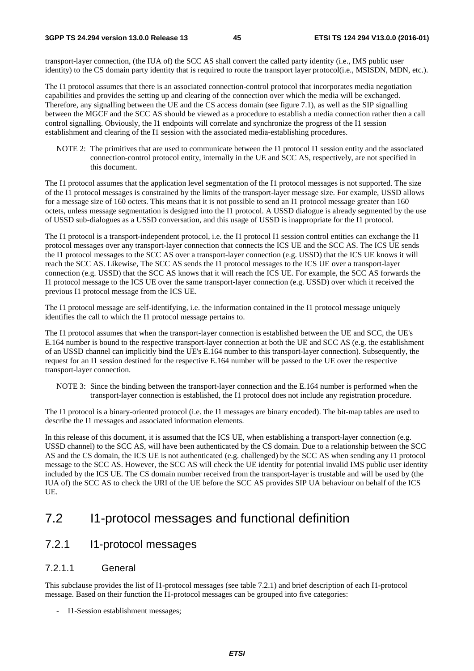transport-layer connection, (the IUA of) the SCC AS shall convert the called party identity (i.e., IMS public user identity) to the CS domain party identity that is required to route the transport layer protocol(i.e., MSISDN, MDN, etc.).

The I1 protocol assumes that there is an associated connection-control protocol that incorporates media negotiation capabilities and provides the setting up and clearing of the connection over which the media will be exchanged. Therefore, any signalling between the UE and the CS access domain (see figure 7.1), as well as the SIP signalling between the MGCF and the SCC AS should be viewed as a procedure to establish a media connection rather then a call control signalling. Obviously, the I1 endpoints will correlate and synchronize the progress of the I1 session establishment and clearing of the I1 session with the associated media-establishing procedures.

NOTE 2: The primitives that are used to communicate between the I1 protocol I1 session entity and the associated connection-control protocol entity, internally in the UE and SCC AS, respectively, are not specified in this document.

The I1 protocol assumes that the application level segmentation of the I1 protocol messages is not supported. The size of the I1 protocol messages is constrained by the limits of the transport-layer message size. For example, USSD allows for a message size of 160 octets. This means that it is not possible to send an I1 protocol message greater than 160 octets, unless message segmentation is designed into the I1 protocol. A USSD dialogue is already segmented by the use of USSD sub-dialogues as a USSD conversation, and this usage of USSD is inappropriate for the I1 protocol.

The I1 protocol is a transport-independent protocol, i.e. the I1 protocol I1 session control entities can exchange the I1 protocol messages over any transport-layer connection that connects the ICS UE and the SCC AS. The ICS UE sends the I1 protocol messages to the SCC AS over a transport-layer connection (e.g. USSD) that the ICS UE knows it will reach the SCC AS. Likewise, The SCC AS sends the I1 protocol messages to the ICS UE over a transport-layer connection (e.g. USSD) that the SCC AS knows that it will reach the ICS UE. For example, the SCC AS forwards the I1 protocol message to the ICS UE over the same transport-layer connection (e.g. USSD) over which it received the previous I1 protocol message from the ICS UE.

The I1 protocol message are self-identifying, i.e. the information contained in the I1 protocol message uniquely identifies the call to which the I1 protocol message pertains to.

The I1 protocol assumes that when the transport-layer connection is established between the UE and SCC, the UE's E.164 number is bound to the respective transport-layer connection at both the UE and SCC AS (e.g. the establishment of an USSD channel can implicitly bind the UE's E.164 number to this transport-layer connection). Subsequently, the request for an I1 session destined for the respective E.164 number will be passed to the UE over the respective transport-layer connection.

NOTE 3: Since the binding between the transport-layer connection and the E.164 number is performed when the transport-layer connection is established, the I1 protocol does not include any registration procedure.

The I1 protocol is a binary-oriented protocol (i.e. the I1 messages are binary encoded). The bit-map tables are used to describe the I1 messages and associated information elements.

In this release of this document, it is assumed that the ICS UE, when establishing a transport-layer connection (e.g. USSD channel) to the SCC AS, will have been authenticated by the CS domain. Due to a relationship between the SCC AS and the CS domain, the ICS UE is not authenticated (e.g. challenged) by the SCC AS when sending any I1 protocol message to the SCC AS. However, the SCC AS will check the UE identity for potential invalid IMS public user identity included by the ICS UE. The CS domain number received from the transport-layer is trustable and will be used by (the IUA of) the SCC AS to check the URI of the UE before the SCC AS provides SIP UA behaviour on behalf of the ICS UE.

# 7.2 I1-protocol messages and functional definition

# 7.2.1 I1-protocol messages

### 7.2.1.1 General

This subclause provides the list of I1-protocol messages (see table 7.2.1) and brief description of each I1-protocol message. Based on their function the I1-protocol messages can be grouped into five categories:

- I1-Session establishment messages;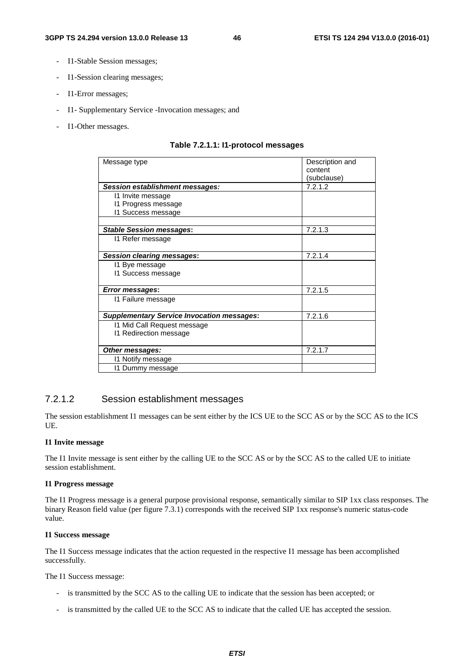- I1-Stable Session messages;
- I1-Session clearing messages;
- I1-Error messages;
- I1- Supplementary Service -Invocation messages; and
- I1-Other messages.

| Message type                                      | Description and |
|---------------------------------------------------|-----------------|
|                                                   | content         |
|                                                   | (subclause)     |
| Session establishment messages:                   | 7.2.1.2         |
| 11 Invite message                                 |                 |
| 11 Progress message                               |                 |
| 11 Success message                                |                 |
|                                                   |                 |
| <b>Stable Session messages:</b>                   | 7.2.1.3         |
| 11 Refer message                                  |                 |
|                                                   |                 |
| <b>Session clearing messages:</b>                 | 7.2.1.4         |
| 11 Bye message                                    |                 |
| 11 Success message                                |                 |
|                                                   |                 |
| <b>Error messages:</b>                            | 7.2.1.5         |
| 11 Failure message                                |                 |
|                                                   |                 |
| <b>Supplementary Service Invocation messages:</b> | 7.2.1.6         |
| 11 Mid Call Request message                       |                 |
| 11 Redirection message                            |                 |
|                                                   |                 |
| Other messages:                                   | 7.2.1.7         |
| 11 Notify message                                 |                 |
| 11 Dummy message                                  |                 |

#### **Table 7.2.1.1: I1-protocol messages**

# 7.2.1.2 Session establishment messages

The session establishment I1 messages can be sent either by the ICS UE to the SCC AS or by the SCC AS to the ICS UE.

#### **I1 Invite message**

The I1 Invite message is sent either by the calling UE to the SCC AS or by the SCC AS to the called UE to initiate session establishment.

#### **I1 Progress message**

The I1 Progress message is a general purpose provisional response, semantically similar to SIP 1xx class responses. The binary Reason field value (per figure 7.3.1) corresponds with the received SIP 1xx response's numeric status-code value.

#### **I1 Success message**

The I1 Success message indicates that the action requested in the respective I1 message has been accomplished successfully.

The I1 Success message:

- is transmitted by the SCC AS to the calling UE to indicate that the session has been accepted; or
- is transmitted by the called UE to the SCC AS to indicate that the called UE has accepted the session.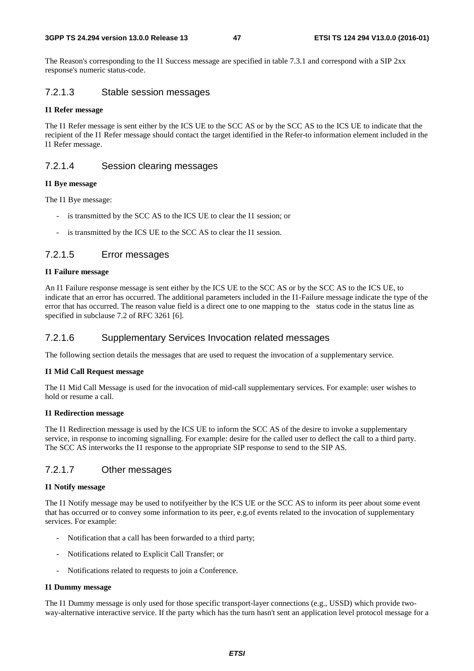The Reason's corresponding to the I1 Success message are specified in table 7.3.1 and correspond with a SIP 2xx response's numeric status-code.

### 7.2.1.3 Stable session messages

#### **I1 Refer message**

The I1 Refer message is sent either by the ICS UE to the SCC AS or by the SCC AS to the ICS UE to indicate that the recipient of the I1 Refer message should contact the target identified in the Refer-to information element included in the I1 Refer message.

#### 7.2.1.4 Session clearing messages

#### **I1 Bye message**

The I1 Bye message:

- is transmitted by the SCC AS to the ICS UE to clear the I1 session; or
- is transmitted by the ICS UE to the SCC AS to clear the I1 session.

### 7.2.1.5 Error messages

#### **I1 Failure message**

An I1 Failure response message is sent either by the ICS UE to the SCC AS or by the SCC AS to the ICS UE, to indicate that an error has occurred. The additional parameters included in the I1-Failure message indicate the type of the error that has occurred. The reason value field is a direct one to one mapping to the status code in the status line as specified in subclause 7.2 of RFC 3261 [6].

### 7.2.1.6 Supplementary Services Invocation related messages

The following section details the messages that are used to request the invocation of a supplementary service.

#### **I1 Mid Call Request message**

The I1 Mid Call Message is used for the invocation of mid-call supplementary services. For example: user wishes to hold or resume a call.

#### **I1 Redirection message**

The I1 Redirection message is used by the ICS UE to inform the SCC AS of the desire to invoke a supplementary service, in response to incoming signalling. For example: desire for the called user to deflect the call to a third party. The SCC AS interworks the I1 response to the appropriate SIP response to send to the SIP AS.

# 7.2.1.7 Other messages

#### **I1 Notify message**

The I1 Notify message may be used to notifyeither by the ICS UE or the SCC AS to inform its peer about some event that has occurred or to convey some information to its peer, e.g.of events related to the invocation of supplementary services. For example:

- Notification that a call has been forwarded to a third party;
- Notifications related to Explicit Call Transfer; or
- Notifications related to requests to join a Conference.

#### **I1 Dummy message**

The I1 Dummy message is only used for those specific transport-layer connections (e.g., USSD) which provide twoway-alternative interactive service. If the party which has the turn hasn't sent an application level protocol message for a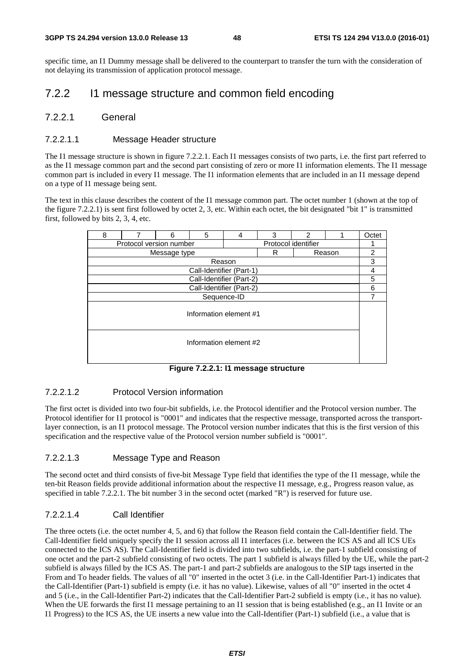specific time, an I1 Dummy message shall be delivered to the counterpart to transfer the turn with the consideration of not delaying its transmission of application protocol message.

# 7.2.2 I1 message structure and common field encoding

# 7.2.2.1 General

# 7.2.2.1.1 Message Header structure

The I1 message structure is shown in figure 7.2.2.1. Each I1 messages consists of two parts, i.e. the first part referred to as the I1 message common part and the second part consisting of zero or more I1 information elements. The I1 message common part is included in every I1 message. The I1 information elements that are included in an I1 message depend on a type of I1 message being sent.

The text in this clause describes the content of the I1 message common part. The octet number 1 (shown at the top of the figure 7.2.2.1) is sent first followed by octet 2, 3, etc. Within each octet, the bit designated "bit 1" is transmitted first, followed by bits 2, 3, 4, etc.

| 8                           | 7 | 6                       | 5 | 4                        | 3 | 2                   |  | Octet |
|-----------------------------|---|-------------------------|---|--------------------------|---|---------------------|--|-------|
|                             |   | Protocol version number |   |                          |   | Protocol identifier |  |       |
| R<br>Message type<br>Reason |   |                         |   | 2                        |   |                     |  |       |
|                             |   |                         |   | Reason                   |   |                     |  | 3     |
|                             |   |                         |   | Call-Identifier (Part-1) |   |                     |  | 4     |
|                             |   |                         |   | Call-Identifier (Part-2) |   |                     |  | 5     |
|                             |   |                         |   | Call-Identifier (Part-2) |   |                     |  | 6     |
|                             |   |                         |   | Sequence-ID              |   |                     |  |       |
|                             |   |                         |   | Information element #1   |   |                     |  |       |
| Information element #2      |   |                         |   |                          |   |                     |  |       |
|                             |   |                         |   |                          |   |                     |  |       |

**Figure 7.2.2.1: I1 message structure** 

# 7.2.2.1.2 Protocol Version information

The first octet is divided into two four-bit subfields, i.e. the Protocol identifier and the Protocol version number. The Protocol identifier for I1 protocol is "0001" and indicates that the respective message, transported across the transportlayer connection, is an I1 protocol message. The Protocol version number indicates that this is the first version of this specification and the respective value of the Protocol version number subfield is "0001".

# 7.2.2.1.3 Message Type and Reason

The second octet and third consists of five-bit Message Type field that identifies the type of the I1 message, while the ten-bit Reason fields provide additional information about the respective I1 message, e.g., Progress reason value, as specified in table 7.2.2.1. The bit number 3 in the second octet (marked "R") is reserved for future use.

### 7.2.2.1.4 Call Identifier

The three octets (i.e. the octet number 4, 5, and 6) that follow the Reason field contain the Call-Identifier field. The Call-Identifier field uniquely specify the I1 session across all I1 interfaces (i.e. between the ICS AS and all ICS UEs connected to the ICS AS). The Call-Identifier field is divided into two subfields, i.e. the part-1 subfield consisting of one octet and the part-2 subfield consisting of two octets. The part 1 subfield is always filled by the UE, while the part-2 subfield is always filled by the ICS AS. The part-1 and part-2 subfields are analogous to the SIP tags inserted in the From and To header fields. The values of all "0" inserted in the octet 3 (i.e. in the Call-Identifier Part-1) indicates that the Call-Identifier (Part-1) subfield is empty (i.e. it has no value). Likewise, values of all "0" inserted in the octet 4 and 5 (i.e., in the Call-Identifier Part-2) indicates that the Call-Identifier Part-2 subfield is empty (i.e., it has no value). When the UE forwards the first I1 message pertaining to an I1 session that is being established (e.g., an I1 Invite or an I1 Progress) to the ICS AS, the UE inserts a new value into the Call-Identifier (Part-1) subfield (i.e., a value that is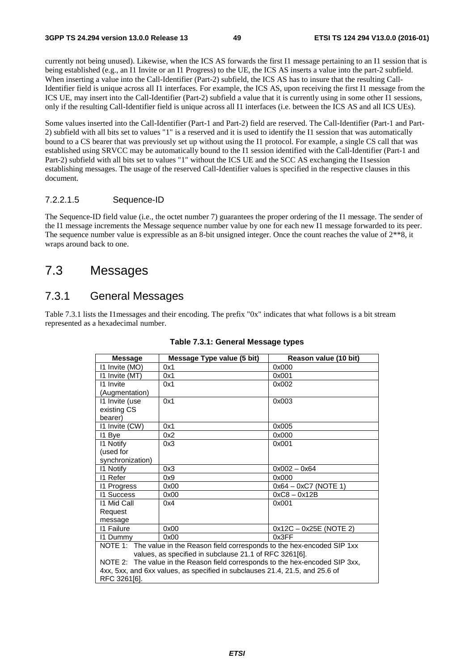currently not being unused). Likewise, when the ICS AS forwards the first I1 message pertaining to an I1 session that is being established (e.g., an I1 Invite or an I1 Progress) to the UE, the ICS AS inserts a value into the part-2 subfield. When inserting a value into the Call-Identifier (Part-2) subfield, the ICS AS has to insure that the resulting Call-Identifier field is unique across all I1 interfaces. For example, the ICS AS, upon receiving the first I1 message from the ICS UE, may insert into the Call-Identifier (Part-2) subfield a value that it is currently using in some other I1 sessions, only if the resulting Call-Identifier field is unique across all I1 interfaces (i.e. between the ICS AS and all ICS UEs).

Some values inserted into the Call-Identifier (Part-1 and Part-2) field are reserved. The Call-Identifier (Part-1 and Part-2) subfield with all bits set to values "1" is a reserved and it is used to identify the I1 session that was automatically bound to a CS bearer that was previously set up without using the I1 protocol. For example, a single CS call that was established using SRVCC may be automatically bound to the I1 session identified with the Call-Identifier (Part-1 and Part-2) subfield with all bits set to values "1" without the ICS UE and the SCC AS exchanging the I1session establishing messages. The usage of the reserved Call-Identifier values is specified in the respective clauses in this document.

### 7.2.2.1.5 Sequence-ID

The Sequence-ID field value (i.e., the octet number 7) guarantees the proper ordering of the I1 message. The sender of the I1 message increments the Message sequence number value by one for each new I1 message forwarded to its peer. The sequence number value is expressible as an 8-bit unsigned integer. Once the count reaches the value of  $2^{**}8$ , it wraps around back to one.

# 7.3 Messages

# 7.3.1 General Messages

Table 7.3.1 lists the I1messages and their encoding. The prefix "0x" indicates that what follows is a bit stream represented as a hexadecimal number.

| <b>Message</b>                                                                | <b>Message Type value (5 bit)</b>                                            | Reason value (10 bit)    |  |  |  |
|-------------------------------------------------------------------------------|------------------------------------------------------------------------------|--------------------------|--|--|--|
| 11 Invite (MO)                                                                | 0x1                                                                          | 0x000                    |  |  |  |
| 11 Invite (MT)                                                                | 0x1                                                                          | 0x001                    |  |  |  |
| 11 Invite                                                                     | 0x1                                                                          | 0x002                    |  |  |  |
| (Augmentation)                                                                |                                                                              |                          |  |  |  |
| 11 Invite (use                                                                | 0x1                                                                          | 0x003                    |  |  |  |
| existing CS                                                                   |                                                                              |                          |  |  |  |
| bearer)                                                                       |                                                                              |                          |  |  |  |
| 11 Invite (CW)                                                                | 0x1                                                                          | 0x005                    |  |  |  |
| 11 Bye                                                                        | 0x2                                                                          | 0x000                    |  |  |  |
| 11 Notify                                                                     | 0x3                                                                          | 0x001                    |  |  |  |
| (used for                                                                     |                                                                              |                          |  |  |  |
| synchronization)                                                              |                                                                              |                          |  |  |  |
| 11 Notify                                                                     | 0x3                                                                          | $0x002 - 0x64$           |  |  |  |
| 11 Refer                                                                      | 0x9                                                                          | 0x000                    |  |  |  |
| 11 Progress                                                                   | 0x00                                                                         | $0x64 - 0xC7$ (NOTE 1)   |  |  |  |
| <b>11 Success</b>                                                             | 0x00                                                                         | $0xC8 - 0x12B$           |  |  |  |
| 11 Mid Call                                                                   | 0x4                                                                          | 0x001                    |  |  |  |
| Request                                                                       |                                                                              |                          |  |  |  |
| message                                                                       |                                                                              |                          |  |  |  |
| <b>11 Failure</b>                                                             | 0x00                                                                         | $0x12C - 0x25E$ (NOTE 2) |  |  |  |
| 11 Dummy                                                                      | 0x00                                                                         | 0x3FF                    |  |  |  |
|                                                                               | NOTE 1: The value in the Reason field corresponds to the hex-encoded SIP 1xx |                          |  |  |  |
| values, as specified in subclause 21.1 of RFC 3261[6].                        |                                                                              |                          |  |  |  |
| NOTE 2: The value in the Reason field corresponds to the hex-encoded SIP 3xx, |                                                                              |                          |  |  |  |
|                                                                               | 4xx, 5xx, and 6xx values, as specified in subclauses 21.4, 21.5, and 25.6 of |                          |  |  |  |
| RFC 3261[6].                                                                  |                                                                              |                          |  |  |  |

#### **Table 7.3.1: General Message types**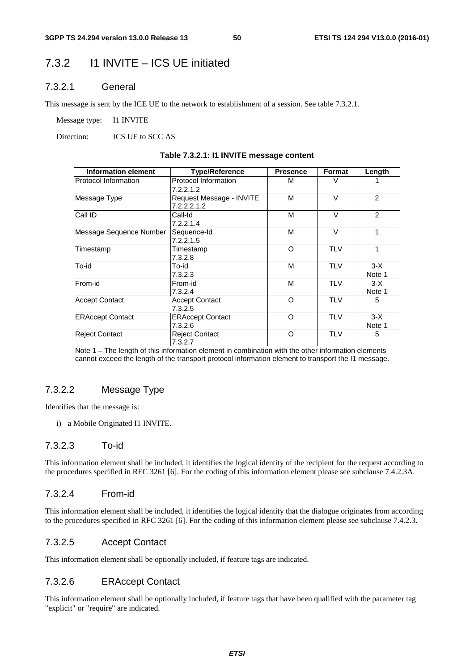# 7.3.2 I1 INVITE – ICS UE initiated

# 7.3.2.1 General

This message is sent by the ICE UE to the network to establishment of a session. See table 7.3.2.1.

Message type: I1 INVITE

Direction: **ICS UE to SCC AS** 

| <b>Information element</b> | <b>Type/Reference</b>                                                                                | <b>Presence</b> | Format     | Length          |
|----------------------------|------------------------------------------------------------------------------------------------------|-----------------|------------|-----------------|
| Protocol Information       | Protocol Information                                                                                 | М               | V          |                 |
|                            | 7.2.2.1.2                                                                                            |                 |            |                 |
| Message Type               | Request Message - INVITE<br>7.2.2.2.1.2                                                              | M               | $\vee$     | $\overline{2}$  |
| Call ID                    | Call-Id<br>7.2.2.1.4                                                                                 | M               | $\vee$     | $\overline{2}$  |
| Message Sequence Number    | Sequence-Id<br>7.2.2.1.5                                                                             | M               | $\vee$     | 1               |
| Timestamp                  | Timestamp<br>7.3.2.8                                                                                 | O               | <b>TLV</b> |                 |
| To-id                      | To-id<br>7.3.2.3                                                                                     | M               | <b>TLV</b> | $3-X$<br>Note 1 |
| From-id                    | From-id<br>7.3.2.4                                                                                   | M               | <b>TLV</b> | $3-X$<br>Note 1 |
| <b>Accept Contact</b>      | <b>Accept Contact</b><br>7.3.2.5                                                                     | O               | <b>TLV</b> | 5               |
| <b>ERAccept Contact</b>    | <b>ERAccept Contact</b><br>7.3.2.6                                                                   | O               | <b>TLV</b> | $3-X$<br>Note 1 |
| <b>Reject Contact</b>      | <b>Reject Contact</b><br>7.3.2.7                                                                     | O               | <b>TLV</b> | 5               |
|                            | $Note 1 - The length of this information element in combination with the other information elements$ |                 |            |                 |

### **Table 7.3.2.1: I1 INVITE message content**

Note 1 – The length of this information element in combination with the other information elements cannot exceed the length of the transport protocol information element to transport the I1 message.

# 7.3.2.2 Message Type

Identifies that the message is:

i) a Mobile Originated I1 INVITE.

### 7.3.2.3 To-id

This information element shall be included, it identifies the logical identity of the recipient for the request according to the procedures specified in RFC 3261 [6]. For the coding of this information element please see subclause 7.4.2.3A.

### 7.3.2.4 From-id

This information element shall be included, it identifies the logical identity that the dialogue originates from according to the procedures specified in RFC 3261 [6]. For the coding of this information element please see subclause 7.4.2.3.

### 7.3.2.5 Accept Contact

This information element shall be optionally included, if feature tags are indicated.

# 7.3.2.6 ERAccept Contact

This information element shall be optionally included, if feature tags that have been qualified with the parameter tag "explicit" or "require" are indicated.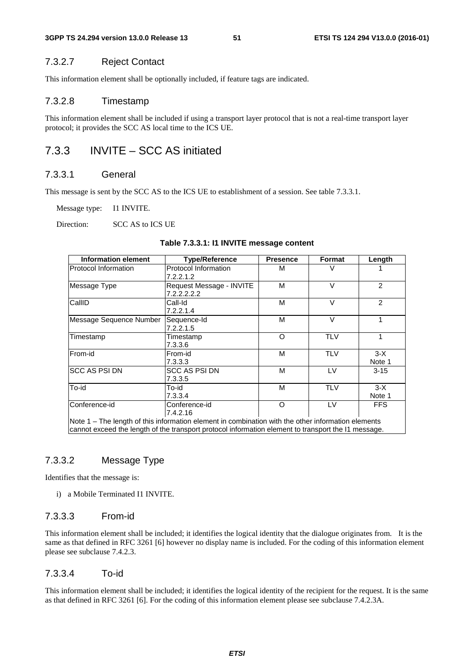### 7.3.2.7 Reject Contact

This information element shall be optionally included, if feature tags are indicated.

### 7.3.2.8 Timestamp

This information element shall be included if using a transport layer protocol that is not a real-time transport layer protocol; it provides the SCC AS local time to the ICS UE.

# 7.3.3 INVITE – SCC AS initiated

## 7.3.3.1 General

This message is sent by the SCC AS to the ICS UE to establishment of a session. See table 7.3.3.1.

Message type: I1 INVITE.

Direction: SCC AS to ICS UE

| <b>Information element</b>                                                                                                                                                                                | <b>Type/Reference</b>                   | <b>Presence</b> | Format     | Length          |
|-----------------------------------------------------------------------------------------------------------------------------------------------------------------------------------------------------------|-----------------------------------------|-----------------|------------|-----------------|
| <b>Protocol Information</b>                                                                                                                                                                               | Protocol Information<br>7.2.2.1.2       | м               |            |                 |
| Message Type                                                                                                                                                                                              | Request Message - INVITE<br>7.2.2.2.2.2 | м               | V          | $\overline{2}$  |
| CallID                                                                                                                                                                                                    | Call-Id<br>7.2.2.1.4                    | М               | $\vee$     | $\overline{2}$  |
| Message Sequence Number                                                                                                                                                                                   | Sequence-Id<br>7.2.2.1.5                | М               | $\vee$     |                 |
| Timestamp                                                                                                                                                                                                 | Timestamp<br>7.3.3.6                    | O               | <b>TLV</b> | 1               |
| From-id                                                                                                                                                                                                   | From-id<br>7.3.3.3                      | м               | <b>TLV</b> | $3-X$<br>Note 1 |
| ISCC AS PSI DN                                                                                                                                                                                            | SCC AS PSI DN<br>7.3.3.5                | м               | LV         | $3 - 15$        |
| To-id                                                                                                                                                                                                     | To-id<br>7.3.3.4                        | M               | <b>TLV</b> | $3-X$<br>Note 1 |
| Conference-id                                                                                                                                                                                             | Conference-id<br>7.4.2.16               | $\Omega$        | LV         | <b>FFS</b>      |
| Note 1 - The length of this information element in combination with the other information elements<br>cannot exceed the length of the transport protocol information element to transport the 11 message. |                                         |                 |            |                 |

#### **Table 7.3.3.1: I1 INVITE message content**

# 7.3.3.2 Message Type

Identifies that the message is:

i) a Mobile Terminated I1 INVITE.

### 7.3.3.3 From-id

This information element shall be included; it identifies the logical identity that the dialogue originates from. It is the same as that defined in RFC 3261 [6] however no display name is included. For the coding of this information element please see subclause 7.4.2.3.

### 7.3.3.4 To-id

This information element shall be included; it identifies the logical identity of the recipient for the request. It is the same as that defined in RFC 3261 [6]. For the coding of this information element please see subclause 7.4.2.3A.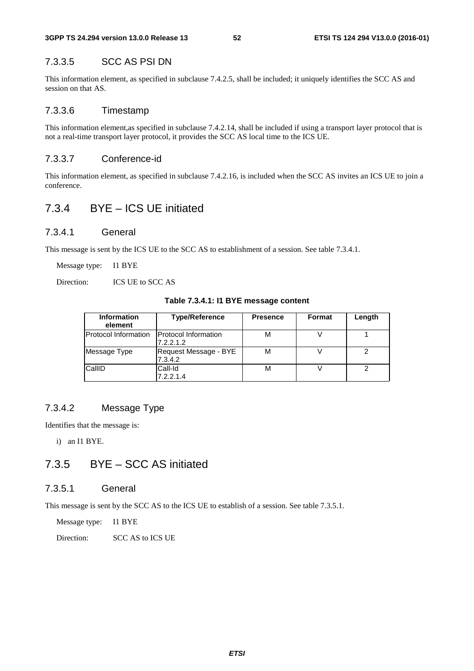# 7.3.3.5 SCC AS PSI DN

This information element, as specified in subclause 7.4.2.5, shall be included; it uniquely identifies the SCC AS and session on that AS.

### 7.3.3.6 Timestamp

This information element,as specified in subclause 7.4.2.14, shall be included if using a transport layer protocol that is not a real-time transport layer protocol, it provides the SCC AS local time to the ICS UE.

### 7.3.3.7 Conference-id

This information element, as specified in subclause 7.4.2.16, is included when the SCC AS invites an ICS UE to join a conference.

# 7.3.4 BYE – ICS UE initiated

## 7.3.4.1 General

This message is sent by the ICS UE to the SCC AS to establishment of a session. See table 7.3.4.1.

Message type: I1 BYE

Direction: **ICS UE to SCC AS** 

#### **Table 7.3.4.1: I1 BYE message content**

| <b>Information</b><br>element | <b>Type/Reference</b>                    | <b>Presence</b> | <b>Format</b> | Length |
|-------------------------------|------------------------------------------|-----------------|---------------|--------|
| Protocol Information          | <b>Protocol Information</b><br>7.2.2.1.2 | м               |               |        |
| Message Type                  | Request Message - BYE<br>7.3.4.2         | м               |               |        |
| CallID                        | Call-Id<br>7.2.2.1.4                     | м               |               |        |

# 7.3.4.2 Message Type

Identifies that the message is:

i) an I1 BYE.

# 7.3.5 BYE – SCC AS initiated

### 7.3.5.1 General

This message is sent by the SCC AS to the ICS UE to establish of a session. See table 7.3.5.1.

Message type: I1 BYE

Direction: SCC AS to ICS UE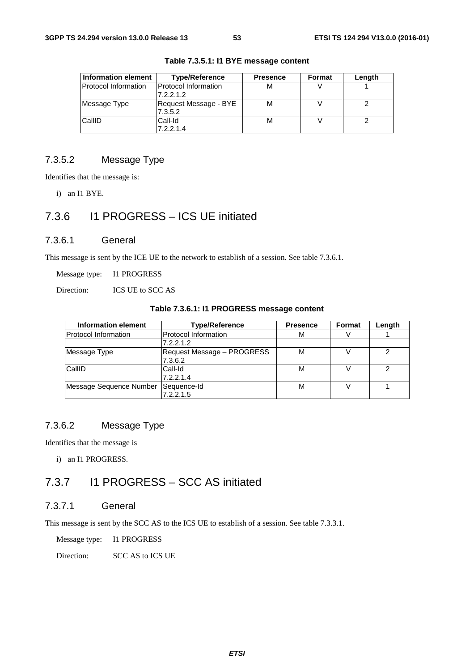| Information element         | <b>Type/Reference</b>                    | <b>Presence</b> | Format | Length |
|-----------------------------|------------------------------------------|-----------------|--------|--------|
| <b>Protocol Information</b> | <b>Protocol Information</b><br>7.2.2.1.2 | М               |        |        |
| Message Type                | Request Message - BYE<br>7.3.5.2         |                 |        |        |
| CallID                      | Call-Id<br>7.2.2.1.4                     | М               |        |        |

**Table 7.3.5.1: I1 BYE message content** 

## 7.3.5.2 Message Type

Identifies that the message is:

i) an I1 BYE.

# 7.3.6 I1 PROGRESS – ICS UE initiated

# 7.3.6.1 General

This message is sent by the ICE UE to the network to establish of a session. See table 7.3.6.1.

Message type: I1 PROGRESS

Direction: **ICS UE to SCC AS** 

|  |  |  |  | Table 7.3.6.1: I1 PROGRESS message content |  |  |
|--|--|--|--|--------------------------------------------|--|--|
|--|--|--|--|--------------------------------------------|--|--|

| Information element         | <b>Type/Reference</b>                 | <b>Presence</b> | Format | Length |
|-----------------------------|---------------------------------------|-----------------|--------|--------|
| <b>Protocol Information</b> | <b>Protocol Information</b>           | м               |        |        |
|                             | 7.2.2.1.2                             |                 |        |        |
| Message Type                | Request Message - PROGRESS<br>7.3.6.2 | М               |        | 2      |
| CallID                      | Call-Id<br>7.2.2.1.4                  | М               |        | ◠      |
| Message Sequence Number     | Sequence-Id<br>7.2.2.1.5              | м               |        |        |

## 7.3.6.2 Message Type

Identifies that the message is

i) an I1 PROGRESS.

# 7.3.7 I1 PROGRESS – SCC AS initiated

# 7.3.7.1 General

This message is sent by the SCC AS to the ICS UE to establish of a session. See table 7.3.3.1.

Message type: I1 PROGRESS

Direction: SCC AS to ICS UE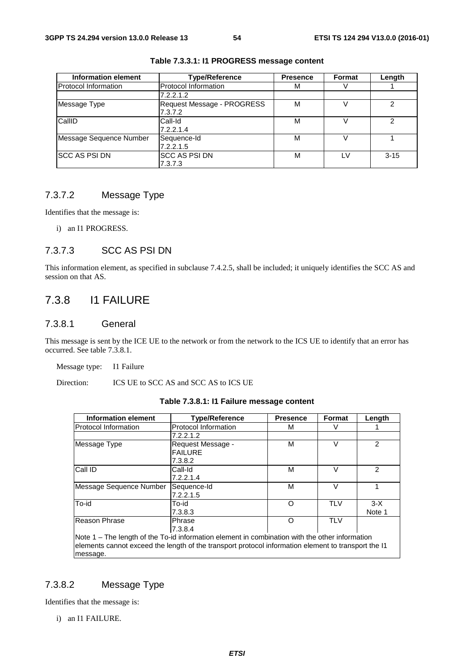| Information element     | <b>Type/Reference</b>       | <b>Presence</b> | Format | Length   |
|-------------------------|-----------------------------|-----------------|--------|----------|
| Protocol Information    | <b>Protocol Information</b> | м               |        |          |
|                         | 7.2.2.1.2                   |                 |        |          |
| Message Type            | Request Message - PROGRESS  | м               |        | 2        |
|                         | 7.3.7.2                     |                 |        |          |
| CallID                  | Call-Id                     | M               |        | 2        |
|                         | 7.2.2.1.4                   |                 |        |          |
| Message Sequence Number | Sequence-Id                 | М               |        |          |
|                         | 7.2.2.1.5                   |                 |        |          |
| <b>SCC AS PSI DN</b>    | <b>SCC AS PSI DN</b>        | м               | LV     | $3 - 15$ |
|                         | 7.3.7.3                     |                 |        |          |

# **Table 7.3.3.1: I1 PROGRESS message content**

# 7.3.7.2 Message Type

Identifies that the message is:

i) an I1 PROGRESS.

# 7.3.7.3 SCC AS PSI DN

This information element, as specified in subclause 7.4.2.5, shall be included; it uniquely identifies the SCC AS and session on that AS.

# 7.3.8 I1 FAILURE

#### 7.3.8.1 General

This message is sent by the ICE UE to the network or from the network to the ICS UE to identify that an error has occurred. See table 7.3.8.1.

Message type: I1 Failure

Direction: ICS UE to SCC AS and SCC AS to ICS UE

| Information element     | <b>Type/Reference</b>                                                                          | <b>Presence</b> | Format     | Length          |
|-------------------------|------------------------------------------------------------------------------------------------|-----------------|------------|-----------------|
| Protocol Information    | Protocol Information                                                                           | м               |            |                 |
|                         | 7.2.2.1.2                                                                                      |                 |            |                 |
| Message Type            | Request Message -<br><b>FAILURE</b><br>7.3.8.2                                                 | M               | V          | $\mathcal{P}$   |
| Call ID                 | Call-Id<br>7.2.2.1.4                                                                           | M               | V          | 2               |
| Message Sequence Number | Sequence-Id<br>7.2.2.1.5                                                                       | M               | V          |                 |
| To-id                   | To-id<br>7.3.8.3                                                                               | Ω               | <b>TLV</b> | $3-X$<br>Note 1 |
| <b>Reason Phrase</b>    | Phrase<br>7.3.8.4                                                                              | റ               | <b>TLV</b> |                 |
|                         | Note 1 – The length of the To-id information element in combination with the other information |                 |            |                 |

**Table 7.3.8.1: I1 Failure message content** 

elements cannot exceed the length of the transport protocol information element to transport the I1 message.

# 7.3.8.2 Message Type

Identifies that the message is:

i) an I1 FAILURE.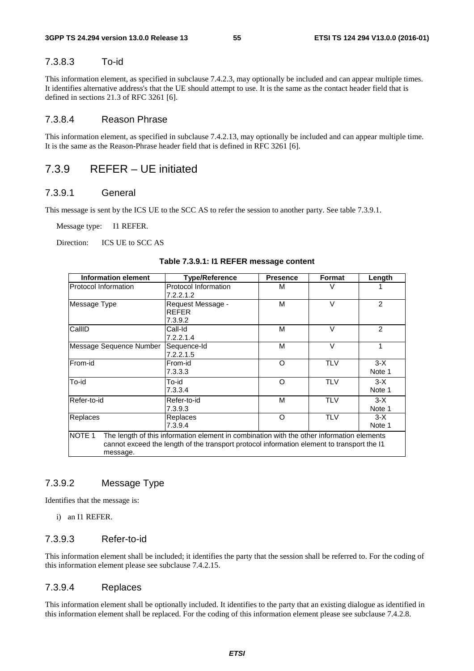# 7.3.8.3 To-id

This information element, as specified in subclause 7.4.2.3, may optionally be included and can appear multiple times. It identifies alternative address's that the UE should attempt to use. It is the same as the contact header field that is defined in sections 21.3 of RFC 3261 [6].

## 7.3.8.4 Reason Phrase

This information element, as specified in subclause 7.4.2.13, may optionally be included and can appear multiple time. It is the same as the Reason-Phrase header field that is defined in RFC 3261 [6].

# 7.3.9 REFER – UE initiated

### 7.3.9.1 General

This message is sent by the ICS UE to the SCC AS to refer the session to another party. See table 7.3.9.1.

Message type: I1 REFER.

Direction: ICS UE to SCC AS

| <b>Information element</b>  | <b>Type/Reference</b>                                                                                                                                                                   | <b>Presence</b> | Format     | Length          |
|-----------------------------|-----------------------------------------------------------------------------------------------------------------------------------------------------------------------------------------|-----------------|------------|-----------------|
| <b>Protocol Information</b> | Protocol Information<br>7.2.2.1.2                                                                                                                                                       | м               | V          |                 |
| Message Type                | Request Message -<br><b>REFER</b><br>7.3.9.2                                                                                                                                            | M               | $\vee$     | $\overline{2}$  |
| CallID                      | Call-Id<br>7.2.2.1.4                                                                                                                                                                    | м               | $\vee$     | $\mathcal{P}$   |
| Message Sequence Number     | Sequence-Id<br>7.2.2.1.5                                                                                                                                                                | м               | $\vee$     | 1               |
| From-id                     | From-id<br>7.3.3.3                                                                                                                                                                      | $\Omega$        | <b>TLV</b> | $3-X$<br>Note 1 |
| To-id                       | To-id<br>7.3.3.4                                                                                                                                                                        | $\Omega$        | <b>TLV</b> | $3-X$<br>Note 1 |
| Refer-to-id                 | Refer-to-id<br>7.3.9.3                                                                                                                                                                  | M               | <b>TLV</b> | $3-X$<br>Note 1 |
| Replaces                    | Replaces<br>7.3.9.4                                                                                                                                                                     | $\Omega$        | <b>TLV</b> | $3-X$<br>Note 1 |
| NOTE 1<br>message.          | The length of this information element in combination with the other information elements<br>cannot exceed the length of the transport protocol information element to transport the I1 |                 |            |                 |

### 7.3.9.2 Message Type

Identifies that the message is:

i) an I1 REFER.

### 7.3.9.3 Refer-to-id

This information element shall be included; it identifies the party that the session shall be referred to. For the coding of this information element please see subclause 7.4.2.15.

#### 7.3.9.4 Replaces

This information element shall be optionally included. It identifies to the party that an existing dialogue as identified in this information element shall be replaced. For the coding of this information element please see subclause 7.4.2.8.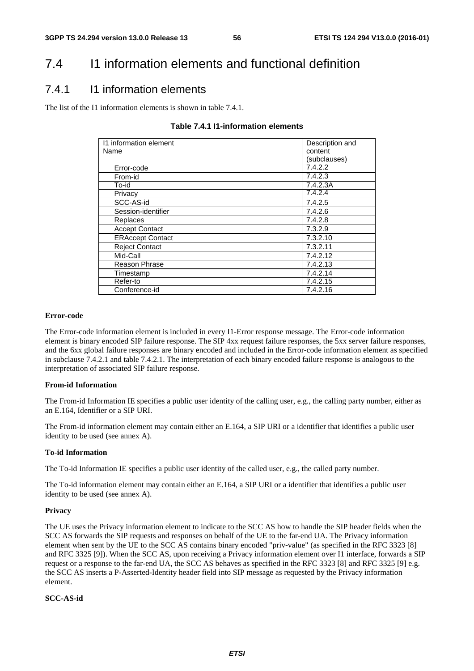# 7.4 I1 information elements and functional definition

# 7.4.1 I1 information elements

The list of the I1 information elements is shown in table 7.4.1.

### **Table 7.4.1 I1-information elements**

| 11 information element  | Description and |
|-------------------------|-----------------|
| Name                    | content         |
|                         | (subclauses)    |
| Error-code              | 7.4.2.2         |
| From-id                 | 7.4.2.3         |
| To-id                   | 7.4.2.3A        |
| Privacy                 | 7.4.2.4         |
| SCC-AS-id               | 7.4.2.5         |
| Session-identifier      | 7.4.2.6         |
| Replaces                | 7.4.2.8         |
| <b>Accept Contact</b>   | 7.3.2.9         |
| <b>ERAccept Contact</b> | 7.3.2.10        |
| <b>Reject Contact</b>   | 7.3.2.11        |
| Mid-Call                | 7.4.2.12        |
| Reason Phrase           | 7.4.2.13        |
| Timestamp               | 7.4.2.14        |
| Refer-to                | 7.4.2.15        |
| Conference-id           | 7.4.2.16        |

#### **Error-code**

The Error-code information element is included in every I1-Error response message. The Error-code information element is binary encoded SIP failure response. The SIP 4xx request failure responses, the 5xx server failure responses, and the 6xx global failure responses are binary encoded and included in the Error-code information element as specified in subclause 7.4.2.1 and table 7.4.2.1. The interpretation of each binary encoded failure response is analogous to the interpretation of associated SIP failure response.

#### **From-id Information**

The From-id Information IE specifies a public user identity of the calling user, e.g., the calling party number, either as an E.164, Identifier or a SIP URI.

The From-id information element may contain either an E.164, a SIP URI or a identifier that identifies a public user identity to be used (see annex A).

#### **To-id Information**

The To-id Information IE specifies a public user identity of the called user, e.g., the called party number.

The To-id information element may contain either an E.164, a SIP URI or a identifier that identifies a public user identity to be used (see annex A).

#### **Privacy**

The UE uses the Privacy information element to indicate to the SCC AS how to handle the SIP header fields when the SCC AS forwards the SIP requests and responses on behalf of the UE to the far-end UA. The Privacy information element when sent by the UE to the SCC AS contains binary encoded "priv-value" (as specified in the RFC 3323 [8] and RFC 3325 [9]). When the SCC AS, upon receiving a Privacy information element over I1 interface, forwards a SIP request or a response to the far-end UA, the SCC AS behaves as specified in the RFC 3323 [8] and RFC 3325 [9] e.g. the SCC AS inserts a P-Asserted-Identity header field into SIP message as requested by the Privacy information element.

#### **SCC-AS-id**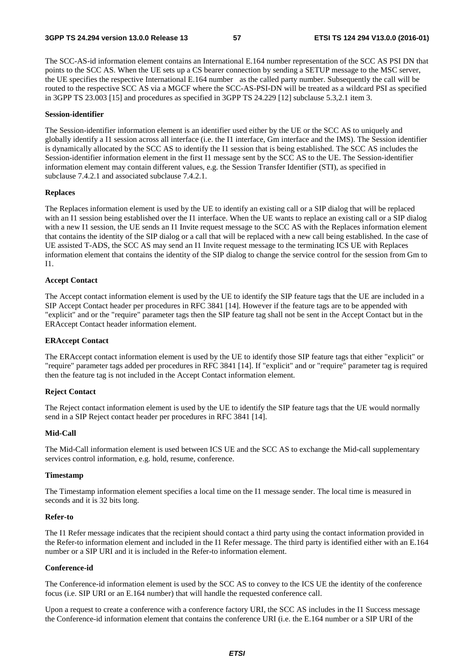The SCC-AS-id information element contains an International E.164 number representation of the SCC AS PSI DN that points to the SCC AS. When the UE sets up a CS bearer connection by sending a SETUP message to the MSC server, the UE specifies the respective International E.164 number as the called party number. Subsequently the call will be routed to the respective SCC AS via a MGCF where the SCC-AS-PSI-DN will be treated as a wildcard PSI as specified in 3GPP TS 23.003 [15] and procedures as specified in 3GPP TS 24.229 [12] subclause 5.3,2.1 item 3.

#### **Session-identifier**

The Session-identifier information element is an identifier used either by the UE or the SCC AS to uniquely and globally identify a I1 session across all interface (i.e. the I1 interface, Gm interface and the IMS). The Session identifier is dynamically allocated by the SCC AS to identify the I1 session that is being established. The SCC AS includes the Session-identifier information element in the first I1 message sent by the SCC AS to the UE. The Session-identifier information element may contain different values, e.g. the Session Transfer Identifier (STI), as specified in subclause 7.4.2.1 and associated subclause 7.4.2.1.

#### **Replaces**

The Replaces information element is used by the UE to identify an existing call or a SIP dialog that will be replaced with an I1 session being established over the I1 interface. When the UE wants to replace an existing call or a SIP dialog with a new I1 session, the UE sends an I1 Invite request message to the SCC AS with the Replaces information element that contains the identity of the SIP dialog or a call that will be replaced with a new call being established. In the case of UE assisted T-ADS, the SCC AS may send an I1 Invite request message to the terminating ICS UE with Replaces information element that contains the identity of the SIP dialog to change the service control for the session from Gm to I1.

#### **Accept Contact**

The Accept contact information element is used by the UE to identify the SIP feature tags that the UE are included in a SIP Accept Contact header per procedures in RFC 3841 [14]. However if the feature tags are to be appended with "explicit" and or the "require" parameter tags then the SIP feature tag shall not be sent in the Accept Contact but in the ERAccept Contact header information element.

#### **ERAccept Contact**

The ERAccept contact information element is used by the UE to identify those SIP feature tags that either "explicit" or "require" parameter tags added per procedures in RFC 3841 [14]. If "explicit" and or "require" parameter tag is required then the feature tag is not included in the Accept Contact information element.

#### **Reject Contact**

The Reject contact information element is used by the UE to identify the SIP feature tags that the UE would normally send in a SIP Reject contact header per procedures in RFC 3841 [14].

#### **Mid-Call**

The Mid-Call information element is used between ICS UE and the SCC AS to exchange the Mid-call supplementary services control information, e.g. hold, resume, conference.

#### **Timestamp**

The Timestamp information element specifies a local time on the I1 message sender. The local time is measured in seconds and it is 32 bits long.

#### **Refer-to**

The I1 Refer message indicates that the recipient should contact a third party using the contact information provided in the Refer-to information element and included in the I1 Refer message. The third party is identified either with an E.164 number or a SIP URI and it is included in the Refer-to information element.

#### **Conference-id**

The Conference-id information element is used by the SCC AS to convey to the ICS UE the identity of the conference focus (i.e. SIP URI or an E.164 number) that will handle the requested conference call.

Upon a request to create a conference with a conference factory URI, the SCC AS includes in the I1 Success message the Conference-id information element that contains the conference URI (i.e. the E.164 number or a SIP URI of the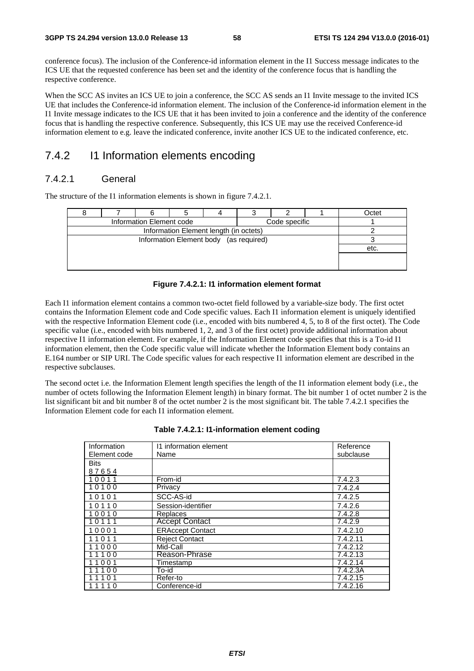conference focus). The inclusion of the Conference-id information element in the I1 Success message indicates to the ICS UE that the requested conference has been set and the identity of the conference focus that is handling the respective conference.

When the SCC AS invites an ICS UE to join a conference, the SCC AS sends an I1 Invite message to the invited ICS UE that includes the Conference-id information element. The inclusion of the Conference-id information element in the I1 Invite message indicates to the ICS UE that it has been invited to join a conference and the identity of the conference focus that is handling the respective conference. Subsequently, this ICS UE may use the received Conference-id information element to e.g. leave the indicated conference, invite another ICS UE to the indicated conference, etc.

# 7.4.2 I1 Information elements encoding

# 7.4.2.1 General

The structure of the I1 information elements is shown in figure 7.4.2.1.

|  |                                           |  |  |                                        |  |  |  | Octet |  |  |
|--|-------------------------------------------|--|--|----------------------------------------|--|--|--|-------|--|--|
|  | Information Element code<br>Code specific |  |  |                                        |  |  |  |       |  |  |
|  |                                           |  |  | Information Element length (in octets) |  |  |  |       |  |  |
|  | Information Element body (as required)    |  |  |                                        |  |  |  |       |  |  |
|  | etc.                                      |  |  |                                        |  |  |  |       |  |  |
|  |                                           |  |  |                                        |  |  |  |       |  |  |
|  |                                           |  |  |                                        |  |  |  |       |  |  |

#### **Figure 7.4.2.1: I1 information element format**

Each I1 information element contains a common two-octet field followed by a variable-size body. The first octet contains the Information Element code and Code specific values. Each I1 information element is uniquely identified with the respective Information Element code (i.e., encoded with bits numbered 4, 5, to 8 of the first octet). The Code specific value (i.e., encoded with bits numbered 1, 2, and 3 of the first octet) provide additional information about respective I1 information element. For example, if the Information Element code specifies that this is a To-id I1 information element, then the Code specific value will indicate whether the Information Element body contains an E.164 number or SIP URI. The Code specific values for each respective I1 information element are described in the respective subclauses.

The second octet i.e. the Information Element length specifies the length of the I1 information element body (i.e., the number of octets following the Information Element length) in binary format. The bit number 1 of octet number 2 is the list significant bit and bit number 8 of the octet number 2 is the most significant bit. The table 7.4.2.1 specifies the Information Element code for each I1 information element.

| Information  | 11 information element  | Reference |
|--------------|-------------------------|-----------|
| Element code | Name                    | subclause |
| <b>Bits</b>  |                         |           |
| 87654        |                         |           |
| 10011        | From-id                 | 7.4.2.3   |
| 10100        | Privacy                 | 7.4.2.4   |
| 10101        | SCC-AS-id               | 7.4.2.5   |
| 10110        | Session-identifier      | 7.4.2.6   |
| 10010        | Replaces                | 7.4.2.8   |
| 10111        | <b>Accept Contact</b>   | 7.4.2.9   |
| 10001        | <b>ERAccept Contact</b> | 7.4.2.10  |
| 11011        | <b>Reject Contact</b>   | 7.4.2.11  |
| 1000         | Mid-Call                | 7.4.2.12  |
| 100          | Reason-Phrase           | 7.4.2.13  |
| 001          | Timestamp               | 7.4.2.14  |
| . O O        | To-id                   | 7.4.2.3A  |
| 0.1          | Refer-to                | 7.4.2.15  |
| 1 በ          | Conference-id           | 7.4.2.16  |

#### **Table 7.4.2.1: I1-information element coding**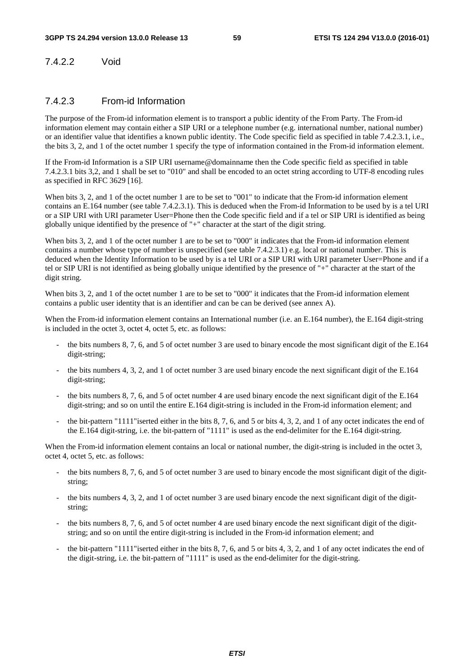7.4.2.2 Void

### 7.4.2.3 From-id Information

The purpose of the From-id information element is to transport a public identity of the From Party. The From-id information element may contain either a SIP URI or a telephone number (e.g. international number, national number) or an identifier value that identifies a known public identity. The Code specific field as specified in table 7.4.2.3.1, i.e., the bits 3, 2, and 1 of the octet number 1 specify the type of information contained in the From-id information element.

If the From-id Information is a SIP URI username@domainname then the Code specific field as specified in table 7.4.2.3.1 bits 3,2, and 1 shall be set to "010" and shall be encoded to an octet string according to UTF-8 encoding rules as specified in RFC 3629 [16].

When bits 3, 2, and 1 of the octet number 1 are to be set to "001" to indicate that the From-id information element contains an E.164 number (see table 7.4.2.3.1). This is deduced when the From-id Information to be used by is a tel URI or a SIP URI with URI parameter User=Phone then the Code specific field and if a tel or SIP URI is identified as being globally unique identified by the presence of "+" character at the start of the digit string.

When bits 3, 2, and 1 of the octet number 1 are to be set to "000" it indicates that the From-id information element contains a number whose type of number is unspecified (see table 7.4.2.3.1) e.g. local or national number. This is deduced when the Identity Information to be used by is a tel URI or a SIP URI with URI parameter User=Phone and if a tel or SIP URI is not identified as being globally unique identified by the presence of "+" character at the start of the digit string.

When bits 3, 2, and 1 of the octet number 1 are to be set to "000" it indicates that the From-id information element contains a public user identity that is an identifier and can be can be derived (see annex A).

When the From-id information element contains an International number (i.e. an E.164 number), the E.164 digit-string is included in the octet 3, octet 4, octet 5, etc. as follows:

- the bits numbers 8, 7, 6, and 5 of octet number 3 are used to binary encode the most significant digit of the E.164 digit-string;
- the bits numbers 4, 3, 2, and 1 of octet number 3 are used binary encode the next significant digit of the E.164 digit-string;
- the bits numbers 8, 7, 6, and 5 of octet number 4 are used binary encode the next significant digit of the E.164 digit-string; and so on until the entire E.164 digit-string is included in the From-id information element; and
- the bit-pattern "1111" iserted either in the bits 8, 7, 6, and 5 or bits 4, 3, 2, and 1 of any octet indicates the end of the E.164 digit-string, i.e. the bit-pattern of "1111" is used as the end-delimiter for the E.164 digit-string.

When the From-id information element contains an local or national number, the digit-string is included in the octet 3, octet 4, octet 5, etc. as follows:

- the bits numbers 8, 7, 6, and 5 of octet number 3 are used to binary encode the most significant digit of the digitstring;
- the bits numbers 4, 3, 2, and 1 of octet number 3 are used binary encode the next significant digit of the digitstring;
- the bits numbers 8, 7, 6, and 5 of octet number 4 are used binary encode the next significant digit of the digitstring; and so on until the entire digit-string is included in the From-id information element; and
- the bit-pattern "1111" iserted either in the bits 8, 7, 6, and 5 or bits 4, 3, 2, and 1 of any octet indicates the end of the digit-string, i.e. the bit-pattern of "1111" is used as the end-delimiter for the digit-string.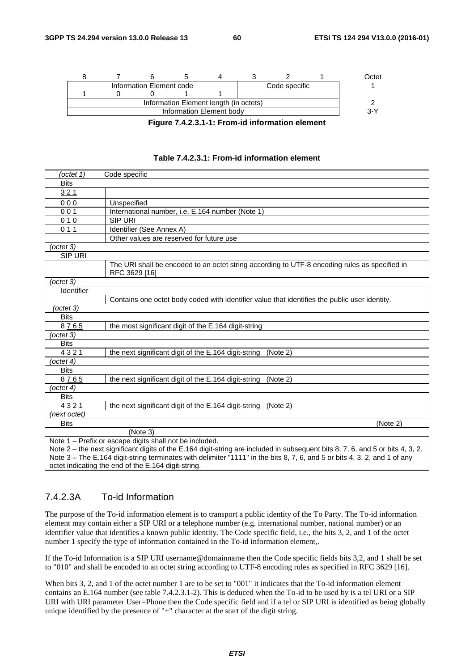



| (octet 1)    | Code specific                                                                                                                  |
|--------------|--------------------------------------------------------------------------------------------------------------------------------|
| <b>Bits</b>  |                                                                                                                                |
| 321          |                                                                                                                                |
| 000          | Unspecified                                                                                                                    |
| 001          | International number, i.e. E.164 number (Note 1)                                                                               |
| 010          | <b>SIP URI</b>                                                                                                                 |
| 011          | Identifier (See Annex A)                                                                                                       |
|              | Other values are reserved for future use                                                                                       |
| (octet 3)    |                                                                                                                                |
| SIP URI      |                                                                                                                                |
|              | The URI shall be encoded to an octet string according to UTF-8 encoding rules as specified in<br>RFC 3629 [16]                 |
| (octet 3)    |                                                                                                                                |
| Identifier   |                                                                                                                                |
|              | Contains one octet body coded with identifier value that identifies the public user identity.                                  |
| (octet 3)    |                                                                                                                                |
| <b>Bits</b>  |                                                                                                                                |
| 8765         | the most significant digit of the E.164 digit-string                                                                           |
| 'octet 3)    |                                                                                                                                |
| <b>Bits</b>  |                                                                                                                                |
| 4321         | the next significant digit of the E.164 digit-string<br>(Note 2)                                                               |
| (octet 4)    |                                                                                                                                |
| <b>Bits</b>  |                                                                                                                                |
| 8765         | the next significant digit of the E.164 digit-string<br>(Note 2)                                                               |
| octet 4)     |                                                                                                                                |
| <b>Bits</b>  |                                                                                                                                |
| 4321         | the next significant digit of the E.164 digit-string<br>(Note 2)                                                               |
| (next octet) |                                                                                                                                |
| <b>Bits</b>  | (Note 2)                                                                                                                       |
|              | (Note 3)                                                                                                                       |
|              | Note 1 - Prefix or escape digits shall not be included.                                                                        |
|              | Note 2 – the next significant digits of the E.164 digit-string are included in subsequent bits 8, 7, 6, and 5 or bits 4, 3, 2. |
|              | Note 3 – The E.164 digit-string terminates with delimiter "1111" in the bits 8, 7, 6, and 5 or bits 4, 3, 2, and 1 of any      |

octet indicating the end of the E.164 digit-string.

## 7.4.2.3A To-id Information

The purpose of the To-id information element is to transport a public identity of the To Party. The To-id information element may contain either a SIP URI or a telephone number (e.g. international number, national number) or an identifier value that identifies a known public identity. The Code specific field, i.e., the bits 3, 2, and 1 of the octet number 1 specify the type of information contained in the To-id information element,.

If the To-id Information is a SIP URI username@domainname then the Code specific fields bits 3,2, and 1 shall be set to "010" and shall be encoded to an octet string according to UTF-8 encoding rules as specified in RFC 3629 [16].

When bits 3, 2, and 1 of the octet number 1 are to be set to "001" it indicates that the To-id information element contains an E.164 number (see table 7.4.2.3.1-2). This is deduced when the To-id to be used by is a tel URI or a SIP URI with URI parameter User=Phone then the Code specific field and if a tel or SIP URI is identified as being globally unique identified by the presence of "+" character at the start of the digit string.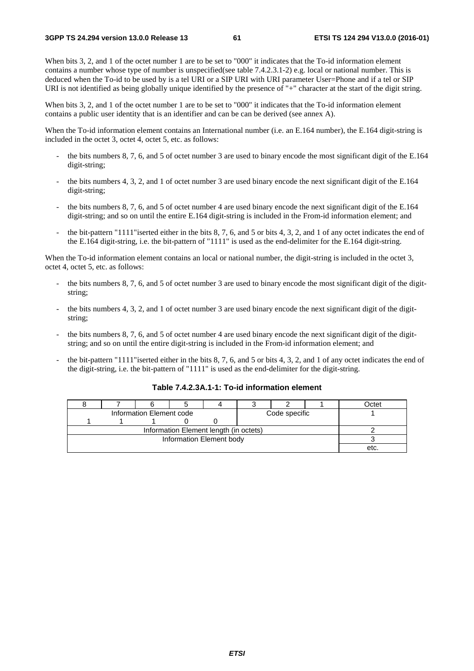When bits 3, 2, and 1 of the octet number 1 are to be set to "000" it indicates that the To-id information element contains a number whose type of number is unspecified(see table 7.4.2.3.1-2) e.g. local or national number. This is deduced when the To-id to be used by is a tel URI or a SIP URI with URI parameter User=Phone and if a tel or SIP URI is not identified as being globally unique identified by the presence of "+" character at the start of the digit string.

When bits 3, 2, and 1 of the octet number 1 are to be set to "000" it indicates that the To-id information element contains a public user identity that is an identifier and can be can be derived (see annex A).

When the To-id information element contains an International number (i.e. an E.164 number), the E.164 digit-string is included in the octet 3, octet 4, octet 5, etc. as follows:

- the bits numbers 8, 7, 6, and 5 of octet number 3 are used to binary encode the most significant digit of the E.164 digit-string;
- the bits numbers 4, 3, 2, and 1 of octet number 3 are used binary encode the next significant digit of the E.164 digit-string;
- the bits numbers 8, 7, 6, and 5 of octet number 4 are used binary encode the next significant digit of the E.164 digit-string; and so on until the entire E.164 digit-string is included in the From-id information element; and
- the bit-pattern "1111" iserted either in the bits 8, 7, 6, and 5 or bits 4, 3, 2, and 1 of any octet indicates the end of the E.164 digit-string, i.e. the bit-pattern of "1111" is used as the end-delimiter for the E.164 digit-string.

When the To-id information element contains an local or national number, the digit-string is included in the octet 3, octet 4, octet 5, etc. as follows:

- the bits numbers 8, 7, 6, and 5 of octet number 3 are used to binary encode the most significant digit of the digitstring;
- the bits numbers 4, 3, 2, and 1 of octet number 3 are used binary encode the next significant digit of the digitstring;
- the bits numbers 8, 7, 6, and 5 of octet number 4 are used binary encode the next significant digit of the digitstring; and so on until the entire digit-string is included in the From-id information element; and
- the bit-pattern "1111" iserted either in the bits 8, 7, 6, and 5 or bits 4, 3, 2, and 1 of any octet indicates the end of the digit-string, i.e. the bit-pattern of "1111" is used as the end-delimiter for the digit-string.

|  |                          |  |  |               | )ctet |  |
|--|--------------------------|--|--|---------------|-------|--|
|  | Information Element code |  |  | Code specific |       |  |
|  |                          |  |  |               |       |  |
|  |                          |  |  |               |       |  |
|  | Information Element body |  |  |               |       |  |
|  | etc                      |  |  |               |       |  |

#### **Table 7.4.2.3A.1-1: To-id information element**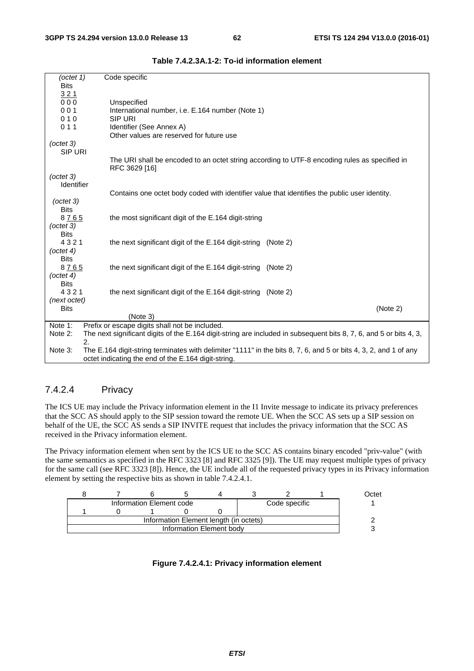| $-octet 1$     | Code specific                                                                                                            |
|----------------|--------------------------------------------------------------------------------------------------------------------------|
| <b>Bits</b>    |                                                                                                                          |
| 321            |                                                                                                                          |
| 000            | Unspecified                                                                                                              |
| 001            | International number, i.e. E.164 number (Note 1)                                                                         |
| 010            | <b>SIP URI</b>                                                                                                           |
| 011            | Identifier (See Annex A)                                                                                                 |
|                | Other values are reserved for future use                                                                                 |
| (octet 3)      |                                                                                                                          |
| <b>SIP URI</b> |                                                                                                                          |
|                | The URI shall be encoded to an octet string according to UTF-8 encoding rules as specified in                            |
|                | RFC 3629 [16]                                                                                                            |
| $-octet 3$     |                                                                                                                          |
| Identifier     |                                                                                                                          |
|                | Contains one octet body coded with identifier value that identifies the public user identity.                            |
| (octet 3)      |                                                                                                                          |
| <b>Bits</b>    |                                                                                                                          |
| 8765           | the most significant digit of the E.164 digit-string                                                                     |
| (octet 3)      |                                                                                                                          |
| <b>Bits</b>    |                                                                                                                          |
| 4321           | the next significant digit of the E.164 digit-string (Note 2)                                                            |
| (octet 4)      |                                                                                                                          |
| <b>Bits</b>    |                                                                                                                          |
| 8765           | the next significant digit of the E.164 digit-string (Note 2)                                                            |
| (octet 4)      |                                                                                                                          |
| <b>Bits</b>    |                                                                                                                          |
| 4321           | the next significant digit of the E.164 digit-string (Note 2)                                                            |
| (next octet)   |                                                                                                                          |
| <b>Bits</b>    | (Note 2)                                                                                                                 |
|                | (Note 3)                                                                                                                 |
| Note 1:        | Prefix or escape digits shall not be included.                                                                           |
| Note 2:        | The next significant digits of the E.164 digit-string are included in subsequent bits 8, 7, 6, and 5 or bits 4, 3,<br>2. |
| Note 3:        | The E.164 digit-string terminates with delimiter "1111" in the bits 8, 7, 6, and 5 or bits 4, 3, 2, and 1 of any         |
|                | octet indicating the end of the E.164 digit-string.                                                                      |

#### **Table 7.4.2.3A.1-2: To-id information element**

# 7.4.2.4 Privacy

The ICS UE may include the Privacy information element in the I1 Invite message to indicate its privacy preferences that the SCC AS should apply to the SIP session toward the remote UE. When the SCC AS sets up a SIP session on behalf of the UE, the SCC AS sends a SIP INVITE request that includes the privacy information that the SCC AS received in the Privacy information element.

The Privacy information element when sent by the ICS UE to the SCC AS contains binary encoded "priv-value" (with the same semantics as specified in the RFC 3323 [8] and RFC 3325 [9]). The UE may request multiple types of privacy for the same call (see RFC 3323 [8]). Hence, the UE include all of the requested privacy types in its Privacy information element by setting the respective bits as shown in table 7.4.2.4.1.

|                                        |                          |                          |  |  |  |               |  | <b>Dctet</b> |  |  |
|----------------------------------------|--------------------------|--------------------------|--|--|--|---------------|--|--------------|--|--|
|                                        |                          | Information Element code |  |  |  | Code specific |  |              |  |  |
|                                        |                          |                          |  |  |  |               |  |              |  |  |
| Information Element length (in octets) |                          |                          |  |  |  |               |  |              |  |  |
|                                        | Information Element body |                          |  |  |  |               |  |              |  |  |

**Figure 7.4.2.4.1: Privacy information element**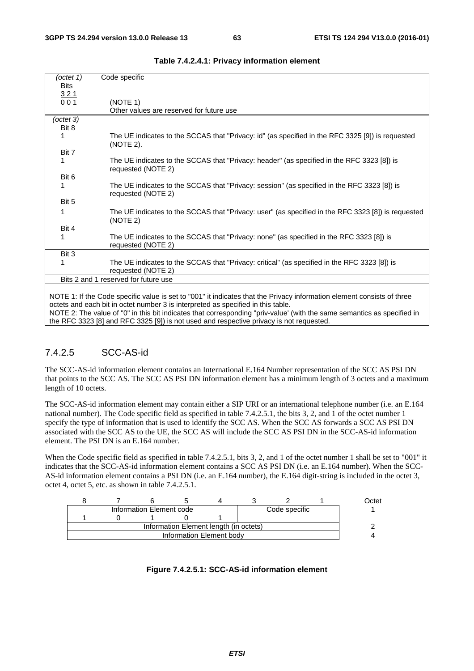| (octet 1)         | Code specific                                                                                                                                                                                              |
|-------------------|------------------------------------------------------------------------------------------------------------------------------------------------------------------------------------------------------------|
| <b>Bits</b>       |                                                                                                                                                                                                            |
|                   |                                                                                                                                                                                                            |
| $\frac{321}{001}$ | (NOTE 1)                                                                                                                                                                                                   |
|                   | Other values are reserved for future use                                                                                                                                                                   |
| (octet 3)         |                                                                                                                                                                                                            |
| Bit 8             |                                                                                                                                                                                                            |
| 1                 | The UE indicates to the SCCAS that "Privacy: id" (as specified in the RFC 3325 [9]) is requested<br>(NOTE 2).                                                                                              |
| Bit 7             |                                                                                                                                                                                                            |
| 1                 | The UE indicates to the SCCAS that "Privacy: header" (as specified in the RFC 3323 [8]) is<br>requested (NOTE 2)                                                                                           |
| Bit 6             |                                                                                                                                                                                                            |
| <u> 1</u>         | The UE indicates to the SCCAS that "Privacy: session" (as specified in the RFC 3323 [8]) is<br>requested (NOTE 2)                                                                                          |
| Bit 5             |                                                                                                                                                                                                            |
| 1                 | The UE indicates to the SCCAS that "Privacy: user" (as specified in the RFC 3323 [8]) is requested<br>(NOTE 2)                                                                                             |
| Bit 4             |                                                                                                                                                                                                            |
|                   | The UE indicates to the SCCAS that "Privacy: none" (as specified in the RFC 3323 [8]) is<br>requested (NOTE 2)                                                                                             |
| Bit 3             |                                                                                                                                                                                                            |
|                   | The UE indicates to the SCCAS that "Privacy: critical" (as specified in the RFC 3323 [8]) is<br>requested (NOTE 2)                                                                                         |
|                   | Bits 2 and 1 reserved for future use                                                                                                                                                                       |
|                   | NOTE 1: If the Code specific value is set to "001" it indicates that the Privacy information element consists of three<br>octets and each bit in octet number 3 is interpreted as specified in this table. |
|                   | NOTE 2: The value of "0" in this bit indicates that corresponding "priv-value' (with the same semantics as specified in                                                                                    |
|                   | the RFC 3323 [8] and RFC 3325 [9]) is not used and respective privacy is not requested.                                                                                                                    |

#### **Table 7.4.2.4.1: Privacy information element**

# 7.4.2.5 SCC-AS-id

The SCC-AS-id information element contains an International E.164 Number representation of the SCC AS PSI DN that points to the SCC AS. The SCC AS PSI DN information element has a minimum length of 3 octets and a maximum length of 10 octets.

The SCC-AS-id information element may contain either a SIP URI or an international telephone number (i.e. an E.164 national number). The Code specific field as specified in table 7.4.2.5.1, the bits 3, 2, and 1 of the octet number 1 specify the type of information that is used to identify the SCC AS. When the SCC AS forwards a SCC AS PSI DN associated with the SCC AS to the UE, the SCC AS will include the SCC AS PSI DN in the SCC-AS-id information element. The PSI DN is an E.164 number.

When the Code specific field as specified in table 7.4.2.5.1, bits 3, 2, and 1 of the octet number 1 shall be set to "001" it indicates that the SCC-AS-id information element contains a SCC AS PSI DN (i.e. an E.164 number). When the SCC-AS-id information element contains a PSI DN (i.e. an E.164 number), the E.164 digit-string is included in the octet 3, octet 4, octet 5, etc. as shown in table 7.4.2.5.1.

|                          |                          |  |                                        |  |               |  | <b>Dctet</b> |  |  |
|--------------------------|--------------------------|--|----------------------------------------|--|---------------|--|--------------|--|--|
|                          | Information Element code |  |                                        |  | Code specific |  |              |  |  |
|                          |                          |  |                                        |  |               |  |              |  |  |
|                          |                          |  | Information Element length (in octets) |  |               |  |              |  |  |
| Information Element body |                          |  |                                        |  |               |  |              |  |  |

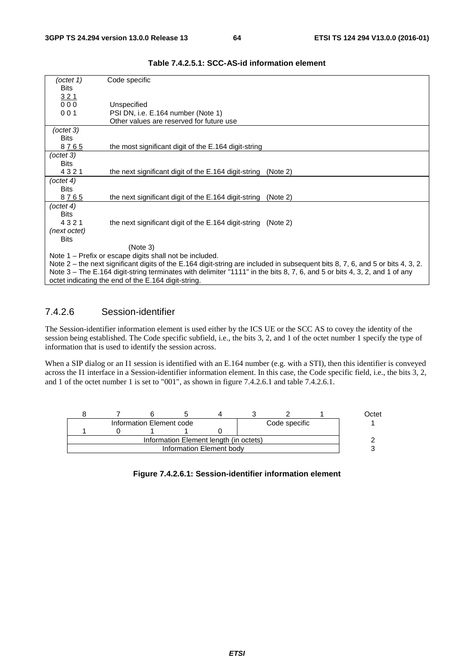| (octet 1)                                                                                                                      | Code specific                                                                                                             |  |  |  |  |  |
|--------------------------------------------------------------------------------------------------------------------------------|---------------------------------------------------------------------------------------------------------------------------|--|--|--|--|--|
| <b>Bits</b>                                                                                                                    |                                                                                                                           |  |  |  |  |  |
| 321                                                                                                                            |                                                                                                                           |  |  |  |  |  |
| 000                                                                                                                            | Unspecified                                                                                                               |  |  |  |  |  |
| 001                                                                                                                            | PSI DN, i.e. E.164 number (Note 1)                                                                                        |  |  |  |  |  |
|                                                                                                                                | Other values are reserved for future use                                                                                  |  |  |  |  |  |
| (octet 3)                                                                                                                      |                                                                                                                           |  |  |  |  |  |
| <b>Bits</b>                                                                                                                    |                                                                                                                           |  |  |  |  |  |
| 8765                                                                                                                           | the most significant digit of the E.164 digit-string                                                                      |  |  |  |  |  |
| (octet 3)                                                                                                                      |                                                                                                                           |  |  |  |  |  |
| <b>Bits</b>                                                                                                                    |                                                                                                                           |  |  |  |  |  |
| 4321                                                                                                                           | the next significant digit of the E.164 digit-string<br>(Note 2)                                                          |  |  |  |  |  |
| (octet 4)                                                                                                                      |                                                                                                                           |  |  |  |  |  |
| <b>Bits</b>                                                                                                                    |                                                                                                                           |  |  |  |  |  |
| 8765                                                                                                                           | the next significant digit of the E.164 digit-string<br>(Note 2)                                                          |  |  |  |  |  |
| (octet 4)                                                                                                                      |                                                                                                                           |  |  |  |  |  |
| <b>Bits</b>                                                                                                                    |                                                                                                                           |  |  |  |  |  |
| 4321                                                                                                                           | the next significant digit of the E.164 digit-string (Note 2)                                                             |  |  |  |  |  |
| (next octet)                                                                                                                   |                                                                                                                           |  |  |  |  |  |
| <b>Bits</b>                                                                                                                    |                                                                                                                           |  |  |  |  |  |
|                                                                                                                                | (Note 3)                                                                                                                  |  |  |  |  |  |
|                                                                                                                                | Note 1 – Prefix or escape digits shall not be included.                                                                   |  |  |  |  |  |
| Note 2 – the next significant digits of the E.164 digit-string are included in subsequent bits 8, 7, 6, and 5 or bits 4, 3, 2. |                                                                                                                           |  |  |  |  |  |
|                                                                                                                                | Note 3 – The E.164 digit-string terminates with delimiter "1111" in the bits 8, 7, 6, and 5 or bits 4, 3, 2, and 1 of any |  |  |  |  |  |
|                                                                                                                                | octet indicating the end of the E.164 digit-string.                                                                       |  |  |  |  |  |

### **Table 7.4.2.5.1: SCC-AS-id information element**

# 7.4.2.6 Session-identifier

The Session-identifier information element is used either by the ICS UE or the SCC AS to covey the identity of the session being established. The Code specific subfield, i.e., the bits 3, 2, and 1 of the octet number 1 specify the type of information that is used to identify the session across.

When a SIP dialog or an I1 session is identified with an E.164 number (e.g. with a STI), then this identifier is conveyed across the I1 interface in a Session-identifier information element. In this case, the Code specific field, i.e., the bits 3, 2, and 1 of the octet number 1 is set to "001", as shown in figure 7.4.2.6.1 and table 7.4.2.6.1.

|                                        |  |                          |  |  |  |               |  | <b>Dctet</b> |  |
|----------------------------------------|--|--------------------------|--|--|--|---------------|--|--------------|--|
|                                        |  | Information Element code |  |  |  | Code specific |  |              |  |
|                                        |  |                          |  |  |  |               |  |              |  |
| Information Element length (in octets) |  |                          |  |  |  |               |  |              |  |
| Information Element body               |  |                          |  |  |  |               |  |              |  |

#### **Figure 7.4.2.6.1: Session-identifier information element**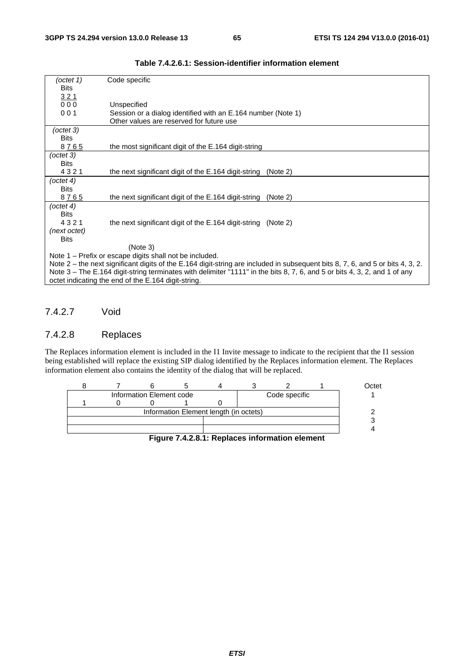| (octet 1)    | Code specific                                                                                                                  |
|--------------|--------------------------------------------------------------------------------------------------------------------------------|
| Bits         |                                                                                                                                |
| 321          |                                                                                                                                |
| 000          | Unspecified                                                                                                                    |
| 001          | Session or a dialog identified with an E.164 number (Note 1)                                                                   |
|              | Other values are reserved for future use                                                                                       |
| (octet 3)    |                                                                                                                                |
| <b>Bits</b>  |                                                                                                                                |
| 8765         | the most significant digit of the E.164 digit-string                                                                           |
| (octet 3)    |                                                                                                                                |
| <b>Bits</b>  |                                                                                                                                |
| 4321         | the next significant digit of the E.164 digit-string<br>(Note 2)                                                               |
| (octet 4)    |                                                                                                                                |
| <b>Bits</b>  |                                                                                                                                |
| 8765         | the next significant digit of the E.164 digit-string<br>(Note 2)                                                               |
| (octet 4)    |                                                                                                                                |
| <b>Bits</b>  |                                                                                                                                |
| 4321         | the next significant digit of the E.164 digit-string (Note 2)                                                                  |
| (next octet) |                                                                                                                                |
| <b>Bits</b>  |                                                                                                                                |
|              | (Note 3)                                                                                                                       |
|              | Note 1 – Prefix or escape digits shall not be included.                                                                        |
|              | Note 2 – the next significant digits of the E.164 digit-string are included in subsequent bits 8, 7, 6, and 5 or bits 4, 3, 2. |
|              | Note 3 – The E.164 digit-string terminates with delimiter "1111" in the bits 8, 7, 6, and 5 or bits 4, 3, 2, and 1 of any      |
|              | octet indicating the end of the E.164 digit-string.                                                                            |

# 7.4.2.7 Void

# 7.4.2.8 Replaces

The Replaces information element is included in the I1 Invite message to indicate to the recipient that the I1 session being established will replace the existing SIP dialog identified by the Replaces information element. The Replaces information element also contains the identity of the dialog that will be replaced.



## **Figure 7.4.2.8.1: Replaces information element**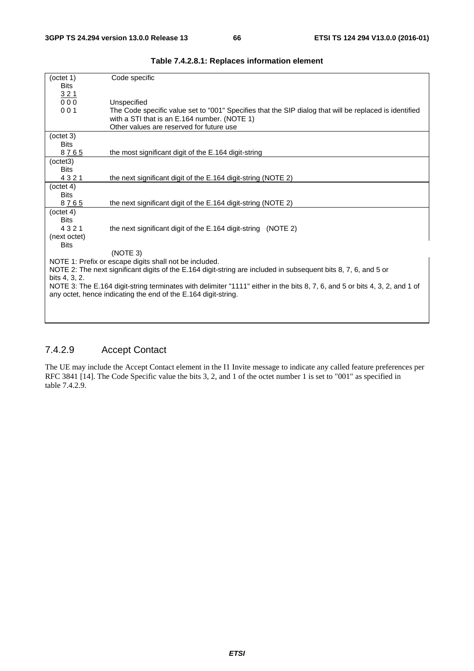| (octet 1)     | Code specific                                                                                                               |
|---------------|-----------------------------------------------------------------------------------------------------------------------------|
| <b>Bits</b>   |                                                                                                                             |
| 321           |                                                                                                                             |
| 000           | Unspecified                                                                                                                 |
| 001           | The Code specific value set to "001" Specifies that the SIP dialog that will be replaced is identified                      |
|               | with a STI that is an E.164 number. (NOTE 1)                                                                                |
|               | Other values are reserved for future use                                                                                    |
| (octet 3)     |                                                                                                                             |
| <b>Bits</b>   |                                                                                                                             |
| 8765          | the most significant digit of the E.164 digit-string                                                                        |
| (octet3)      |                                                                                                                             |
| <b>Bits</b>   |                                                                                                                             |
| 4321          | the next significant digit of the E.164 digit-string (NOTE 2)                                                               |
| (octet 4)     |                                                                                                                             |
| <b>Bits</b>   |                                                                                                                             |
| 8765          | the next significant digit of the E.164 digit-string (NOTE 2)                                                               |
| (octet 4)     |                                                                                                                             |
| <b>Bits</b>   |                                                                                                                             |
| 4321          | the next significant digit of the E.164 digit-string (NOTE 2)                                                               |
| (next octet)  |                                                                                                                             |
| <b>Bits</b>   |                                                                                                                             |
|               | (NOTE 3)                                                                                                                    |
|               | NOTE 1: Prefix or escape digits shall not be included.                                                                      |
|               | NOTE 2: The next significant digits of the E.164 digit-string are included in subsequent bits 8, 7, 6, and 5 or             |
| bits 4, 3, 2. |                                                                                                                             |
|               | NOTE 3: The E.164 digit-string terminates with delimiter "1111" either in the bits 8, 7, 6, and 5 or bits 4, 3, 2, and 1 of |
|               | any octet, hence indicating the end of the E.164 digit-string.                                                              |
|               |                                                                                                                             |
|               |                                                                                                                             |
|               |                                                                                                                             |

|  |  |  | Table 7.4.2.8.1: Replaces information element |  |
|--|--|--|-----------------------------------------------|--|
|--|--|--|-----------------------------------------------|--|

# 7.4.2.9 Accept Contact

The UE may include the Accept Contact element in the I1 Invite message to indicate any called feature preferences per RFC 3841 [14]. The Code Specific value the bits 3, 2, and 1 of the octet number 1 is set to "001" as specified in table 7.4.2.9.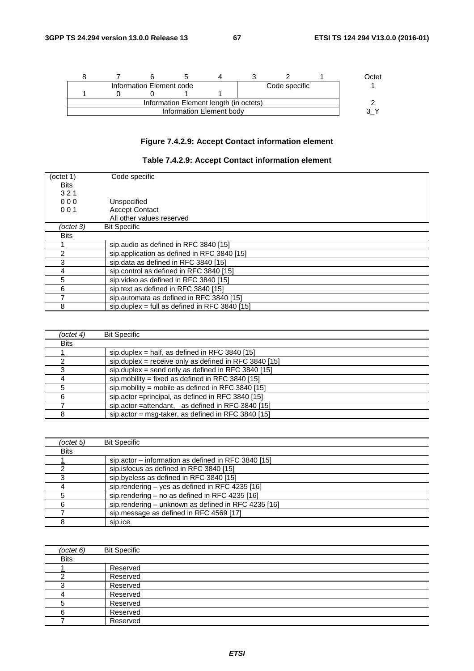|                          |  |  |                                        |  |               | <b>Dctet</b> |
|--------------------------|--|--|----------------------------------------|--|---------------|--------------|
| Information Element code |  |  |                                        |  | Code specific |              |
|                          |  |  |                                        |  |               |              |
|                          |  |  | Information Element length (in octets) |  |               |              |
|                          |  |  | Information Element body               |  |               |              |
|                          |  |  |                                        |  |               |              |

# **Figure 7.4.2.9: Accept Contact information element**

| (octet 1)   | Code specific                                 |
|-------------|-----------------------------------------------|
| <b>Bits</b> |                                               |
| 321         |                                               |
| 000         | Unspecified                                   |
| 001         | <b>Accept Contact</b>                         |
|             | All other values reserved                     |
| (octet 3)   | <b>Bit Specific</b>                           |
| <b>Bits</b> |                                               |
|             | sip.audio as defined in RFC 3840 [15]         |
| 2           | sip.application as defined in RFC 3840 [15]   |
| 3           | sip.data as defined in RFC 3840 [15]          |
| 4           | sip.control as defined in RFC 3840 [15]       |
| 5           | sip. video as defined in RFC 3840 [15]        |
| 6           | sip.text as defined in RFC 3840 [15]          |
|             | sip.automata as defined in RFC 3840 [15]      |
| 8           | sip.duplex = full as defined in RFC 3840 [15] |

# **Table 7.4.2.9: Accept Contact information element**

| $-octet 4)$ | <b>Bit Specific</b>                                   |
|-------------|-------------------------------------------------------|
| <b>Bits</b> |                                                       |
|             | sip.duplex = half, as defined in RFC 3840 [15]        |
|             | sip.duplex = receive only as defined in RFC 3840 [15] |
|             | sip.duplex = send only as defined in RFC 3840 [15]    |
|             | sip. mobility = fixed as defined in RFC 3840 [15]     |
|             | sip.mobility = mobile as defined in RFC 3840 [15]     |
|             | sip.actor = principal, as defined in RFC 3840 [15]    |
|             | sip.actor = attendant, as defined in RFC 3840 [15]    |
|             | sip.actor = msg-taker, as defined in RFC 3840 [15]    |

| (octet 5)   | <b>Bit Specific</b>                                 |
|-------------|-----------------------------------------------------|
| <b>Bits</b> |                                                     |
|             | sip.actor - information as defined in RFC 3840 [15] |
|             | sip.isfocus as defined in RFC 3840 [15]             |
|             | sip.byeless as defined in RFC 3840 [15]             |
|             | sip.rendering - yes as defined in RFC 4235 [16]     |
|             | sip.rendering $-$ no as defined in RFC 4235 [16]    |
|             | sip.rendering – unknown as defined in RFC 4235 [16] |
|             | sip.message as defined in RFC 4569 [17]             |
|             | sip.ice                                             |

| (octet 6)   | <b>Bit Specific</b> |
|-------------|---------------------|
| <b>Bits</b> |                     |
|             | Reserved            |
|             | Reserved            |
|             | Reserved            |
|             | Reserved            |
|             | Reserved            |
| ຂ           | Reserved            |
|             | Reserved            |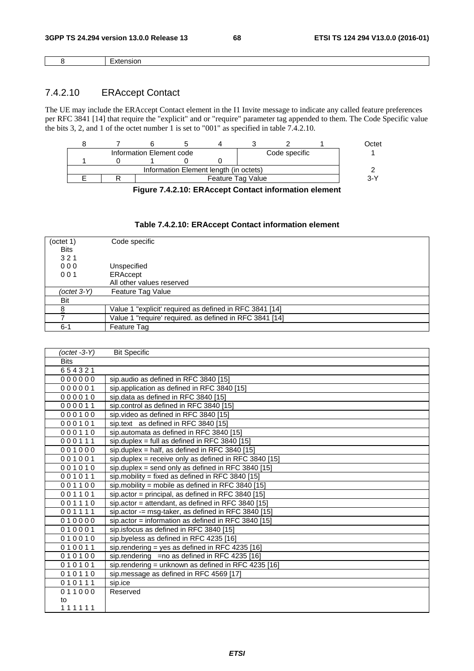| . |
|---|

# 7.4.2.10 ERAccept Contact

The UE may include the ERAccept Contact element in the I1 Invite message to indicate any called feature preferences per RFC 3841 [14] that require the "explicit" and or "require" parameter tag appended to them. The Code Specific value the bits 3, 2, and 1 of the octet number 1 is set to "001" as specified in table  $7.4.2.10$ .

|  | Code specific |                   | Information Element code               |  |  |  |  |
|--|---------------|-------------------|----------------------------------------|--|--|--|--|
|  |               |                   |                                        |  |  |  |  |
|  |               |                   | Information Element length (in octets) |  |  |  |  |
|  |               | Feature Tag Value |                                        |  |  |  |  |
|  |               |                   |                                        |  |  |  |  |

**Figure 7.4.2.10: ERAccept Contact information element** 

| (octet 1)   | Code specific                                           |
|-------------|---------------------------------------------------------|
| <b>Bits</b> |                                                         |
| 321         |                                                         |
| 000         | Unspecified                                             |
| 001         | ERAccept                                                |
|             | All other values reserved                               |
| (octet 3-Y) | Feature Tag Value                                       |
| Bit         |                                                         |
|             | Value 1 "explicit' required as defined in RFC 3841 [14] |
|             | Value 1 "require' required. as defined in RFC 3841 [14] |
| $6 - 1$     | Feature Tag                                             |

| (octet -3-Y) | <b>Bit Specific</b>                                    |
|--------------|--------------------------------------------------------|
| <b>Bits</b>  |                                                        |
| 654321       |                                                        |
| 000000       | sip.audio as defined in RFC 3840 [15]                  |
| 000001       | sip.application as defined in RFC 3840 [15]            |
| 000010       | sip.data as defined in RFC 3840 [15]                   |
| 000011       | sip.control as defined in RFC 3840 [15]                |
| 000100       | sip.video as defined in RFC 3840 [15]                  |
| 000101       | sip.text as defined in RFC 3840 [15]                   |
| 000110       | sip.automata as defined in RFC 3840 [15]               |
| 000111       | sip.duplex = full as defined in RFC 3840 [15]          |
| 001000       | sip.duplex = half, as defined in RFC 3840 [15]         |
| 001001       | sip.duplex = receive only as defined in RFC 3840 [15]  |
| 001010       | sip.duplex = send only as defined in RFC 3840 $[15]$   |
| 001011       | sip.mobility = fixed as defined in RFC 3840 $[15]$     |
| 001100       | sip.mobility = mobile as defined in RFC 3840 $[15]$    |
| 001101       | sip.actor = principal, as defined in RFC 3840 [15]     |
| 001110       | sip.actor = attendant, as defined in RFC 3840 [15]     |
| 001111       | sip.actor -= msg-taker, as defined in RFC 3840 [15]    |
| 010000       | $sip. actor = information as defined in RFC 3840 [15]$ |
| 010001       | sip.isfocus as defined in RFC 3840 [15]                |
| 010010       | sip.byeless as defined in RFC 4235 [16]                |
| 010011       | sip.rendering = yes as defined in RFC 4235 [16]        |
| 010100       | sip.rendering = no as defined in RFC 4235 [16]         |
| 010101       | sip.rendering = unknown as defined in RFC 4235 [16]    |
| 010110       | sip.message as defined in RFC 4569 [17]                |
| 010111       | sip.ice                                                |
| 011000       | Reserved                                               |
| to           |                                                        |
| 111111       |                                                        |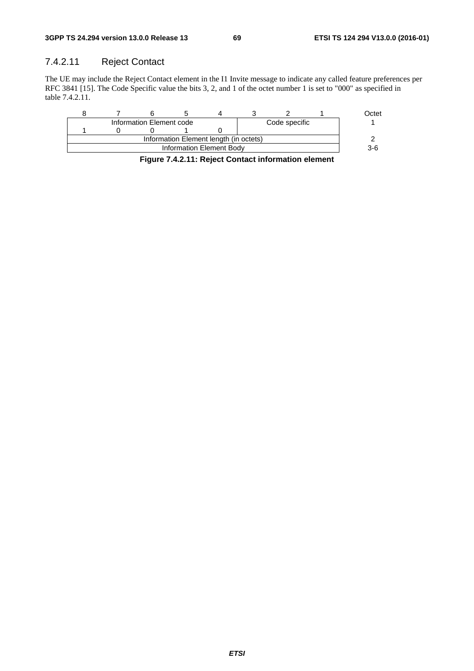# 7.4.2.11 Reject Contact

The UE may include the Reject Contact element in the I1 Invite message to indicate any called feature preferences per RFC 3841 [15]. The Code Specific value the bits 3, 2, and 1 of the octet number 1 is set to "000" as specified in table 7.4.2.11.



**Figure 7.4.2.11: Reject Contact information element**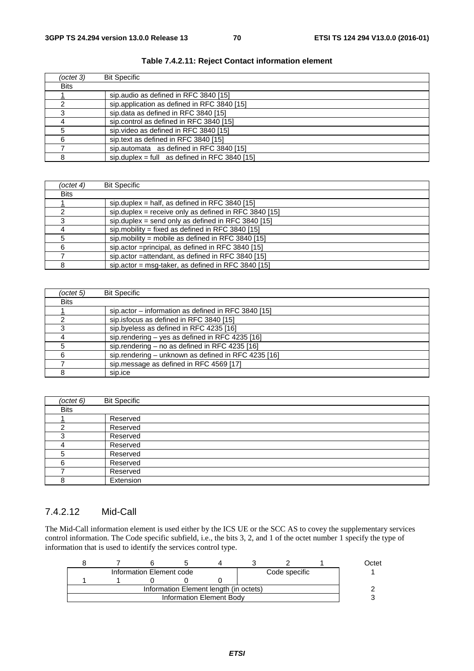| (octet 3)   | <b>Bit Specific</b>                           |
|-------------|-----------------------------------------------|
| <b>Bits</b> |                                               |
|             | sip.audio as defined in RFC 3840 [15]         |
|             | sip.application as defined in RFC 3840 [15]   |
|             | sip.data as defined in RFC 3840 [15]          |
|             | sip.control as defined in RFC 3840 [15]       |
|             | sip. video as defined in RFC 3840 [15]        |
|             | sip.text as defined in RFC 3840 [15]          |
|             | sip.automata as defined in RFC 3840 [15]      |
|             | sip.duplex = full as defined in RFC 3840 [15] |

#### **Table 7.4.2.11: Reject Contact information element**

| (octet 4)   | <b>Bit Specific</b>                                   |
|-------------|-------------------------------------------------------|
| <b>Bits</b> |                                                       |
|             | sip.duplex = half, as defined in RFC 3840 $[15]$      |
|             | sip.duplex = receive only as defined in RFC 3840 [15] |
|             | sip.duplex = send only as defined in RFC 3840 [15]    |
|             | sip. mobility = fixed as defined in RFC 3840 [15]     |
|             | sip.mobility = mobile as defined in RFC 3840 [15]     |
|             | sip.actor = principal, as defined in RFC 3840 [15]    |
|             | sip.actor = attendant, as defined in RFC 3840 [15]    |
|             | sip.actor = msg-taker, as defined in RFC 3840 [15]    |

| (octet 5)   | <b>Bit Specific</b>                                 |
|-------------|-----------------------------------------------------|
| <b>Bits</b> |                                                     |
|             | sip.actor – information as defined in RFC 3840 [15] |
|             | sip.isfocus as defined in RFC 3840 [15]             |
|             | sip.byeless as defined in RFC 4235 [16]             |
|             | sip.rendering - yes as defined in RFC 4235 [16]     |
|             | sip.rendering - no as defined in RFC 4235 [16]      |
| հ           | sip.rendering – unknown as defined in RFC 4235 [16] |
|             | sip.message as defined in RFC 4569 [17]             |
|             | sip.ice                                             |

| (octet 6)   | <b>Bit Specific</b> |
|-------------|---------------------|
| <b>Bits</b> |                     |
|             | Reserved            |
| ⌒           | Reserved            |
| っ           | Reserved            |
|             | Reserved            |
| C           | Reserved            |
| 6           | Reserved            |
|             | Reserved            |
|             | Extension           |

# 7.4.2.12 Mid-Call

The Mid-Call information element is used either by the ICS UE or the SCC AS to covey the supplementary services control information. The Code specific subfield, i.e., the bits 3, 2, and 1 of the octet number 1 specify the type of information that is used to identify the services control type.

| Information Element code<br>Code specific |  |
|-------------------------------------------|--|
|                                           |  |
| Information Element length (in octets)    |  |
| Information Element Body                  |  |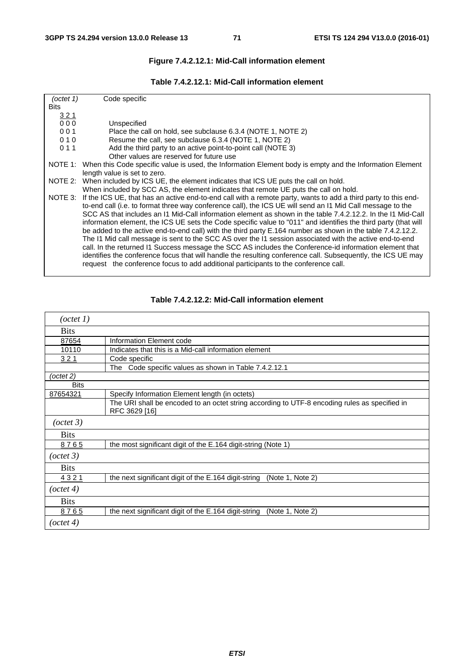### **Figure 7.4.2.12.1: Mid-Call information element**

| Table 7.4.2.12.1: Mid-Call information element |  |
|------------------------------------------------|--|
|------------------------------------------------|--|

| (octet 1) | Code specific                                                                                                          |
|-----------|------------------------------------------------------------------------------------------------------------------------|
| Bits      |                                                                                                                        |
| 321       |                                                                                                                        |
| 000       | Unspecified                                                                                                            |
| 001       | Place the call on hold, see subclause 6.3.4 (NOTE 1, NOTE 2)                                                           |
| 010       | Resume the call, see subclause 6.3.4 (NOTE 1, NOTE 2)                                                                  |
| 011       | Add the third party to an active point-to-point call (NOTE 3)                                                          |
|           | Other values are reserved for future use                                                                               |
| NOTE 1:   | When this Code specific value is used, the Information Element body is empty and the Information Element               |
|           | length value is set to zero.                                                                                           |
|           | NOTE 2: When included by ICS UE, the element indicates that ICS UE puts the call on hold.                              |
|           | When included by SCC AS, the element indicates that remote UE puts the call on hold.                                   |
|           | NOTE 3: If the ICS UE, that has an active end-to-end call with a remote party, wants to add a third party to this end- |
|           | to-end call (i.e. to format three way conference call), the ICS UE will send an I1 Mid Call message to the             |
|           | SCC AS that includes an 11 Mid-Call information element as shown in the table 7.4.2.12.2. In the 11 Mid-Call           |
|           | information element, the ICS UE sets the Code specific value to "011" and identifies the third party (that will        |
|           | be added to the active end-to-end call) with the third party E.164 number as shown in the table 7.4.2.12.2.            |
|           | The I1 Mid call message is sent to the SCC AS over the I1 session associated with the active end-to-end                |
|           | call. In the returned I1 Success message the SCC AS includes the Conference-id information element that                |
|           | identifies the conference focus that will handle the resulting conference call. Subsequently, the ICS UE may           |
|           | request the conference focus to add additional participants to the conference call.                                    |

| (octet 1)   |                                                                                                                |
|-------------|----------------------------------------------------------------------------------------------------------------|
| <b>Bits</b> |                                                                                                                |
| 87654       | Information Element code                                                                                       |
| 10110       | Indicates that this is a Mid-call information element                                                          |
| 321         | Code specific                                                                                                  |
|             | The Code specific values as shown in Table 7.4.2.12.1                                                          |
| (octet 2)   |                                                                                                                |
| <b>Bits</b> |                                                                                                                |
| 87654321    | Specify Information Element length (in octets)                                                                 |
|             | The URI shall be encoded to an octet string according to UTF-8 encoding rules as specified in<br>RFC 3629 [16] |
| (octet 3)   |                                                                                                                |
| <b>Bits</b> |                                                                                                                |
| 8765        | the most significant digit of the E.164 digit-string (Note 1)                                                  |
| (octet 3)   |                                                                                                                |
| <b>Bits</b> |                                                                                                                |
| 4321        | the next significant digit of the E.164 digit-string (Note 1, Note 2)                                          |
| (octet 4)   |                                                                                                                |
| <b>Bits</b> |                                                                                                                |
| 8765        | the next significant digit of the E.164 digit-string (Note 1, Note 2)                                          |
| (octet 4)   |                                                                                                                |

### **Table 7.4.2.12.2: Mid-Call information element**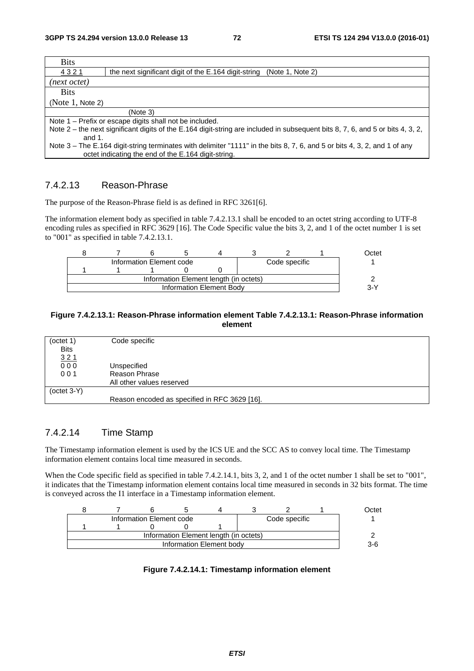| <b>Bits</b>      |                                                                                                                                |
|------------------|--------------------------------------------------------------------------------------------------------------------------------|
| 4321             | the next significant digit of the E.164 digit-string (Note 1, Note 2)                                                          |
| (next octet)     |                                                                                                                                |
| <b>Bits</b>      |                                                                                                                                |
| (Note 1, Note 2) |                                                                                                                                |
|                  | (Note 3)                                                                                                                       |
|                  | Note 1 - Prefix or escape digits shall not be included.                                                                        |
|                  | Note 2 – the next significant digits of the E.164 digit-string are included in subsequent bits 8, 7, 6, and 5 or bits 4, 3, 2, |
| and $1$ .        |                                                                                                                                |
|                  | Note 3 – The E.164 digit-string terminates with delimiter "1111" in the bits 8, 7, 6, and 5 or bits 4, 3, 2, and 1 of any      |
|                  | octet indicating the end of the E.164 digit-string.                                                                            |

# 7.4.2.13 Reason-Phrase

The purpose of the Reason-Phrase field is as defined in RFC 3261[6].

The information element body as specified in table 7.4.2.13.1 shall be encoded to an octet string according to UTF-8 encoding rules as specified in RFC 3629 [16]. The Code Specific value the bits 3, 2, and 1 of the octet number 1 is set to "001" as specified in table 7.4.2.13.1.

|                          |  |  |  |                                        |  |               | Octet |
|--------------------------|--|--|--|----------------------------------------|--|---------------|-------|
| Information Element code |  |  |  |                                        |  | Code specific |       |
|                          |  |  |  |                                        |  |               |       |
|                          |  |  |  | Information Element length (in octets) |  |               |       |
|                          |  |  |  | Information Element Body               |  |               | $3-Y$ |

#### **Figure 7.4.2.13.1: Reason-Phrase information element Table 7.4.2.13.1: Reason-Phrase information element**

| (octet 1)         | Code specific                                 |
|-------------------|-----------------------------------------------|
| <b>Bits</b>       |                                               |
| $\frac{321}{000}$ |                                               |
|                   | Unspecified                                   |
| 001               | Reason Phrase                                 |
|                   | All other values reserved                     |
| $-octet 3-Y$      |                                               |
|                   | Reason encoded as specified in RFC 3629 [16]. |

# 7.4.2.14 Time Stamp

The Timestamp information element is used by the ICS UE and the SCC AS to convey local time. The Timestamp information element contains local time measured in seconds.

When the Code specific field as specified in table 7.4.2.14.1, bits 3, 2, and 1 of the octet number 1 shall be set to "001", it indicates that the Timestamp information element contains local time measured in seconds in 32 bits format. The time is conveyed across the I1 interface in a Timestamp information element.

| Octet |               |                                        |  |  |  |  |  |
|-------|---------------|----------------------------------------|--|--|--|--|--|
|       | Code specific | Information Element code               |  |  |  |  |  |
|       |               |                                        |  |  |  |  |  |
|       |               | Information Element length (in octets) |  |  |  |  |  |
| 3-6   |               | Information Element body               |  |  |  |  |  |
|       |               |                                        |  |  |  |  |  |

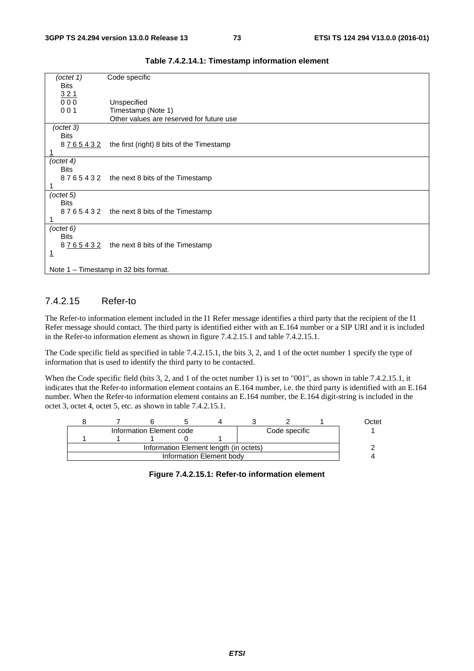| (octet 1)     | Code specific                             |
|---------------|-------------------------------------------|
| <b>Bits</b>   |                                           |
| 321           |                                           |
| 000           | Unspecified                               |
| 001           | Timestamp (Note 1)                        |
|               | Other values are reserved for future use  |
| (octet 3)     |                                           |
| <b>Bits</b>   |                                           |
| 8 7 6 5 4 3 2 | the first (right) 8 bits of the Timestamp |
|               |                                           |
| (octet 4)     |                                           |
| <b>Bits</b>   |                                           |
|               | 8765432 the next 8 bits of the Timestamp  |
|               |                                           |
| (octet 5)     |                                           |
| <b>Bits</b>   |                                           |
|               | 8765432 the next 8 bits of the Timestamp  |
|               |                                           |
| (octet 6)     |                                           |
| <b>Bits</b>   |                                           |
|               | 8765432 the next 8 bits of the Timestamp  |
| <u>1</u>      |                                           |
|               |                                           |
|               | Note 1 - Timestamp in 32 bits format.     |

# 7.4.2.15 Refer-to

The Refer-to information element included in the I1 Refer message identifies a third party that the recipient of the I1 Refer message should contact. The third party is identified either with an E.164 number or a SIP URI and it is included in the Refer-to information element as shown in figure 7.4.2.15.1 and table 7.4.2.15.1.

The Code specific field as specified in table 7.4.2.15.1, the bits 3, 2, and 1 of the octet number 1 specify the type of information that is used to identify the third party to be contacted.

When the Code specific field (bits 3, 2, and 1 of the octet number 1) is set to "001", as shown in table 7.4.2.15.1, it indicates that the Refer-to information element contains an E.164 number, i.e. the third party is identified with an E.164 number. When the Refer-to information element contains an E.164 number, the E.164 digit-string is included in the octet 3, octet 4, octet 5, etc. as shown in table 7.4.2.15.1.

|                          |  |  |  |                                        |  |               | Dctet |
|--------------------------|--|--|--|----------------------------------------|--|---------------|-------|
| Information Element code |  |  |  |                                        |  | Code specific |       |
|                          |  |  |  |                                        |  |               |       |
|                          |  |  |  | Information Element length (in octets) |  |               |       |
|                          |  |  |  | Information Element body               |  |               |       |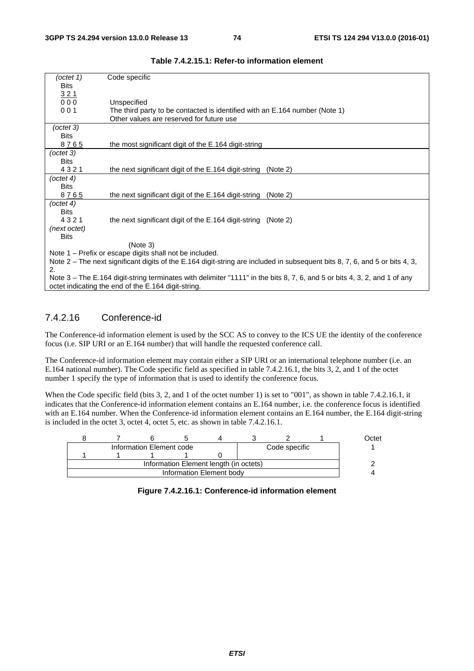| (octet 1)    | Code specific                                                                                                               |
|--------------|-----------------------------------------------------------------------------------------------------------------------------|
| Bits         |                                                                                                                             |
| 321          |                                                                                                                             |
| 000          | Unspecified                                                                                                                 |
| 001          | The third party to be contacted is identified with an E.164 number (Note 1)                                                 |
|              | Other values are reserved for future use                                                                                    |
| (octet 3)    |                                                                                                                             |
| <b>Bits</b>  |                                                                                                                             |
| 8765         | the most significant digit of the E.164 digit-string                                                                        |
| (octet 3)    |                                                                                                                             |
| <b>Bits</b>  |                                                                                                                             |
| 4321         | the next significant digit of the E.164 digit-string<br>(Note 2)                                                            |
| (octet 4)    |                                                                                                                             |
| <b>Bits</b>  |                                                                                                                             |
| 8765         | the next significant digit of the E.164 digit-string<br>(Note 2)                                                            |
| (octet 4)    |                                                                                                                             |
| <b>Bits</b>  |                                                                                                                             |
| 4321         | the next significant digit of the E.164 digit-string (Note 2)                                                               |
| (next octet) |                                                                                                                             |
| <b>Bits</b>  |                                                                                                                             |
|              | (Note 3)                                                                                                                    |
|              | Note 1 - Prefix or escape digits shall not be included.                                                                     |
|              | Note 2 – The next significant digits of the E.164 digit-string are included in subsequent bits 8, 7, 6, and 5 or bits 4, 3, |
| 2.           |                                                                                                                             |
|              | Note 3 – The E.164 digit-string terminates with delimiter "1111" in the bits 8, 7, 6, and 5 or bits 4, 3, 2, and 1 of any   |
|              | octet indicating the end of the E.164 digit-string.                                                                         |

#### **Table 7.4.2.15.1: Refer-to information element**

# 7.4.2.16 Conference-id

The Conference-id information element is used by the SCC AS to convey to the ICS UE the identity of the conference focus (i.e. SIP URI or an E.164 number) that will handle the requested conference call.

The Conference-id information element may contain either a SIP URI or an international telephone number (i.e. an E.164 national number). The Code specific field as specified in table 7.4.2.16.1, the bits 3, 2, and 1 of the octet number 1 specify the type of information that is used to identify the conference focus.

When the Code specific field (bits 3, 2, and 1 of the octet number 1) is set to "001", as shown in table 7.4.2.16.1, it indicates that the Conference-id information element contains an E.164 number, i.e. the conference focus is identified with an E.164 number. When the Conference-id information element contains an E.164 number, the E.164 digit-string is included in the octet 3, octet 4, octet 5, etc. as shown in table 7.4.2.16.1.

|                          |                          |  |                                        |  |  |               |  | <b>Dctet</b> |
|--------------------------|--------------------------|--|----------------------------------------|--|--|---------------|--|--------------|
| Information Element code |                          |  |                                        |  |  | Code specific |  |              |
|                          |                          |  |                                        |  |  |               |  |              |
|                          |                          |  | Information Element length (in octets) |  |  |               |  |              |
|                          | Information Element body |  |                                        |  |  |               |  |              |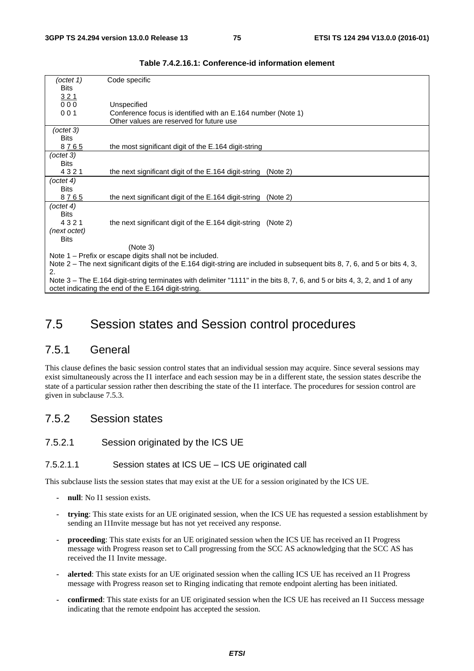| (octet 1)    | Code specific                                                                                                               |
|--------------|-----------------------------------------------------------------------------------------------------------------------------|
| <b>Bits</b>  |                                                                                                                             |
| 321          |                                                                                                                             |
| 000          | Unspecified                                                                                                                 |
| 001          | Conference focus is identified with an E.164 number (Note 1)                                                                |
|              | Other values are reserved for future use                                                                                    |
| (octet 3)    |                                                                                                                             |
| <b>Bits</b>  |                                                                                                                             |
| 8765         | the most significant digit of the E.164 digit-string                                                                        |
| (octet 3)    |                                                                                                                             |
| <b>Bits</b>  |                                                                                                                             |
| 4321         | the next significant digit of the E.164 digit-string<br>(Note 2)                                                            |
| (octet 4)    |                                                                                                                             |
| <b>Bits</b>  |                                                                                                                             |
| 8765         | the next significant digit of the E.164 digit-string<br>(Note 2)                                                            |
| (octet 4)    |                                                                                                                             |
| <b>Bits</b>  |                                                                                                                             |
| 4321         | the next significant digit of the E.164 digit-string (Note 2)                                                               |
| (next octet) |                                                                                                                             |
| <b>Bits</b>  |                                                                                                                             |
|              | (Note 3)                                                                                                                    |
|              | Note 1 – Prefix or escape digits shall not be included.                                                                     |
|              | Note 2 – The next significant digits of the E.164 digit-string are included in subsequent bits 8, 7, 6, and 5 or bits 4, 3, |
| 2.           |                                                                                                                             |
|              | Note 3 – The E.164 digit-string terminates with delimiter "1111" in the bits 8, 7, 6, and 5 or bits 4, 3, 2, and 1 of any   |
|              | octet indicating the end of the E.164 digit-string.                                                                         |

# 7.5 Session states and Session control procedures

# 7.5.1 General

This clause defines the basic session control states that an individual session may acquire. Since several sessions may exist simultaneously across the I1 interface and each session may be in a different state, the session states describe the state of a particular session rather then describing the state of the I1 interface. The procedures for session control are given in subclause 7.5.3.

# 7.5.2 Session states

# 7.5.2.1 Session originated by the ICS UE

## 7.5.2.1.1 Session states at ICS UE – ICS UE originated call

This subclause lists the session states that may exist at the UE for a session originated by the ICS UE.

- null: No I1 session exists.
- **trying**: This state exists for an UE originated session, when the ICS UE has requested a session establishment by sending an I1Invite message but has not yet received any response.
- **proceeding**: This state exists for an UE originated session when the ICS UE has received an I1 Progress message with Progress reason set to Call progressing from the SCC AS acknowledging that the SCC AS has received the I1 Invite message.
- **alerted**: This state exists for an UE originated session when the calling ICS UE has received an I1 Progress message with Progress reason set to Ringing indicating that remote endpoint alerting has been initiated.
- **confirmed**: This state exists for an UE originated session when the ICS UE has received an I1 Success message indicating that the remote endpoint has accepted the session.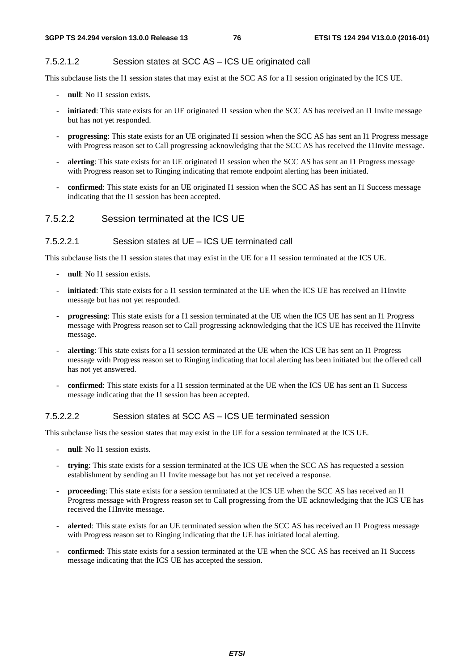## 7.5.2.1.2 Session states at SCC AS – ICS UE originated call

This subclause lists the I1 session states that may exist at the SCC AS for a I1 session originated by the ICS UE.

- **null**: No I1 session exists.
- **initiated**: This state exists for an UE originated I1 session when the SCC AS has received an I1 Invite message but has not yet responded.
- **progressing**: This state exists for an UE originated I1 session when the SCC AS has sent an I1 Progress message with Progress reason set to Call progressing acknowledging that the SCC AS has received the I1Invite message.
- **alerting**: This state exists for an UE originated I1 session when the SCC AS has sent an I1 Progress message with Progress reason set to Ringing indicating that remote endpoint alerting has been initiated.
- **confirmed**: This state exists for an UE originated I1 session when the SCC AS has sent an I1 Success message indicating that the I1 session has been accepted.

## 7.5.2.2 Session terminated at the ICS UE

## 7.5.2.2.1 Session states at UE – ICS UE terminated call

This subclause lists the I1 session states that may exist in the UE for a I1 session terminated at the ICS UE.

- **null**: No I1 session exists.
- **initiated**: This state exists for a I1 session terminated at the UE when the ICS UE has received an I1Invite message but has not yet responded.
- **progressing**: This state exists for a I1 session terminated at the UE when the ICS UE has sent an I1 Progress message with Progress reason set to Call progressing acknowledging that the ICS UE has received the I1Invite message.
- **alerting**: This state exists for a I1 session terminated at the UE when the ICS UE has sent an I1 Progress message with Progress reason set to Ringing indicating that local alerting has been initiated but the offered call has not yet answered.
- **confirmed**: This state exists for a I1 session terminated at the UE when the ICS UE has sent an I1 Success message indicating that the I1 session has been accepted.

# 7.5.2.2.2 Session states at SCC AS – ICS UE terminated session

This subclause lists the session states that may exist in the UE for a session terminated at the ICS UE.

- **null**: No I1 session exists.
- **trying**: This state exists for a session terminated at the ICS UE when the SCC AS has requested a session establishment by sending an I1 Invite message but has not yet received a response.
- **proceeding**: This state exists for a session terminated at the ICS UE when the SCC AS has received an I1 Progress message with Progress reason set to Call progressing from the UE acknowledging that the ICS UE has received the I1Invite message.
- **alerted**: This state exists for an UE terminated session when the SCC AS has received an I1 Progress message with Progress reason set to Ringing indicating that the UE has initiated local alerting.
- **confirmed**: This state exists for a session terminated at the UE when the SCC AS has received an I1 Success message indicating that the ICS UE has accepted the session.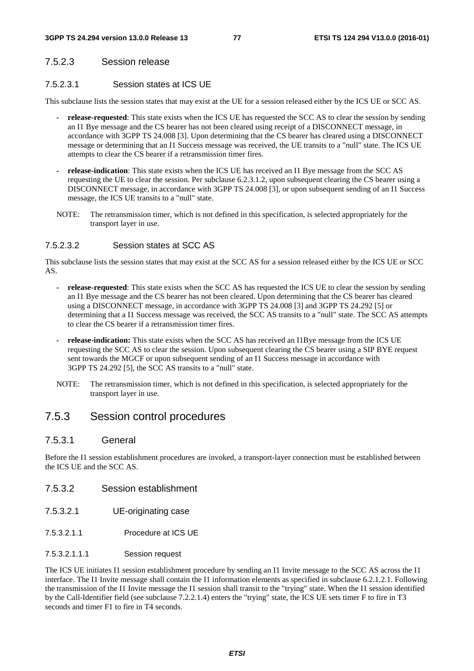## 7.5.2.3 Session release

## 7.5.2.3.1 Session states at ICS UE

This subclause lists the session states that may exist at the UE for a session released either by the ICS UE or SCC AS.

- **release-requested**: This state exists when the ICS UE has requested the SCC AS to clear the session by sending an I1 Bye message and the CS bearer has not been cleared using receipt of a DISCONNECT message, in accordance with 3GPP TS 24.008 [3]. Upon determining that the CS bearer has cleared using a DISCONNECT message or determining that an I1 Success message was received, the UE transits to a "null" state. The ICS UE attempts to clear the CS bearer if a retransmission timer fires.
- **release-indication**: This state exists when the ICS UE has received an I1 Bye message from the SCC AS requesting the UE to clear the session. Per subclause 6.2.3.1.2, upon subsequent clearing the CS bearer using a DISCONNECT message, in accordance with 3GPP TS 24.008 [3], or upon subsequent sending of an I1 Success message, the ICS UE transits to a "null" state.
- NOTE: The retransmission timer, which is not defined in this specification, is selected appropriately for the transport layer in use.

# 7.5.2.3.2 Session states at SCC AS

This subclause lists the session states that may exist at the SCC AS for a session released either by the ICS UE or SCC AS.

- **release-requested**: This state exists when the SCC AS has requested the ICS UE to clear the session by sending an I1 Bye message and the CS bearer has not been cleared. Upon determining that the CS bearer has cleared using a DISCONNECT message, in accordance with 3GPP TS 24.008 [3] and 3GPP TS 24.292 [5] or determining that a I1 Success message was received, the SCC AS transits to a "null" state. The SCC AS attempts to clear the CS bearer if a retransmission timer fires.
- **release-indication:** This state exists when the SCC AS has received an I1Bye message from the ICS UE requesting the SCC AS to clear the session. Upon subsequent clearing the CS bearer using a SIP BYE request sent towards the MGCF or upon subsequent sending of an I1 Success message in accordance with 3GPP TS 24.292 [5], the SCC AS transits to a "null" state.
- NOTE: The retransmission timer, which is not defined in this specification, is selected appropriately for the transport layer in use.

# 7.5.3 Session control procedures

### 7.5.3.1 General

Before the I1 session establishment procedures are invoked, a transport-layer connection must be established between the ICS UE and the SCC AS.

- 7.5.3.2 Session establishment
- 7.5.3.2.1 UE-originating case
- 7.5.3.2.1.1 Procedure at ICS UE
- 7.5.3.2.1.1.1 Session request

The ICS UE initiates I1 session establishment procedure by sending an I1 Invite message to the SCC AS across the I1 interface. The I1 Invite message shall contain the I1 information elements as specified in subclause 6.2.1.2.1. Following the transmission of the I1 Invite message the I1 session shall transit to the "trying" state. When the I1 session identified by the Call-Identifier field (see subclause 7.2.2.1.4) enters the "trying" state, the ICS UE sets timer F to fire in T3 seconds and timer F1 to fire in T4 seconds.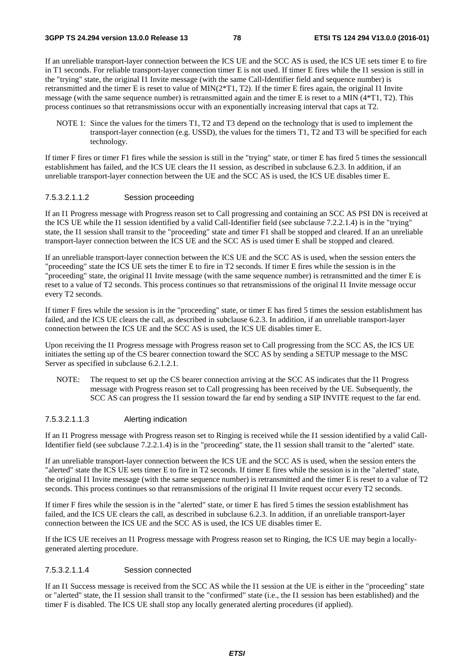If an unreliable transport-layer connection between the ICS UE and the SCC AS is used, the ICS UE sets timer E to fire in T1 seconds. For reliable transport-layer connection timer E is not used. If timer E fires while the I1 session is still in the "trying" state, the original I1 Invite message (with the same Call-Identifier field and sequence number) is retransmitted and the timer E is reset to value of MIN(2\*T1, T2). If the timer E fires again, the original I1 Invite message (with the same sequence number) is retransmitted again and the timer E is reset to a MIN (4\*T1, T2). This process continues so that retransmissions occur with an exponentially increasing interval that caps at T2.

NOTE 1: Since the values for the timers T1, T2 and T3 depend on the technology that is used to implement the transport-layer connection (e.g. USSD), the values for the timers T1, T2 and T3 will be specified for each technology.

If timer F fires or timer F1 fires while the session is still in the "trying" state, or timer E has fired 5 times the sessioncall establishment has failed, and the ICS UE clears the I1 session, as described in subclause 6.2.3. In addition, if an unreliable transport-layer connection between the UE and the SCC AS is used, the ICS UE disables timer E.

#### 7.5.3.2.1.1.2 Session proceeding

If an I1 Progress message with Progress reason set to Call progressing and containing an SCC AS PSI DN is received at the ICS UE while the I1 session identified by a valid Call-Identifier field (see subclause 7.2.2.1.4) is in the "trying" state, the I1 session shall transit to the "proceeding" state and timer F1 shall be stopped and cleared. If an an unreliable transport-layer connection between the ICS UE and the SCC AS is used timer E shall be stopped and cleared.

If an unreliable transport-layer connection between the ICS UE and the SCC AS is used, when the session enters the "proceeding" state the ICS UE sets the timer E to fire in T2 seconds. If timer E fires while the session is in the "proceeding" state, the original I1 Invite message (with the same sequence number) is retransmitted and the timer E is reset to a value of T2 seconds. This process continues so that retransmissions of the original I1 Invite message occur every T2 seconds.

If timer F fires while the session is in the "proceeding" state, or timer E has fired 5 times the session establishment has failed, and the ICS UE clears the call, as described in subclause 6.2.3. In addition, if an unreliable transport-layer connection between the ICS UE and the SCC AS is used, the ICS UE disables timer E.

Upon receiving the I1 Progress message with Progress reason set to Call progressing from the SCC AS, the ICS UE initiates the setting up of the CS bearer connection toward the SCC AS by sending a SETUP message to the MSC Server as specified in subclause 6.2.1.2.1.

NOTE: The request to set up the CS bearer connection arriving at the SCC AS indicates that the I1 Progress message with Progress reason set to Call progressing has been received by the UE. Subsequently, the SCC AS can progress the I1 session toward the far end by sending a SIP INVITE request to the far end.

#### 7.5.3.2.1.1.3 Alerting indication

If an I1 Progress message with Progress reason set to Ringing is received while the I1 session identified by a valid Call-Identifier field (see subclause 7.2.2.1.4) is in the "proceeding" state, the I1 session shall transit to the "alerted" state.

If an unreliable transport-layer connection between the ICS UE and the SCC AS is used, when the session enters the "alerted" state the ICS UE sets timer E to fire in T2 seconds. If timer E fires while the session is in the "alerted" state, the original I1 Invite message (with the same sequence number) is retransmitted and the timer E is reset to a value of T2 seconds. This process continues so that retransmissions of the original I1 Invite request occur every T2 seconds.

If timer F fires while the session is in the "alerted" state, or timer E has fired 5 times the session establishment has failed, and the ICS UE clears the call, as described in subclause 6.2.3. In addition, if an unreliable transport-layer connection between the ICS UE and the SCC AS is used, the ICS UE disables timer E.

If the ICS UE receives an I1 Progress message with Progress reason set to Ringing, the ICS UE may begin a locallygenerated alerting procedure.

#### 7.5.3.2.1.1.4 Session connected

If an I1 Success message is received from the SCC AS while the I1 session at the UE is either in the "proceeding" state or "alerted" state, the I1 session shall transit to the "confirmed" state (i.e., the I1 session has been established) and the timer F is disabled. The ICS UE shall stop any locally generated alerting procedures (if applied).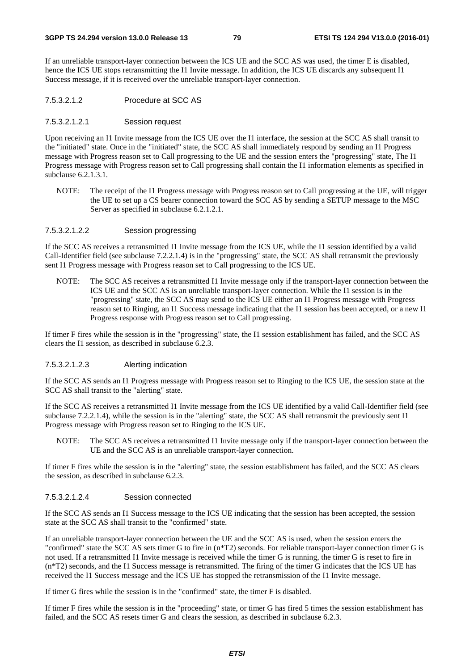If an unreliable transport-layer connection between the ICS UE and the SCC AS was used, the timer E is disabled, hence the ICS UE stops retransmitting the I1 Invite message. In addition, the ICS UE discards any subsequent I1 Success message, if it is received over the unreliable transport-layer connection.

- 7.5.3.2.1.2 Procedure at SCC AS
- 7.5.3.2.1.2.1 Session request

Upon receiving an I1 Invite message from the ICS UE over the I1 interface, the session at the SCC AS shall transit to the "initiated" state. Once in the "initiated" state, the SCC AS shall immediately respond by sending an I1 Progress message with Progress reason set to Call progressing to the UE and the session enters the "progressing" state, The I1 Progress message with Progress reason set to Call progressing shall contain the I1 information elements as specified in subclause 6.2.1.3.1.

NOTE: The receipt of the I1 Progress message with Progress reason set to Call progressing at the UE, will trigger the UE to set up a CS bearer connection toward the SCC AS by sending a SETUP message to the MSC Server as specified in subclause 6.2.1.2.1.

#### 7.5.3.2.1.2.2 Session progressing

If the SCC AS receives a retransmitted I1 Invite message from the ICS UE, while the I1 session identified by a valid Call-Identifier field (see subclause 7.2.2.1.4) is in the "progressing" state, the SCC AS shall retransmit the previously sent I1 Progress message with Progress reason set to Call progressing to the ICS UE.

NOTE: The SCC AS receives a retransmitted I1 Invite message only if the transport-layer connection between the ICS UE and the SCC AS is an unreliable transport-layer connection. While the I1 session is in the "progressing" state, the SCC AS may send to the ICS UE either an I1 Progress message with Progress reason set to Ringing, an I1 Success message indicating that the I1 session has been accepted, or a new I1 Progress response with Progress reason set to Call progressing.

If timer F fires while the session is in the "progressing" state, the I1 session establishment has failed, and the SCC AS clears the I1 session, as described in subclause 6.2.3.

#### 7.5.3.2.1.2.3 Alerting indication

If the SCC AS sends an I1 Progress message with Progress reason set to Ringing to the ICS UE, the session state at the SCC AS shall transit to the "alerting" state.

If the SCC AS receives a retransmitted I1 Invite message from the ICS UE identified by a valid Call-Identifier field (see subclause 7.2.2.1.4), while the session is in the "alerting" state, the SCC AS shall retransmit the previously sent I1 Progress message with Progress reason set to Ringing to the ICS UE.

NOTE: The SCC AS receives a retransmitted I1 Invite message only if the transport-layer connection between the UE and the SCC AS is an unreliable transport-layer connection.

If timer F fires while the session is in the "alerting" state, the session establishment has failed, and the SCC AS clears the session, as described in subclause 6.2.3.

#### 7.5.3.2.1.2.4 Session connected

If the SCC AS sends an I1 Success message to the ICS UE indicating that the session has been accepted, the session state at the SCC AS shall transit to the "confirmed" state.

If an unreliable transport-layer connection between the UE and the SCC AS is used, when the session enters the "confirmed" state the SCC AS sets timer G to fire in (n\*T2) seconds. For reliable transport-layer connection timer G is not used. If a retransmitted I1 Invite message is received while the timer G is running, the timer G is reset to fire in (n\*T2) seconds, and the I1 Success message is retransmitted. The firing of the timer G indicates that the ICS UE has received the I1 Success message and the ICS UE has stopped the retransmission of the I1 Invite message.

If timer G fires while the session is in the "confirmed" state, the timer F is disabled.

If timer F fires while the session is in the "proceeding" state, or timer G has fired 5 times the session establishment has failed, and the SCC AS resets timer G and clears the session, as described in subclause 6.2.3.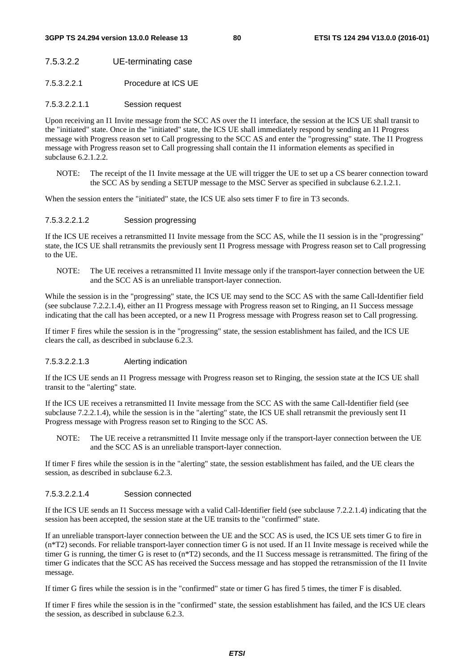### 7.5.3.2.2 UE-terminating case

7.5.3.2.2.1 Procedure at ICS UE

#### 7.5.3.2.2.1.1 Session request

Upon receiving an I1 Invite message from the SCC AS over the I1 interface, the session at the ICS UE shall transit to the "initiated" state. Once in the "initiated" state, the ICS UE shall immediately respond by sending an I1 Progress message with Progress reason set to Call progressing to the SCC AS and enter the "progressing" state. The I1 Progress message with Progress reason set to Call progressing shall contain the I1 information elements as specified in subclause 6.2.1.2.2.

NOTE: The receipt of the I1 Invite message at the UE will trigger the UE to set up a CS bearer connection toward the SCC AS by sending a SETUP message to the MSC Server as specified in subclause 6.2.1.2.1.

When the session enters the "initiated" state, the ICS UE also sets timer F to fire in T3 seconds.

#### 7.5.3.2.2.1.2 Session progressing

If the ICS UE receives a retransmitted I1 Invite message from the SCC AS, while the I1 session is in the "progressing" state, the ICS UE shall retransmits the previously sent I1 Progress message with Progress reason set to Call progressing to the UE.

NOTE: The UE receives a retransmitted I1 Invite message only if the transport-layer connection between the UE and the SCC AS is an unreliable transport-layer connection.

While the session is in the "progressing" state, the ICS UE may send to the SCC AS with the same Call-Identifier field (see subclause 7.2.2.1.4), either an I1 Progress message with Progress reason set to Ringing, an I1 Success message indicating that the call has been accepted, or a new I1 Progress message with Progress reason set to Call progressing.

If timer F fires while the session is in the "progressing" state, the session establishment has failed, and the ICS UE clears the call, as described in subclause 6.2.3.

#### 7.5.3.2.2.1.3 Alerting indication

If the ICS UE sends an I1 Progress message with Progress reason set to Ringing, the session state at the ICS UE shall transit to the "alerting" state.

If the ICS UE receives a retransmitted I1 Invite message from the SCC AS with the same Call-Identifier field (see subclause 7.2.2.1.4), while the session is in the "alerting" state, the ICS UE shall retransmit the previously sent I1 Progress message with Progress reason set to Ringing to the SCC AS.

NOTE: The UE receive a retransmitted I1 Invite message only if the transport-layer connection between the UE and the SCC AS is an unreliable transport-layer connection.

If timer F fires while the session is in the "alerting" state, the session establishment has failed, and the UE clears the session, as described in subclause 6.2.3.

#### 7.5.3.2.2.1.4 Session connected

If the ICS UE sends an I1 Success message with a valid Call-Identifier field (see subclause 7.2.2.1.4) indicating that the session has been accepted, the session state at the UE transits to the "confirmed" state.

If an unreliable transport-layer connection between the UE and the SCC AS is used, the ICS UE sets timer G to fire in (n\*T2) seconds. For reliable transport-layer connection timer G is not used. If an I1 Invite message is received while the timer G is running, the timer G is reset to (n\*T2) seconds, and the I1 Success message is retransmitted. The firing of the timer G indicates that the SCC AS has received the Success message and has stopped the retransmission of the I1 Invite message.

If timer G fires while the session is in the "confirmed" state or timer G has fired 5 times, the timer F is disabled.

If timer F fires while the session is in the "confirmed" state, the session establishment has failed, and the ICS UE clears the session, as described in subclause 6.2.3.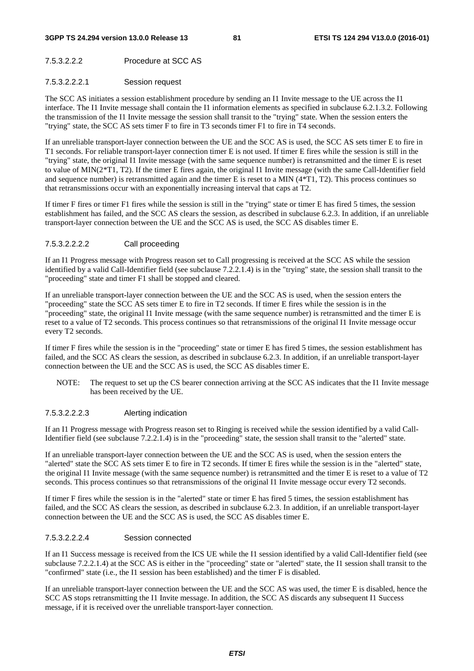#### 7.5.3.2.2.2 Procedure at SCC AS

#### 7.5.3.2.2.2.1 Session request

The SCC AS initiates a session establishment procedure by sending an I1 Invite message to the UE across the I1 interface. The I1 Invite message shall contain the I1 information elements as specified in subclause 6.2.1.3.2. Following the transmission of the I1 Invite message the session shall transit to the "trying" state. When the session enters the "trying" state, the SCC AS sets timer F to fire in T3 seconds timer F1 to fire in T4 seconds.

If an unreliable transport-layer connection between the UE and the SCC AS is used, the SCC AS sets timer E to fire in T1 seconds. For reliable transport-layer connection timer E is not used. If timer E fires while the session is still in the "trying" state, the original I1 Invite message (with the same sequence number) is retransmitted and the timer E is reset to value of MIN(2\*T1, T2). If the timer E fires again, the original I1 Invite message (with the same Call-Identifier field and sequence number) is retransmitted again and the timer E is reset to a MIN (4\*T1, T2). This process continues so that retransmissions occur with an exponentially increasing interval that caps at T2.

If timer F fires or timer F1 fires while the session is still in the "trying" state or timer E has fired 5 times, the session establishment has failed, and the SCC AS clears the session, as described in subclause 6.2.3. In addition, if an unreliable transport-layer connection between the UE and the SCC AS is used, the SCC AS disables timer E.

#### 7.5.3.2.2.2.2 Call proceeding

If an I1 Progress message with Progress reason set to Call progressing is received at the SCC AS while the session identified by a valid Call-Identifier field (see subclause 7.2.2.1.4) is in the "trying" state, the session shall transit to the "proceeding" state and timer F1 shall be stopped and cleared.

If an unreliable transport-layer connection between the UE and the SCC AS is used, when the session enters the "proceeding" state the SCC AS sets timer E to fire in T2 seconds. If timer E fires while the session is in the "proceeding" state, the original I1 Invite message (with the same sequence number) is retransmitted and the timer E is reset to a value of T2 seconds. This process continues so that retransmissions of the original I1 Invite message occur every T2 seconds.

If timer F fires while the session is in the "proceeding" state or timer E has fired 5 times, the session establishment has failed, and the SCC AS clears the session, as described in subclause 6.2.3. In addition, if an unreliable transport-layer connection between the UE and the SCC AS is used, the SCC AS disables timer E.

NOTE: The request to set up the CS bearer connection arriving at the SCC AS indicates that the I1 Invite message has been received by the UE.

#### 7.5.3.2.2.2.3 Alerting indication

If an I1 Progress message with Progress reason set to Ringing is received while the session identified by a valid Call-Identifier field (see subclause 7.2.2.1.4) is in the "proceeding" state, the session shall transit to the "alerted" state.

If an unreliable transport-layer connection between the UE and the SCC AS is used, when the session enters the "alerted" state the SCC AS sets timer E to fire in T2 seconds. If timer E fires while the session is in the "alerted" state, the original I1 Invite message (with the same sequence number) is retransmitted and the timer E is reset to a value of T2 seconds. This process continues so that retransmissions of the original I1 Invite message occur every T2 seconds.

If timer F fires while the session is in the "alerted" state or timer E has fired 5 times, the session establishment has failed, and the SCC AS clears the session, as described in subclause 6.2.3. In addition, if an unreliable transport-layer connection between the UE and the SCC AS is used, the SCC AS disables timer E.

#### 7.5.3.2.2.2.4 Session connected

If an I1 Success message is received from the ICS UE while the I1 session identified by a valid Call-Identifier field (see subclause 7.2.2.1.4) at the SCC AS is either in the "proceeding" state or "alerted" state, the I1 session shall transit to the "confirmed" state (i.e., the I1 session has been established) and the timer F is disabled.

If an unreliable transport-layer connection between the UE and the SCC AS was used, the timer E is disabled, hence the SCC AS stops retransmitting the I1 Invite message. In addition, the SCC AS discards any subsequent I1 Success message, if it is received over the unreliable transport-layer connection.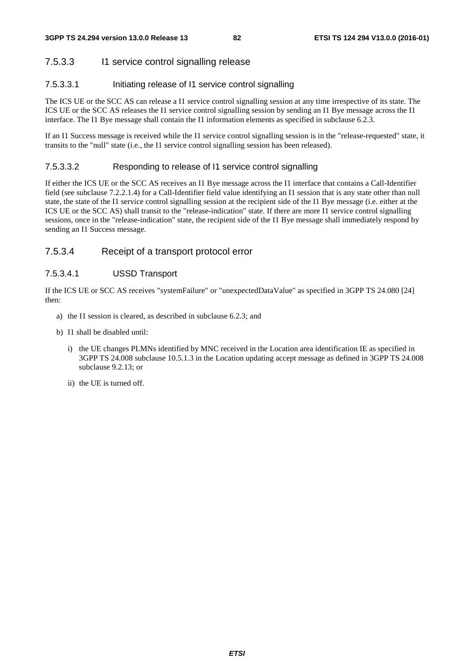# 7.5.3.3 I1 service control signalling release

## 7.5.3.3.1 Initiating release of I1 service control signalling

The ICS UE or the SCC AS can release a I1 service control signalling session at any time irrespective of its state. The ICS UE or the SCC AS releases the I1 service control signalling session by sending an I1 Bye message across the I1 interface. The I1 Bye message shall contain the I1 information elements as specified in subclause 6.2.3.

If an I1 Success message is received while the I1 service control signalling session is in the "release-requested" state, it transits to the "null" state (i.e., the I1 service control signalling session has been released).

#### 7.5.3.3.2 Responding to release of I1 service control signalling

If either the ICS UE or the SCC AS receives an I1 Bye message across the I1 interface that contains a Call-Identifier field (see subclause 7.2.2.1.4) for a Call-Identifier field value identifying an I1 session that is any state other than null state, the state of the I1 service control signalling session at the recipient side of the I1 Bye message (i.e. either at the ICS UE or the SCC AS) shall transit to the "release-indication" state. If there are more I1 service control signalling sessions, once in the "release-indication" state, the recipient side of the I1 Bye message shall immediately respond by sending an I1 Success message.

# 7.5.3.4 Receipt of a transport protocol error

## 7.5.3.4.1 USSD Transport

If the ICS UE or SCC AS receives "systemFailure" or "unexpectedDataValue" as specified in 3GPP TS 24.080 [24] then:

- a) the I1 session is cleared, as described in subclause 6.2.3; and
- b) I1 shall be disabled until:
	- i) the UE changes PLMNs identified by MNC received in the Location area identification IE as specified in 3GPP TS 24.008 subclause 10.5.1.3 in the Location updating accept message as defined in 3GPP TS 24.008 subclause 9.2.13; or
	- ii) the UE is turned off.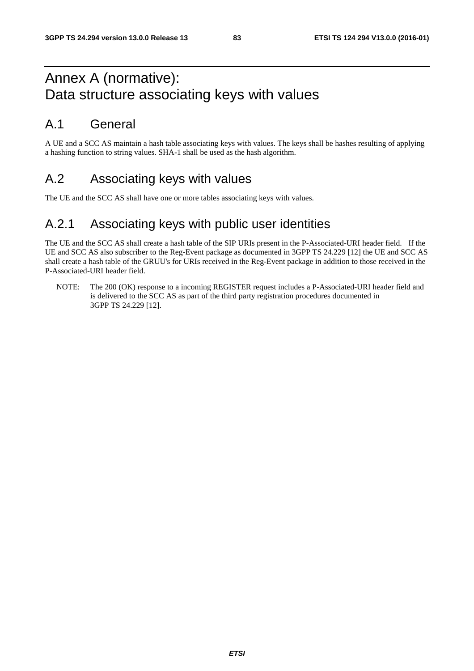# Annex A (normative): Data structure associating keys with values

# A.1 General

A UE and a SCC AS maintain a hash table associating keys with values. The keys shall be hashes resulting of applying a hashing function to string values. SHA-1 shall be used as the hash algorithm.

# A.2 Associating keys with values

The UE and the SCC AS shall have one or more tables associating keys with values.

# A.2.1 Associating keys with public user identities

The UE and the SCC AS shall create a hash table of the SIP URIs present in the P-Associated-URI header field. If the UE and SCC AS also subscriber to the Reg-Event package as documented in 3GPP TS 24.229 [12] the UE and SCC AS shall create a hash table of the GRUU's for URIs received in the Reg-Event package in addition to those received in the P-Associated-URI header field.

NOTE: The 200 (OK) response to a incoming REGISTER request includes a P-Associated-URI header field and is delivered to the SCC AS as part of the third party registration procedures documented in 3GPP TS 24.229 [12].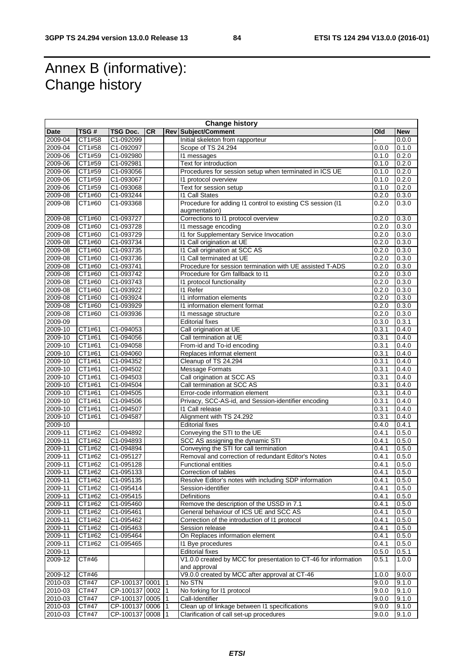# Annex B (informative): Change history

| <b>Change history</b> |        |                  |           |            |                                                                 |                |                |
|-----------------------|--------|------------------|-----------|------------|-----------------------------------------------------------------|----------------|----------------|
| <b>Date</b>           | TSG #  | TSG Doc.         | <b>CR</b> |            | <b>Rev Subject/Comment</b>                                      | Old            | <b>New</b>     |
| 2009-04               | CT1#58 | C1-092099        |           |            | Initial skeleton from rapporteur                                |                | 0.0.0          |
| 2009-04               | CT1#58 | C1-092097        |           |            | Scope of TS 24.294                                              | 0.0.0          | 0.1.0          |
| 2009-06               | CT1#59 | C1-092980        |           |            | 11 messages                                                     | 0.1.0          | 0.2.0          |
| 2009-06               | CT1#59 | C1-092981        |           |            | Text for introduction                                           | 0.1.0          | 0.2.0          |
| 2009-06               | CT1#59 | C1-093056        |           |            | Procedures for session setup when terminated in ICS UE          | 0.1.0          | 0.2.0          |
| 2009-06               | CT1#59 | C1-093067        |           |            | 11 protocol overview                                            | 0.1.0          | 0.2.0          |
| 2009-06               | CT1#59 | C1-093068        |           |            | Text for session setup                                          | 0.1.0          | 0.2.0          |
| 2009-08               | CT1#60 | C1-093244        |           |            | <b>11 Call States</b>                                           | 0.2.0          | 0.3.0          |
| 2009-08               | CT1#60 | C1-093368        |           |            | Procedure for adding I1 control to existing CS session (I1      | 0.2.0          | 0.3.0          |
|                       |        |                  |           |            | augmentation)                                                   |                |                |
| 2009-08               | CT1#60 | C1-093727        |           |            | Corrections to I1 protocol overview                             | 0.2.0          | 0.3.0          |
| 2009-08               | CT1#60 | C1-093728        |           |            | I1 message encoding                                             | 0.2.0          | 0.3.0          |
| 2009-08               | CT1#60 | C1-093729        |           |            | 11 for Supplementary Service Invocation                         | 0.2.0          | 0.3.0          |
| 2009-08               | CT1#60 | C1-093734        |           |            | 11 Call origination at UE                                       | 0.2.0          | 0.3.0          |
| 2009-08               | CT1#60 | C1-093735        |           |            | 11 Call origination at SCC AS                                   | 0.2.0          | 0.3.0          |
| 2009-08               | CT1#60 | C1-093736        |           |            | 11 Call terminated at UE                                        | 0.2.0          | 0.3.0          |
| 2009-08               | CT1#60 | C1-093741        |           |            | Procedure for session termination with UE assisted T-ADS        | 0.2.0          | 0.3.0          |
| 2009-08               | CT1#60 | C1-093742        |           |            | Procedure for Gm fallback to I1                                 | 0.2.0          | 0.3.0          |
| 2009-08               | CT1#60 | C1-093743        |           |            | 11 protocol functionality                                       | 0.2.0          | 0.3.0          |
| 2009-08               | CT1#60 | C1-093922        |           |            | <b>I1 Refer</b>                                                 | 0.2.0          | 0.3.0          |
| 2009-08               | CT1#60 | C1-093924        |           |            | 11 information elements                                         | 0.2.0          | 0.3.0          |
| 2009-08               | CT1#60 | C1-093929        |           |            | 11 information element format                                   | 0.2.0          | 0.3.0          |
| 2009-08               | CT1#60 | C1-093936        |           |            | 11 message structure                                            | 0.2.0          | 0.3.0          |
| 2009-09               |        |                  |           |            | <b>Editorial fixes</b>                                          | 0.3.0          | 0.3.1          |
| 2009-10               | CT1#61 | C1-094053        |           |            | Call origination at UE                                          | 0.3.1          | 0.4.0          |
| 2009-10               | CT1#61 | C1-094056        |           |            | Call termination at UE                                          | 0.3.1          | 0.4.0          |
| 2009-10               | CT1#61 | C1-094058        |           |            | From-id and To-id encoding                                      | 0.3.1          | 0.4.0          |
| 2009-10               | CT1#61 | C1-094060        |           |            | Replaces informat element                                       | 0.3.1          | 0.4.0          |
| 2009-10               | CT1#61 | C1-094352        |           |            | Cleanup of TS 24.294                                            | 0.3.1          | 0.4.0          |
| 2009-10               | CT1#61 | C1-094502        |           |            | Message Formats                                                 | 0.3.1          | 0.4.0          |
| 2009-10               | CT1#61 | C1-094503        |           |            | Call origination at SCC AS                                      | 0.3.1          | 0.4.0          |
| 2009-10               | CT1#61 | C1-094504        |           |            | Call termination at SCC AS                                      | 0.3.1          | 0.4.0          |
| 2009-10               | CT1#61 | C1-094505        |           |            | Error-code information element                                  | 0.3.1          | 0.4.0          |
| 2009-10               | CT1#61 | C1-094506        |           |            | Privacy, SCC-AS-id, and Session-identifier encoding             | 0.3.1          | 0.4.0          |
| 2009-10               | CT1#61 | C1-094507        |           |            | <b>11 Call release</b>                                          | 0.3.1          | 0.4.0          |
| 2009-10               | CT1#61 | C1-094587        |           |            | Alignment with TS 24.292                                        | 0.3.1          | 0.4.0          |
| 2009-10               |        |                  |           |            | <b>Editorial fixes</b>                                          | 0.4.0          | 0.4.1          |
| $2009 - 11$           | CT1#62 | C1-094892        |           |            | Conveying the STI to the UE                                     | 0.4.1          | 0.5.0          |
| 2009-11               | CT1#62 | C1-094893        |           |            | SCC AS assigning the dynamic STI                                | 0.4.1          | 0.5.0          |
| 2009-11               | CT1#62 | C1-094894        |           |            | Conveying the STI for call termination                          | 0.4.1          | 0.5.0          |
| 2009-11               | CT1#62 | C1-095127        |           |            | Removal and correction of redundant Editor's Notes              | 0.4.1          | 0.5.0          |
| 2009-11               | CT1#62 | C1-095128        |           |            | <b>Functional entities</b>                                      | 0.4.1          | 0.5.0          |
| 2009-11               | CT1#62 | C1-095133        |           |            | Correction of tables                                            | 0.4.1          | 0.5.0          |
| 2009-11               | CT1#62 | C1-095135        |           |            | Resolve Editor's notes with including SDP information           | 0.4.1          | 0.5.0          |
| 2009-11               | CT1#62 | C1-095414        |           |            | Session-identifier                                              | 0.4.1          | 0.5.0          |
| 2009-11               | CT1#62 | C1-095415        |           |            | Definitions                                                     | 0.4.1          | 0.5.0          |
| 2009-11               | CT1#62 | C1-095460        |           |            | Remove the description of the USSD in 7.1                       | 0.4.1          | 0.5.0          |
| 2009-11               | CT1#62 | C1-095461        |           |            | General behaviour of ICS UE and SCC AS                          | 0.4.1          | 0.5.0          |
| 2009-11               | CT1#62 | C1-095462        |           |            | Correction of the introduction of I1 protocol                   | 0.4.1          | 0.5.0          |
| 2009-11               | CT1#62 | C1-095463        |           |            | Session release                                                 | 0.4.1          | 0.5.0          |
| 2009-11               | CT1#62 | C1-095464        |           |            | On Replaces information element                                 | 0.4.1          | 0.5.0          |
| 2009-11               | CT1#62 | C1-095465        |           |            | 11 Bye procedures                                               | 0.4.1          | 0.5.0          |
| 2009-11               |        |                  |           |            | <b>Editorial fixes</b>                                          |                |                |
| 2009-12               | CT#46  |                  |           |            | V1.0.0 created by MCC for presentation to CT-46 for information | 0.5.0<br>0.5.1 | 0.5.1<br>1.0.0 |
|                       |        |                  |           |            | and approval                                                    |                |                |
| 2009-12               | CT#46  |                  |           |            | V9.0.0 created by MCC after approval at CT-46                   | 1.0.0          | 9.0.0          |
| 2010-03               | CT#47  | CP-100137 0001   |           | $\vert$ 1  | No STN                                                          | 9.0.0          | 9.1.0          |
| $2010 - 03$           | CT#47  | CP-100137 0002   |           |            | No forking for I1 protocol                                      | 9.0.0          |                |
| 2010-03               | CT#47  | CP-100137 0005   |           | l 1<br>l 1 | Call-Identifier                                                 | 9.0.0          | 9.1.0<br>9.1.0 |
|                       |        |                  |           |            | Clean up of linkage between I1 specifications                   |                |                |
| 2010-03               | CT#47  | CP-100137 0006   |           | l 1        |                                                                 | 9.0.0          | 9.1.0          |
| 2010-03               | CT#47  | CP-100137 0008 1 |           |            | Clarification of call set-up procedures                         | 9.0.0          | 9.1.0          |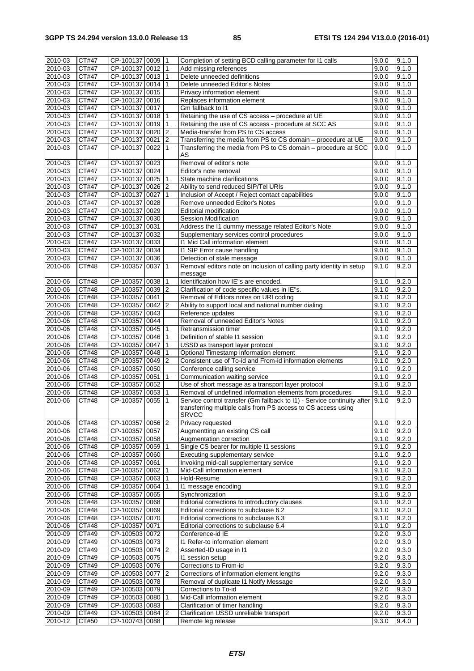| 2010-03     | CT#47        | CP-100137 0009 1 |                | Completion of setting BCD calling parameter for I1 calls                      | 9.0.0 | 9.1.0 |
|-------------|--------------|------------------|----------------|-------------------------------------------------------------------------------|-------|-------|
| 2010-03     | CT#47        | CP-100137 0012   | l 1            | Add missing references                                                        | 9.0.0 | 9.1.0 |
| 2010-03     | CT#47        | CP-100137 0013   | $\vert$ 1      | Delete unneeded definitions                                                   | 9.0.0 | 9.1.0 |
| 2010-03     | CT#47        | CP-100137 0014   |                | Delete unneeded Editor's Notes                                                | 9.0.0 | 9.1.0 |
| $2010 - 03$ | CT#47        | CP-100137 0015   |                | Privacy information element                                                   | 9.0.0 | 9.1.0 |
| 2010-03     | CT#47        | CP-100137 0016   |                | Replaces information element                                                  | 9.0.0 | 9.1.0 |
| 2010-03     | CT#47        | CP-100137 0017   |                | Gm fallback to I1                                                             | 9.0.0 | 9.1.0 |
| 2010-03     | CT#47        | CP-100137 0018   | 1              | Retaining the use of CS access - procedure at UE                              | 9.0.0 | 9.1.0 |
| 2010-03     | CT#47        | CP-100137 0019   | ∣1             | Retaining the use of CS access - procedure at SCC AS                          | 9.0.0 | 9.1.0 |
| $2010 - 03$ | CT#47        | CP-100137 0020   | 2              | Media-transfer from PS to CS access                                           | 9.0.0 | 9.1.0 |
| 2010-03     | <b>CT#47</b> | CP-100137 0021   | 2              | Transferring the media from PS to CS domain - procedure at UE                 | 9.0.0 | 9.1.0 |
|             |              | CP-100137 0022   | l 1            | Transferring the media from PS to CS domain - procedure at SCC                |       |       |
| 2010-03     | CT#47        |                  |                | AS                                                                            | 9.0.0 | 9.1.0 |
| 2010-03     | CT#47        | CP-100137 0023   |                | Removal of editor's note                                                      | 9.0.0 | 9.1.0 |
| 2010-03     | CT#47        | CP-100137 0024   |                | Editor's note removal                                                         | 9.0.0 | 9.1.0 |
|             | CT#47        | CP-100137 0025   | l 1            |                                                                               |       |       |
| 2010-03     |              |                  |                | State machine clarifications                                                  | 9.0.0 | 9.1.0 |
| 2010-03     | CT#47        | CP-100137 0026   | <u> 2</u>      | Ability to send reduced SIP/Tel URIs                                          | 9.0.0 | 9.1.0 |
| 2010-03     | CT#47        | CP-100137 0027   |                | Inclusion of Accept / Reject contact capabilities                             | 9.0.0 | 9.1.0 |
| 2010-03     | CT#47        | CP-100137 0028   |                | Remove unneeded Editor's Notes                                                | 9.0.0 | 9.1.0 |
| 2010-03     | CT#47        | CP-100137 0029   |                | <b>Editorial modification</b>                                                 | 9.0.0 | 9.1.0 |
| 2010-03     | CT#47        | CP-100137 0030   |                | <b>Session Modification</b>                                                   | 9.0.0 | 9.1.0 |
| 2010-03     | CT#47        | CP-100137 0031   |                | Address the I1 dummy message related Editor's Note                            | 9.0.0 | 9.1.0 |
| 2010-03     | CT#47        | CP-100137 0032   |                | Supplementary services control procedures                                     | 9.0.0 | 9.1.0 |
| 2010-03     | CT#47        | CP-100137 0033   |                | 11 Mid Call information element                                               | 9.0.0 | 9.1.0 |
| 2010-03     | CT#47        | CP-100137 0034   |                | 11 SIP Error cause handling                                                   | 9.0.0 | 9.1.0 |
| 2010-03     | CT#47        | CP-100137 0036   |                | Detection of stale message                                                    | 9.0.0 | 9.1.0 |
| 2010-06     | CT#48        | CP-100357 0037 1 |                | Removal editors note on inclusion of calling party identity in setup          | 9.1.0 | 9.2.0 |
|             |              |                  |                | message                                                                       |       |       |
| 2010-06     | CT#48        | CP-100357 0038   | $\mathbf{1}$   | Identification how IE"s are encoded.                                          | 9.1.0 | 9.2.0 |
| 2010-06     | CT#48        | CP-100357 0039   | $\overline{2}$ | Clarification of code specific values in IE"s.                                | 9.1.0 | 9.2.0 |
| 2010-06     | CT#48        | CP-100357 0041   |                | Removal of Editors notes on URI coding                                        | 9.1.0 | 9.2.0 |
| 2010-06     | CT#48        | CP-100357 0042   | 2              | Ability to support local and national number dialing                          | 9.1.0 | 9.2.0 |
| 2010-06     | CT#48        | CP-100357 0043   |                | Reference updates                                                             | 9.1.0 | 9.2.0 |
| 2010-06     | CT#48        | CP-100357 0044   |                | Removal of unneeded Editor's Notes                                            | 9.1.0 | 9.2.0 |
| 2010-06     | CT#48        | CP-100357 0045   | 1              | Retransmission timer                                                          | 9.1.0 | 9.2.0 |
| 2010-06     | CT#48        | CP-100357 0046   | $\vert$ 1      | Definition of stable I1 session                                               | 9.1.0 | 9.2.0 |
| 2010-06     | CT#48        | CP-100357 0047   |                | USSD as transport layer protocol                                              | 9.1.0 | 9.2.0 |
| 2010-06     | CT#48        | CP-100357 0048   | 1              | Optional Timestamp information element                                        | 9.1.0 | 9.2.0 |
| 2010-06     | CT#48        | CP-100357 0049   | $\overline{2}$ | Consistent use of To-id and From-id information elements                      | 9.1.0 | 9.2.0 |
| $2010 - 06$ | CT#48        | CP-100357 0050   |                | Conference calling service                                                    | 9.1.0 | 9.2.0 |
| 2010-06     | CT#48        | CP-100357 0051   |                | Communication waiting service                                                 | 9.1.0 | 9.2.0 |
| 2010-06     | CT#48        | CP-100357 0052   |                | Use of short message as a transport layer protocol                            | 9.1.0 | 9.2.0 |
| 2010-06     | CT#48        | CP-100357 0053   | l 1            | Removal of undefined information elements from procedures                     | 9.1.0 | 9.2.0 |
| 2010-06     | CT#48        | CP-100357 0055   |                | Service control transfer (Gm fallback to I1) - Service continuity after       | 9.1.0 | 9.2.0 |
|             |              |                  |                | transferring multiple calls from PS access to CS access using<br><b>SRVCC</b> |       |       |
| 2010-06     | CT#48        | CP-100357 0056 2 |                | Privacy requested                                                             | 9.1.0 | 9.2.0 |
| 2010-06     | CT#48        | CP-100357 0057   |                | Augmentting an existing CS call                                               | 9.1.0 | 9.2.0 |
| 2010-06     | <b>CT#48</b> | CP-100357 0058   |                | Augmentation correction                                                       | 9.1.0 | 9.2.0 |
| 2010-06     | CT#48        | CP-100357 0059   | $\overline{1}$ | Single CS bearer for multiple I1 sessions                                     | 9.1.0 | 9.2.0 |
| $2010 - 06$ | CT#48        | CP-100357 0060   |                | Executing supplementary service                                               | 9.1.0 | 9.2.0 |
| 2010-06     | <b>CT#48</b> | CP-100357 0061   |                | Invoking mid-call supplementary service                                       | 9.1.0 | 9.2.0 |
| 2010-06     | CT#48        | CP-100357 0062   | $\vert$ 1      | Mid-Call information element                                                  | 9.1.0 | 9.2.0 |
| 2010-06     | CT#48        | CP-100357 0063   | $\vert$ 1      | Hold-Resume                                                                   | 9.1.0 | 9.2.0 |
| 2010-06     | <b>CT#48</b> | CP-100357 0064   |                | I1 message encoding                                                           | 9.1.0 | 9.2.0 |
| 2010-06     | <b>CT#48</b> | CP-100357 0065   |                | Synchronization                                                               | 9.1.0 | 9.2.0 |
| 2010-06     | CT#48        | CP-100357 0068   |                | Editorial corrections to introductory clauses                                 | 9.1.0 | 9.2.0 |
| 2010-06     | <b>CT#48</b> | CP-100357 0069   |                | Editorial corrections to subclause 6.2                                        | 9.1.0 | 9.2.0 |
| 2010-06     | CT#48        | CP-100357 0070   |                | Editorial corrections to subclause 6.3                                        | 9.1.0 | 9.2.0 |
| 2010-06     | CT#48        | CP-100357 0071   |                | Editorial corrections to subclause 6.4                                        | 9.1.0 | 9.2.0 |
| 2010-09     | CT#49        | CP-100503 0072   |                | Conference-id IE                                                              | 9.2.0 | 9.3.0 |
| 2010-09     | CT#49        | CP-100503 0073   |                | 11 Refer-to information element                                               | 9.2.0 | 9.3.0 |
| 2010-09     | CT#49        | CP-100503 0074 2 |                | Asserted-ID usage in I1                                                       | 9.2.0 | 9.3.0 |
| 2010-09     | CT#49        | CP-100503 0075   |                | 11 session setup                                                              | 9.2.0 | 9.3.0 |
| 2010-09     | CT#49        | CP-100503 0076   |                | Corrections to From-id                                                        | 9.2.0 | 9.3.0 |
| $2010 - 09$ | CT#49        | CP-100503 0077 2 |                | Corrections of information element lengths                                    | 9.2.0 | 9.3.0 |
| 2010-09     | CT#49        | CP-100503 0078   |                | Removal of duplicate I1 Notify Message                                        | 9.2.0 | 9.3.0 |
| 2010-09     | CT#49        | CP-100503 0079   |                | Corrections to To-id                                                          | 9.2.0 | 9.3.0 |
| 2010-09     | CT#49        | CP-100503 0080 1 |                | Mid-Call information element                                                  | 9.2.0 | 9.3.0 |
| 2010-09     | CT#49        | CP-100503 0083   |                | Clarification of timer handling                                               | 9.2.0 | 9.3.0 |
| 2010-09     | CT#49        | CP-100503 0084 2 |                | Clarification USSD unreliable transport                                       | 9.2.0 | 9.3.0 |
|             |              |                  |                | Remote leg release                                                            | 9.3.0 | 9.4.0 |
| 2010-12     | CT#50        | CP-100743 0088   |                |                                                                               |       |       |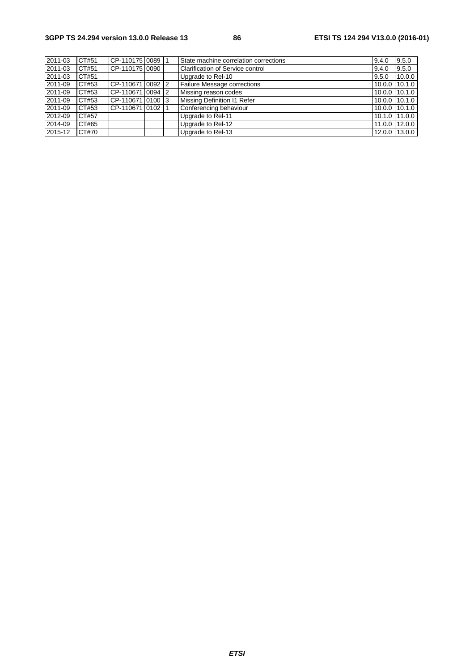| 2011-03 | CT#51 | CP-1101751008911   |  | State machine correlation corrections   | 9.4.0         | 9.5.0  |
|---------|-------|--------------------|--|-----------------------------------------|---------------|--------|
| 2011-03 | CT#51 | CP-110175 0090     |  | <b>Clarification of Service control</b> | 9.4.0         | 9.5.0  |
| 2011-03 | CT#51 |                    |  | Upgrade to Rel-10                       | 9.5.0         | 10.0.0 |
| 2011-09 | CT#53 | ICP-11067110092 I2 |  | Failure Message corrections             | 10.0.0        | 10.1.0 |
| 2011-09 | CT#53 | ICP-1106711009412  |  | Missing reason codes                    | 10.0.0 10.1.0 |        |
| 2011-09 | CT#53 | ICP-11067110100 I3 |  | Missing Definition I1 Refer             | 10.0.0        | 10.1.0 |
| 2011-09 | CT#53 |                    |  | Conferencing behaviour                  | 10.0.0        | 10.1.0 |
| 2012-09 | CT#57 |                    |  | Upgrade to Rel-11                       | 10.1.0 11.0.0 |        |
| 2014-09 | CT#65 |                    |  | Upgrade to Rel-12                       | 11.0.0        | 12.0.0 |
| 2015-12 | CT#70 |                    |  | Upgrade to Rel-13                       | 12.0.0 13.0.0 |        |